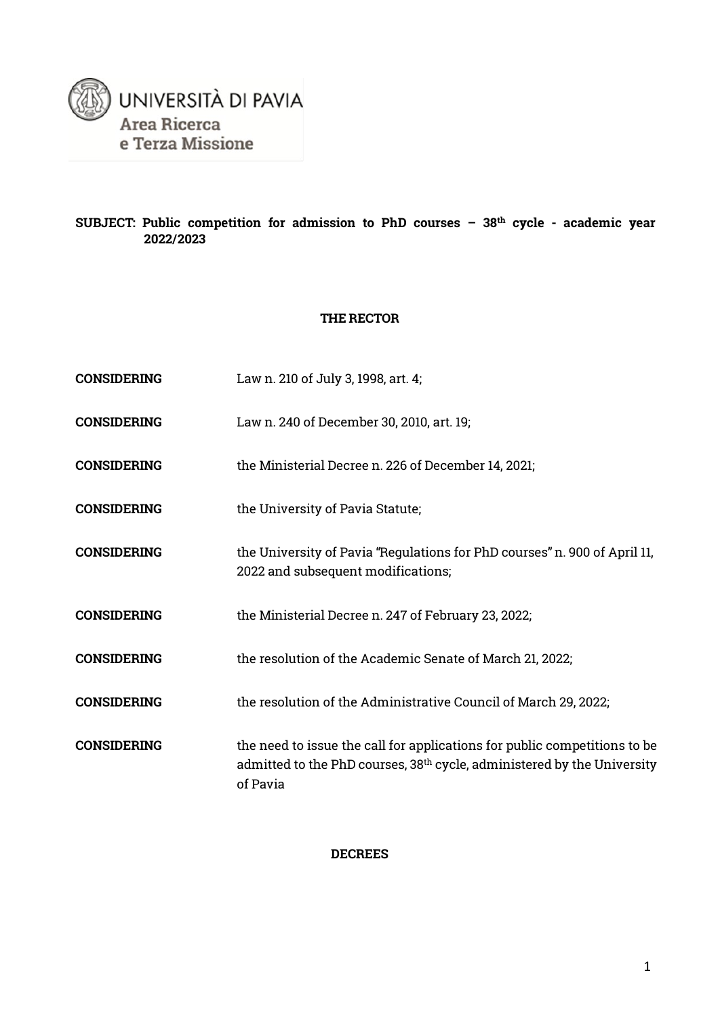

#### **SUBJECT: Public competition for admission to PhD courses – 38th cycle - academic year 2022/2023**

#### **THE RECTOR**

| <b>CONSIDERING</b> | Law n. 210 of July 3, 1998, art. 4;                                                                                                                                          |
|--------------------|------------------------------------------------------------------------------------------------------------------------------------------------------------------------------|
| <b>CONSIDERING</b> | Law n. 240 of December 30, 2010, art. 19;                                                                                                                                    |
| <b>CONSIDERING</b> | the Ministerial Decree n. 226 of December 14, 2021;                                                                                                                          |
| <b>CONSIDERING</b> | the University of Pavia Statute;                                                                                                                                             |
| <b>CONSIDERING</b> | the University of Pavia "Regulations for PhD courses" n. 900 of April 11,<br>2022 and subsequent modifications;                                                              |
| <b>CONSIDERING</b> | the Ministerial Decree n. 247 of February 23, 2022;                                                                                                                          |
| <b>CONSIDERING</b> | the resolution of the Academic Senate of March 21, 2022;                                                                                                                     |
| <b>CONSIDERING</b> | the resolution of the Administrative Council of March 29, 2022;                                                                                                              |
| <b>CONSIDERING</b> | the need to issue the call for applications for public competitions to be<br>admitted to the PhD courses, 38 <sup>th</sup> cycle, administered by the University<br>of Pavia |

#### **DECREES**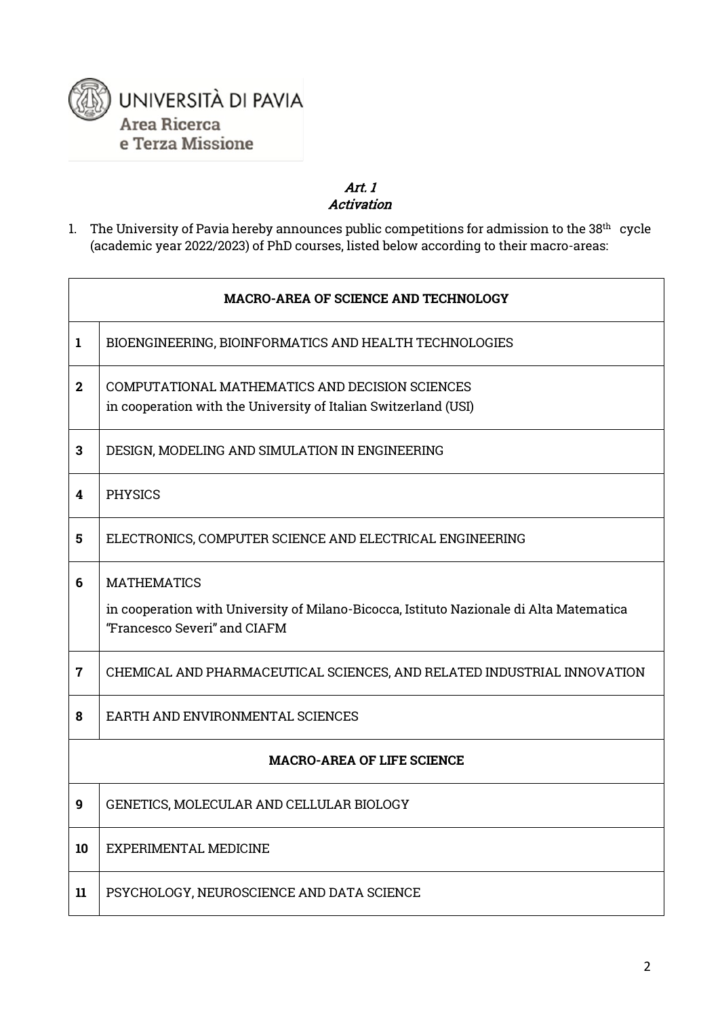

 $\mathbf{r}$ 

#### Art. 1 Activation

1. The University of Pavia hereby announces public competitions for admission to the  $38<sup>th</sup>$  cycle (academic year 2022/2023) of PhD courses, listed below according to their macro-areas:

| <b>MACRO-AREA OF SCIENCE AND TECHNOLOGY</b> |                                                                                                                         |  |  |
|---------------------------------------------|-------------------------------------------------------------------------------------------------------------------------|--|--|
| 1                                           | BIOENGINEERING, BIOINFORMATICS AND HEALTH TECHNOLOGIES                                                                  |  |  |
| $\mathbf{2}$                                | COMPUTATIONAL MATHEMATICS AND DECISION SCIENCES<br>in cooperation with the University of Italian Switzerland (USI)      |  |  |
| 3                                           | DESIGN, MODELING AND SIMULATION IN ENGINEERING                                                                          |  |  |
| 4                                           | <b>PHYSICS</b>                                                                                                          |  |  |
| 5                                           | ELECTRONICS, COMPUTER SCIENCE AND ELECTRICAL ENGINEERING                                                                |  |  |
| 6                                           | <b>MATHEMATICS</b>                                                                                                      |  |  |
|                                             | in cooperation with University of Milano-Bicocca, Istituto Nazionale di Alta Matematica<br>"Francesco Severi" and CIAFM |  |  |
| $\overline{7}$                              | CHEMICAL AND PHARMACEUTICAL SCIENCES, AND RELATED INDUSTRIAL INNOVATION                                                 |  |  |
| 8                                           | EARTH AND ENVIRONMENTAL SCIENCES                                                                                        |  |  |
|                                             | <b>MACRO-AREA OF LIFE SCIENCE</b>                                                                                       |  |  |
| 9                                           | GENETICS, MOLECULAR AND CELLULAR BIOLOGY                                                                                |  |  |
| 10                                          | EXPERIMENTAL MEDICINE                                                                                                   |  |  |
| 11                                          | PSYCHOLOGY, NEUROSCIENCE AND DATA SCIENCE                                                                               |  |  |

٦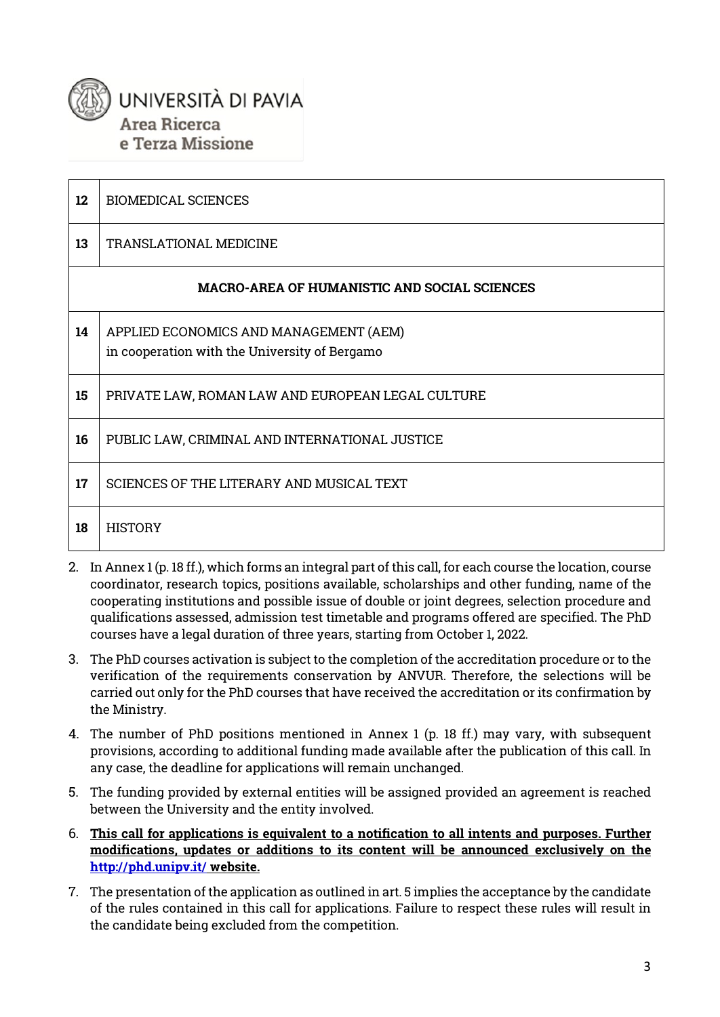# UNIVERSITÀ DI PAVIA Area Ricerca e Terza Missione

| 12 | <b>BIOMEDICAL SCIENCES</b>                                                              |
|----|-----------------------------------------------------------------------------------------|
| 13 | TRANSLATIONAL MEDICINE                                                                  |
|    | <b>MACRO-AREA OF HUMANISTIC AND SOCIAL SCIENCES</b>                                     |
| 14 | APPLIED ECONOMICS AND MANAGEMENT (AEM)<br>in cooperation with the University of Bergamo |
| 15 | PRIVATE LAW, ROMAN LAW AND EUROPEAN LEGAL CULTURE                                       |
| 16 | PUBLIC LAW, CRIMINAL AND INTERNATIONAL JUSTICE                                          |
| 17 | SCIENCES OF THE LITERARY AND MUSICAL TEXT                                               |
| 18 | <b>HISTORY</b>                                                                          |

- 2. In Annex 1 (p. 18 ff.), which forms an integral part of this call, for each course the location, course coordinator, research topics, positions available, scholarships and other funding, name of the cooperating institutions and possible issue of double or joint degrees, selection procedure and qualifications assessed, admission test timetable and programs offered are specified. The PhD courses have a legal duration of three years, starting from October 1, 2022.
- 3. The PhD courses activation is subject to the completion of the accreditation procedure or to the verification of the requirements conservation by ANVUR. Therefore, the selections will be carried out only for the PhD courses that have received the accreditation or its confirmation by the Ministry.
- 4. The number of PhD positions mentioned in Annex 1 (p. 18 ff.) may vary, with subsequent provisions, according to additional funding made available after the publication of this call. In any case, the deadline for applications will remain unchanged.
- 5. The funding provided by external entities will be assigned provided an agreement is reached between the University and the entity involved.
- 6. **This call for applications is equivalent to a notification to all intents and purposes. Further modifications, updates or additions to its content will be announced exclusively on the <http://phd.unipv.it/> website.**
- 7. The presentation of the application as outlined in art. 5 implies the acceptance by the candidate of the rules contained in this call for applications. Failure to respect these rules will result in the candidate being excluded from the competition.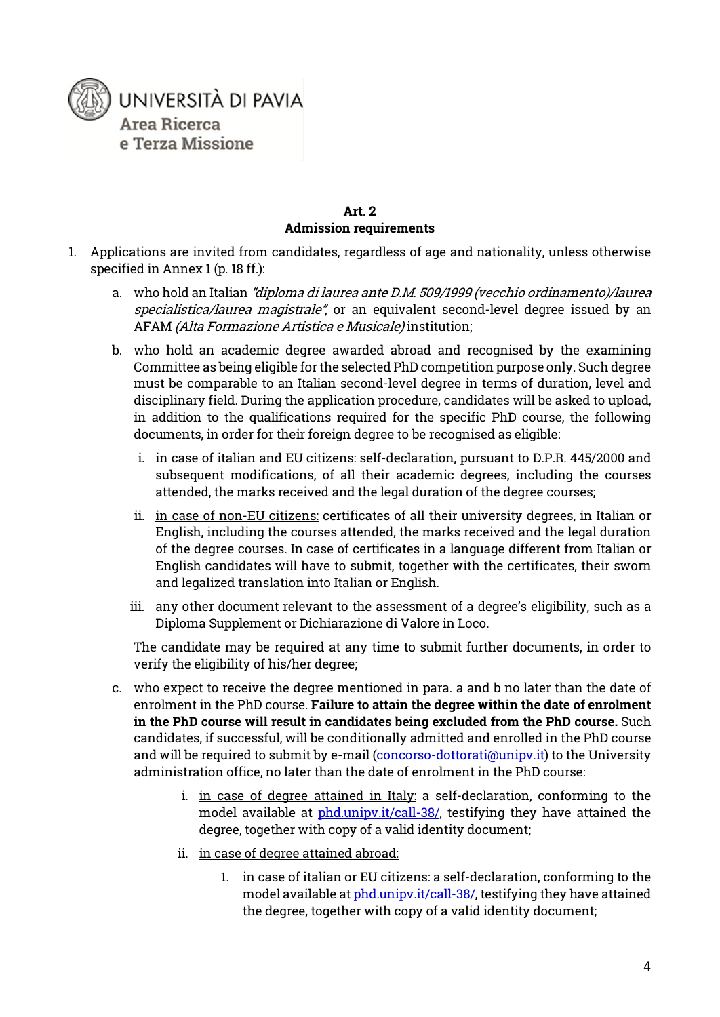

#### **Art. 2 Admission requirements**

- 1. Applications are invited from candidates, regardless of age and nationality, unless otherwise specified in Annex 1 (p. 18 ff.):
	- a. who hold an Italian "diploma di laurea ante D.M. 509/1999 (vecchio ordinamento)/laurea specialistica/laurea magistrale", or an equivalent second-level degree issued by an AFAM (Alta Formazione Artistica e Musicale) institution;
	- b. who hold an academic degree awarded abroad and recognised by the examining Committee as being eligible for the selected PhD competition purpose only. Such degree must be comparable to an Italian second-level degree in terms of duration, level and disciplinary field. During the application procedure, candidates will be asked to upload, in addition to the qualifications required for the specific PhD course, the following documents, in order for their foreign degree to be recognised as eligible:
		- i. in case of italian and EU citizens: self-declaration, pursuant to D.P.R. 445/2000 and subsequent modifications, of all their academic degrees, including the courses attended, the marks received and the legal duration of the degree courses;
		- ii. in case of non-EU citizens: certificates of all their university degrees, in Italian or English, including the courses attended, the marks received and the legal duration of the degree courses. In case of certificates in a language different from Italian or English candidates will have to submit, together with the certificates, their sworn and legalized translation into Italian or English.
		- iii. any other document relevant to the assessment of a degree's eligibility, such as a Diploma Supplement or Dichiarazione di Valore in Loco.

The candidate may be required at any time to submit further documents, in order to verify the eligibility of his/her degree;

- c. who expect to receive the degree mentioned in para. a and b no later than the date of enrolment in the PhD course. **Failure to attain the degree within the date of enrolment in the PhD course will result in candidates being excluded from the PhD course.** Such candidates, if successful, will be conditionally admitted and enrolled in the PhD course and will be required to submit by e-mail [\(concorso-dottorati@unipv.it\)](mailto:concorso-dottorati@unipv.it) to the University administration office, no later than the date of enrolment in the PhD course:
	- i. in case of degree attained in Italy: a self-declaration, conforming to the model available at [phd.unipv.it/call-38/,](http://phd.unipv.it/call-38/) testifying they have attained the degree, together with copy of a valid identity document;
	- ii. in case of degree attained abroad:
		- 1. in case of italian or EU citizens: a self-declaration, conforming to the model available a[t phd.unipv.it/call-38/,](http://phd.unipv.it/call-38/) testifying they have attained the degree, together with copy of a valid identity document;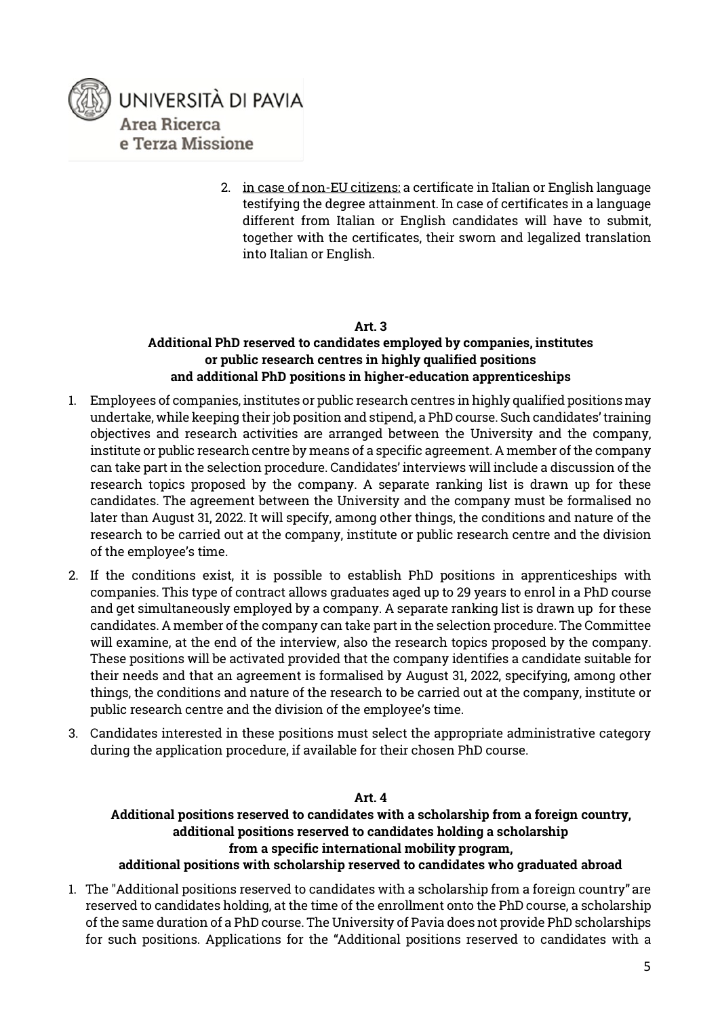

2. in case of non-EU citizens: a certificate in Italian or English language testifying the degree attainment. In case of certificates in a language different from Italian or English candidates will have to submit, together with the certificates, their sworn and legalized translation into Italian or English.

#### **Art. 3**

#### **Additional PhD reserved to candidates employed by companies, institutes or public research centres in highly qualified positions and additional PhD positions in higher-education apprenticeships**

- 1. Employees of companies, institutes or public research centres in highly qualified positions may undertake, while keeping their job position and stipend, a PhD course. Such candidates' training objectives and research activities are arranged between the University and the company, institute or public research centre by means of a specific agreement. A member of the company can take part in the selection procedure. Candidates' interviews will include a discussion of the research topics proposed by the company. A separate ranking list is drawn up for these candidates. The agreement between the University and the company must be formalised no later than August 31, 2022. It will specify, among other things, the conditions and nature of the research to be carried out at the company, institute or public research centre and the division of the employee's time.
- 2. If the conditions exist, it is possible to establish PhD positions in apprenticeships with companies. This type of contract allows graduates aged up to 29 years to enrol in a PhD course and get simultaneously employed by a company. A separate ranking list is drawn up for these candidates. A member of the company can take part in the selection procedure. The Committee will examine, at the end of the interview, also the research topics proposed by the company. These positions will be activated provided that the company identifies a candidate suitable for their needs and that an agreement is formalised by August 31, 2022, specifying, among other things, the conditions and nature of the research to be carried out at the company, institute or public research centre and the division of the employee's time.
- 3. Candidates interested in these positions must select the appropriate administrative category during the application procedure, if available for their chosen PhD course.

#### **Art. 4**

### **Additional positions reserved to candidates with a scholarship from a foreign country, additional positions reserved to candidates holding a scholarship from a specific international mobility program,**

#### **additional positions with scholarship reserved to candidates who graduated abroad**

1. The "Additional positions reserved to candidates with a scholarship from a foreign country" are reserved to candidates holding, at the time of the enrollment onto the PhD course, a scholarship of the same duration of a PhD course. The University of Pavia does not provide PhD scholarships for such positions. Applications for the "Additional positions reserved to candidates with a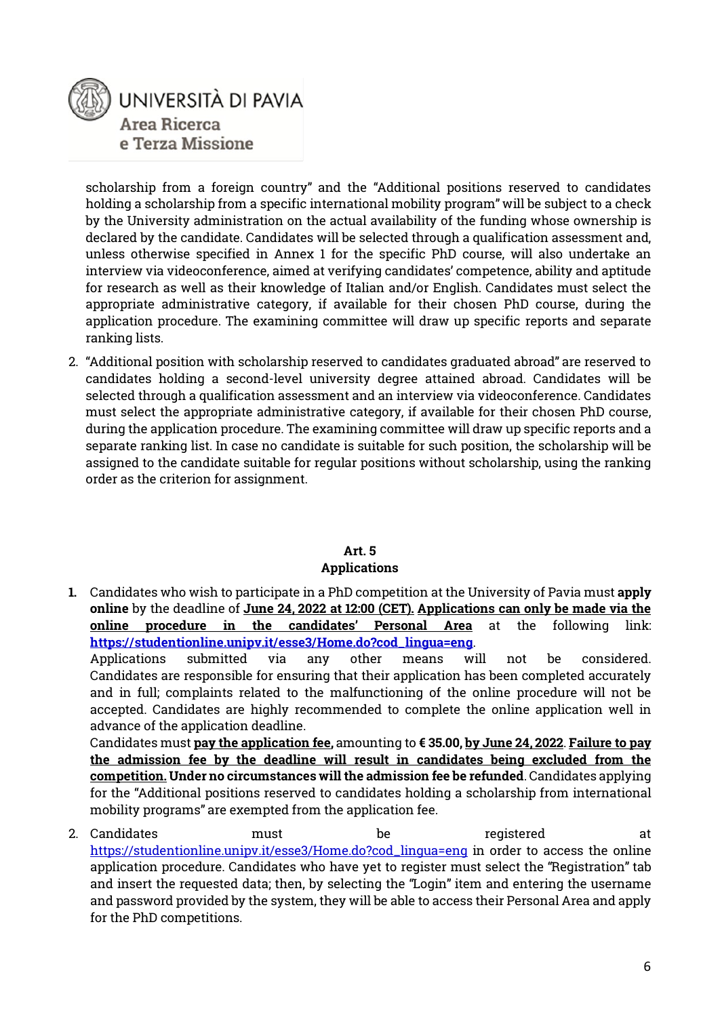

scholarship from a foreign country" and the "Additional positions reserved to candidates holding a scholarship from a specific international mobility program" will be subject to a check by the University administration on the actual availability of the funding whose ownership is declared by the candidate. Candidates will be selected through a qualification assessment and, unless otherwise specified in Annex 1 for the specific PhD course, will also undertake an interview via videoconference, aimed at verifying candidates' competence, ability and aptitude for research as well as their knowledge of Italian and/or English. Candidates must select the appropriate administrative category, if available for their chosen PhD course, during the application procedure. The examining committee will draw up specific reports and separate ranking lists.

2. "Additional position with scholarship reserved to candidates graduated abroad" are reserved to candidates holding a second-level university degree attained abroad. Candidates will be selected through a qualification assessment and an interview via videoconference. Candidates must select the appropriate administrative category, if available for their chosen PhD course, during the application procedure. The examining committee will draw up specific reports and a separate ranking list. In case no candidate is suitable for such position, the scholarship will be assigned to the candidate suitable for regular positions without scholarship, using the ranking order as the criterion for assignment.

#### **Art. 5**

#### **Applications**

**1.** Candidates who wish to participate in a PhD competition at the University of Pavia must **apply online** by the deadline of **June 24, 2022 at 12:00 (CET). Applications can only be made via the online procedure in the candidates' Personal Area** at the following link: **[https://studentionline.unipv.it/esse3/Home.do?cod\\_lingua=eng](https://studentionline.unipv.it/esse3/Home.do?cod_lingua=eng)**.

Applications submitted via any other means will not be considered. Candidates are responsible for ensuring that their application has been completed accurately and in full; complaints related to the malfunctioning of the online procedure will not be accepted. Candidates are highly recommended to complete the online application well in advance of the application deadline.

Candidates must **pay the application fee,** amounting to **€ 35.00, by June 24, 2022**. **Failure to pay the admission fee by the deadline will result in candidates being excluded from the competition. Under no circumstances will the admission fee be refunded**. Candidates applying for the "Additional positions reserved to candidates holding a scholarship from international mobility programs" are exempted from the application fee.

2. Candidates must be registered at [https://studentionline.unipv.it/esse3/Home.do?cod\\_lingua=eng](https://studentionline.unipv.it/esse3/Home.do?cod_lingua=eng) in order to access the online application procedure. Candidates who have yet to register must select the "Registration" tab and insert the requested data; then, by selecting the "Login" item and entering the username and password provided by the system, they will be able to access their Personal Area and apply for the PhD competitions.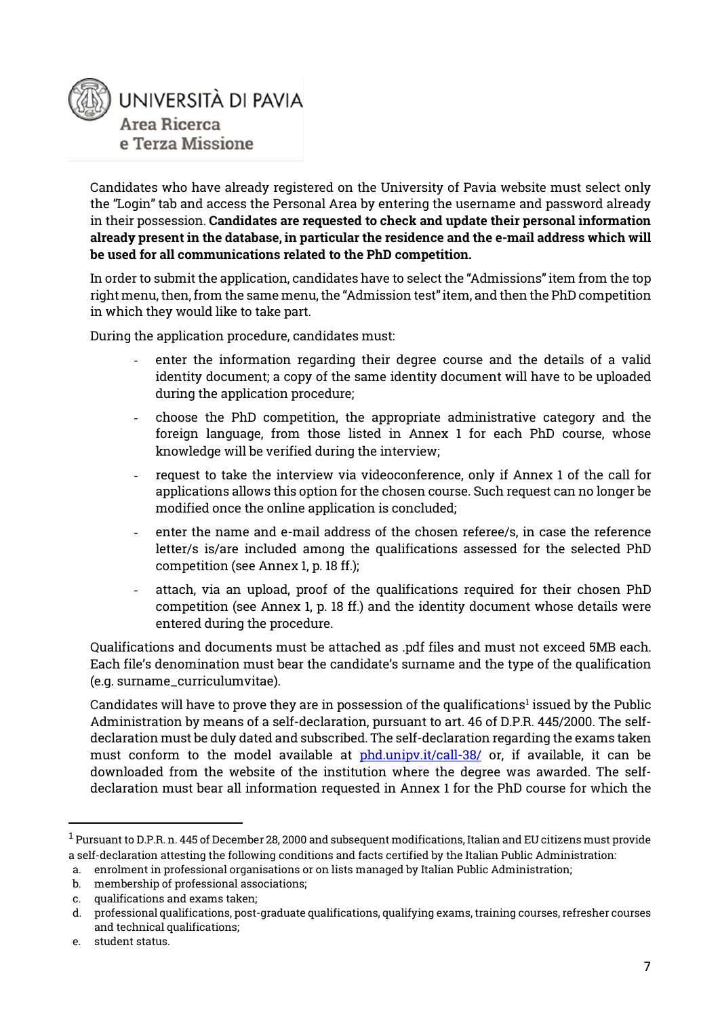

Candidates who have already registered on the University of Pavia website must select only the "Login" tab and access the Personal Area by entering the username and password already in their possession. **Candidates are requested to check and update their personal information already present in the database, in particular the residence and the e-mail address which will be used for all communications related to the PhD competition.**

In order to submit the application, candidates have to select the "Admissions" item from the top right menu, then, from the same menu, the "Admission test" item, and then the PhD competition in which they would like to take part.

During the application procedure, candidates must:

- enter the information regarding their degree course and the details of a valid identity document; a copy of the same identity document will have to be uploaded during the application procedure;
- choose the PhD competition, the appropriate administrative category and the foreign language, from those listed in Annex 1 for each PhD course, whose knowledge will be verified during the interview;
- request to take the interview via videoconference, only if Annex 1 of the call for applications allows this option for the chosen course. Such request can no longer be modified once the online application is concluded;
- enter the name and e-mail address of the chosen referee/s, in case the reference letter/s is/are included among the qualifications assessed for the selected PhD competition (see Annex 1, p. 18 ff.);
- attach, via an upload, proof of the qualifications required for their chosen PhD competition (see Annex 1, p. 18 ff.) and the identity document whose details were entered during the procedure.

Qualifications and documents must be attached as .pdf files and must not exceed 5MB each. Each file's denomination must bear the candidate's surname and the type of the qualification (e.g. surname\_curriculumvitae).

Candidates will have to prove they are in possession of the qualifications<sup>[1](#page-6-0)</sup> issued by the Public Administration by means of a self-declaration, pursuant to art. 46 of D.P.R. 445/2000. The selfdeclaration must be duly dated and subscribed. The self-declaration regarding the exams taken must conform to the model available at [phd.unipv.it/call-38/](http://phd.unipv.it/call-38/) or, if available, it can be downloaded from the website of the institution where the degree was awarded. The selfdeclaration must bear all information requested in Annex 1 for the PhD course for which the

<span id="page-6-0"></span> <sup>1</sup> Pursuant to D.P.R. n. 445 of December 28, 2000 and subsequent modifications, Italian and EU citizens must provide a self-declaration attesting the following conditions and facts certified by the Italian Public Administration:

a. enrolment in professional organisations or on lists managed by Italian Public Administration;

b. membership of professional associations;

c. qualifications and exams taken;

d. professional qualifications, post-graduate qualifications, qualifying exams, training courses, refresher courses and technical qualifications;

e. student status.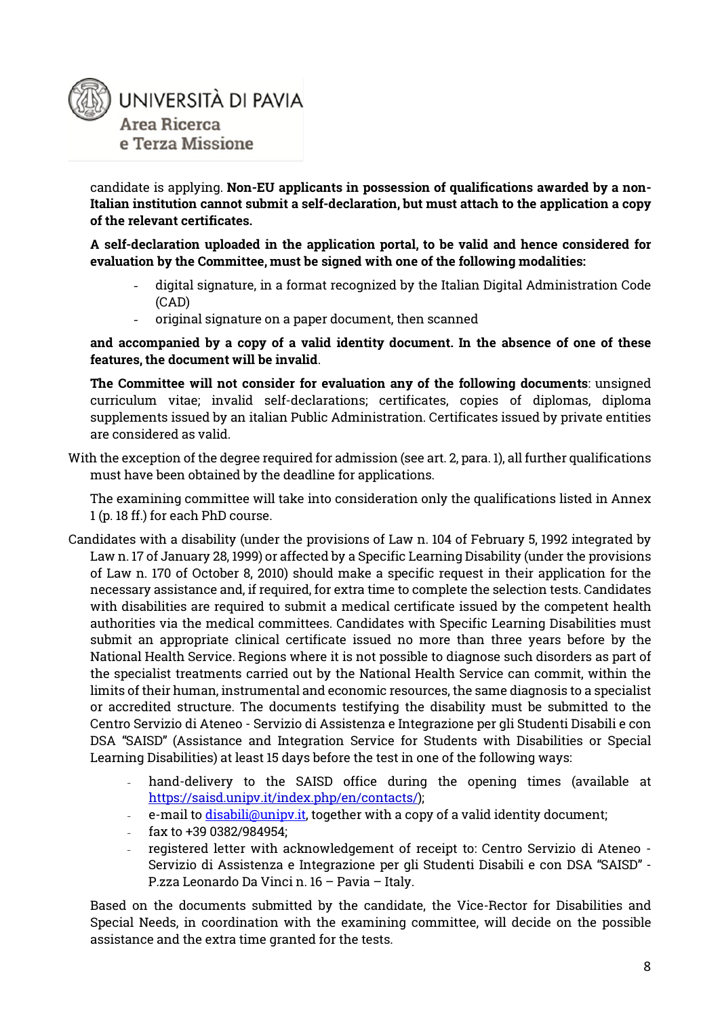

candidate is applying. **Non-EU applicants in possession of qualifications awarded by a non-Italian institution cannot submit a self-declaration, but must attach to the application a copy of the relevant certificates.** 

**A self-declaration uploaded in the application portal, to be valid and hence considered for evaluation by the Committee, must be signed with one of the following modalities:**

- digital signature, in a format recognized by the Italian Digital Administration Code (CAD)
- original signature on a paper document, then scanned

**and accompanied by a copy of a valid identity document. In the absence of one of these features, the document will be invalid**.

**The Committee will not consider for evaluation any of the following documents**: unsigned curriculum vitae; invalid self-declarations; certificates, copies of diplomas, diploma supplements issued by an italian Public Administration. Certificates issued by private entities are considered as valid.

With the exception of the degree required for admission (see art. 2, para. 1), all further qualifications must have been obtained by the deadline for applications.

The examining committee will take into consideration only the qualifications listed in Annex 1 (p. 18 ff.) for each PhD course.

- Candidates with a disability (under the provisions of Law n. 104 of February 5, 1992 integrated by Law n. 17 of January 28, 1999) or affected by a Specific Learning Disability (under the provisions of Law n. 170 of October 8, 2010) should make a specific request in their application for the necessary assistance and, if required, for extra time to complete the selection tests. Candidates with disabilities are required to submit a medical certificate issued by the competent health authorities via the medical committees. Candidates with Specific Learning Disabilities must submit an appropriate clinical certificate issued no more than three years before by the National Health Service. Regions where it is not possible to diagnose such disorders as part of the specialist treatments carried out by the National Health Service can commit, within the limits of their human, instrumental and economic resources, the same diagnosis to a specialist or accredited structure. The documents testifying the disability must be submitted to the Centro Servizio di Ateneo - Servizio di Assistenza e Integrazione per gli Studenti Disabili e con DSA "SAISD" (Assistance and Integration Service for Students with Disabilities or Special Learning Disabilities) at least 15 days before the test in one of the following ways:
	- hand-delivery to the SAISD office during the opening times (available at [https://saisd.unipv.it/index.php/en/contacts/\)](https://saisd.unipv.it/index.php/en/contacts/);
	- e-mail to <u>disabili@unipv.it</u>, together with a copy of a valid identity document;
	- fax to +39 0382/984954;
	- registered letter with acknowledgement of receipt to: Centro Servizio di Ateneo Servizio di Assistenza e Integrazione per gli Studenti Disabili e con DSA "SAISD" - P.zza Leonardo Da Vinci n. 16 – Pavia – Italy.

Based on the documents submitted by the candidate, the Vice-Rector for Disabilities and Special Needs, in coordination with the examining committee, will decide on the possible assistance and the extra time granted for the tests.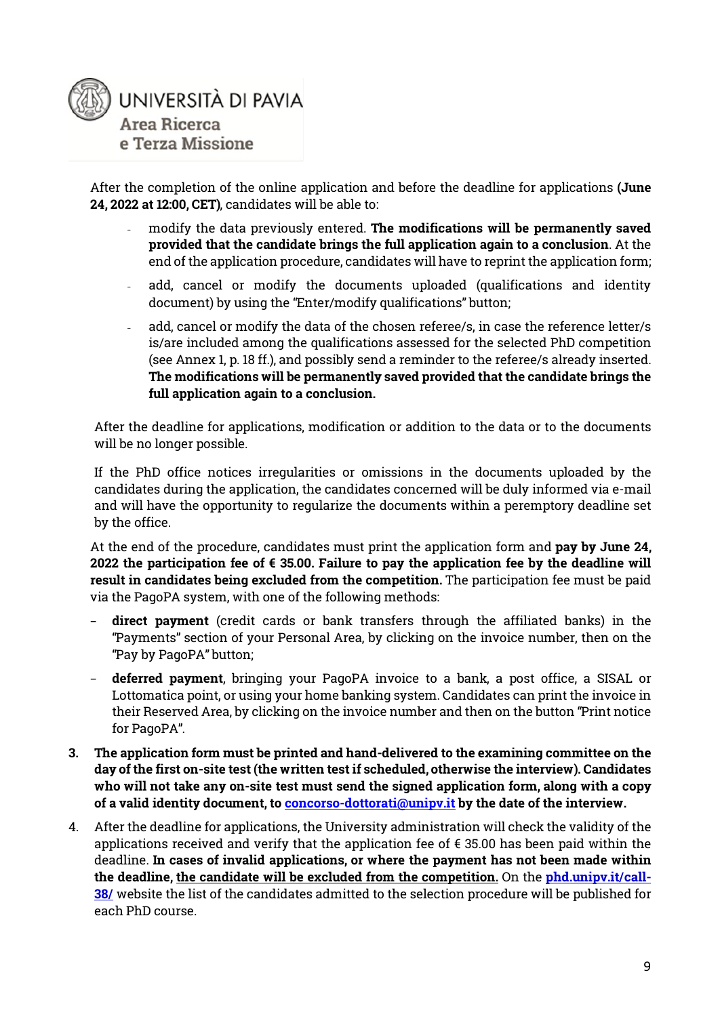

After the completion of the online application and before the deadline for applications **(June 24, 2022 at 12:00, CET)**, candidates will be able to:

- modify the data previously entered. **The modifications will be permanently saved provided that the candidate brings the full application again to a conclusion**. At the end of the application procedure, candidates will have to reprint the application form;
- add, cancel or modify the documents uploaded (qualifications and identity document) by using the "Enter/modify qualifications" button;
- add, cancel or modify the data of the chosen referee/s, in case the reference letter/s is/are included among the qualifications assessed for the selected PhD competition (see Annex 1, p. 18 ff.), and possibly send a reminder to the referee/s already inserted. **The modifications will be permanently saved provided that the candidate brings the full application again to a conclusion.**

After the deadline for applications, modification or addition to the data or to the documents will be no longer possible.

If the PhD office notices irregularities or omissions in the documents uploaded by the candidates during the application, the candidates concerned will be duly informed via e-mail and will have the opportunity to regularize the documents within a peremptory deadline set by the office.

At the end of the procedure, candidates must print the application form and **pay by June 24, 2022 the participation fee of € 35.00. Failure to pay the application fee by the deadline will result in candidates being excluded from the competition.** The participation fee must be paid via the PagoPA system, with one of the following methods:

- − **direct payment** (credit cards or bank transfers through the affiliated banks) in the "Payments" section of your Personal Area, by clicking on the invoice number, then on the "Pay by PagoPA" button;
- − **deferred payment**, bringing your PagoPA invoice to a bank, a post office, a SISAL or Lottomatica point, or using your home banking system. Candidates can print the invoice in their Reserved Area, by clicking on the invoice number and then on the button "Print notice for PagoPA".
- **3. The application form must be printed and hand-delivered to the examining committee on the day of the first on-site test (the written test if scheduled, otherwise the interview). Candidates who will not take any on-site test must send the signed application form, along with a copy of a valid identity document, to [concorso-dottorati@unipv.it](mailto:concorso-dottorati@unipv.it) by the date of the interview.**
- 4. After the deadline for applications, the University administration will check the validity of the applications received and verify that the application fee of  $\epsilon$  35.00 has been paid within the deadline. **In cases of invalid applications, or where the payment has not been made within the deadline, the candidate will be excluded from the competition.** On the **[phd.unipv.it/call-](http://phd.unipv.it/call-38/)[38/](http://phd.unipv.it/call-38/)** website the list of the candidates admitted to the selection procedure will be published for each PhD course.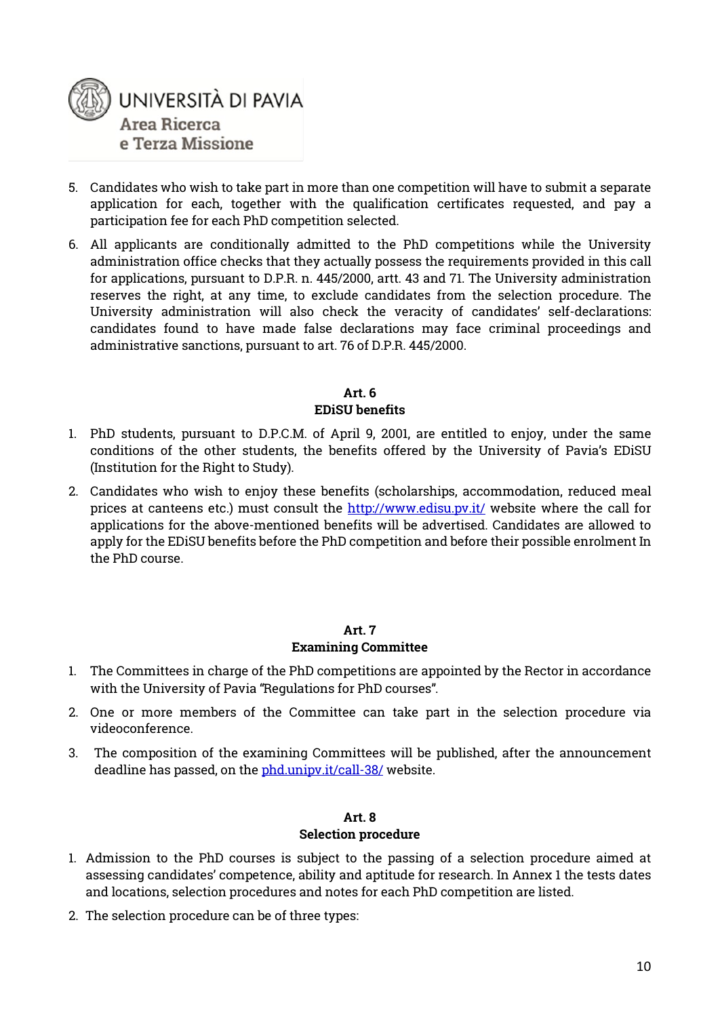

- 5. Candidates who wish to take part in more than one competition will have to submit a separate application for each, together with the qualification certificates requested, and pay a participation fee for each PhD competition selected.
- 6. All applicants are conditionally admitted to the PhD competitions while the University administration office checks that they actually possess the requirements provided in this call for applications, pursuant to D.P.R. n. 445/2000, artt. 43 and 71. The University administration reserves the right, at any time, to exclude candidates from the selection procedure. The University administration will also check the veracity of candidates' self-declarations: candidates found to have made false declarations may face criminal proceedings and administrative sanctions, pursuant to art. 76 of D.P.R. 445/2000.

#### **Art. 6 EDiSU benefits**

- 1. PhD students, pursuant to D.P.C.M. of April 9, 2001, are entitled to enjoy, under the same conditions of the other students, the benefits offered by the University of Pavia's EDiSU (Institution for the Right to Study).
- 2. Candidates who wish to enjoy these benefits (scholarships, accommodation, reduced meal prices at canteens etc.) must consult the<http://www.edisu.pv.it/> website where the call for applications for the above-mentioned benefits will be advertised. Candidates are allowed to apply for the EDiSU benefits before the PhD competition and before their possible enrolment In the PhD course.

#### **Art. 7**

#### **Examining Committee**

- 1. The Committees in charge of the PhD competitions are appointed by the Rector in accordance with the University of Pavia "Regulations for PhD courses".
- 2. One or more members of the Committee can take part in the selection procedure via videoconference.
- 3. The composition of the examining Committees will be published, after the announcement deadline has passed, on the [phd.unipv.it/call-38/](http://phd.unipv.it/call-38/) website.

#### **Art. 8 Selection procedure**

- 1. Admission to the PhD courses is subject to the passing of a selection procedure aimed at assessing candidates' competence, ability and aptitude for research. In Annex 1 the tests dates and locations, selection procedures and notes for each PhD competition are listed.
- 2. The selection procedure can be of three types: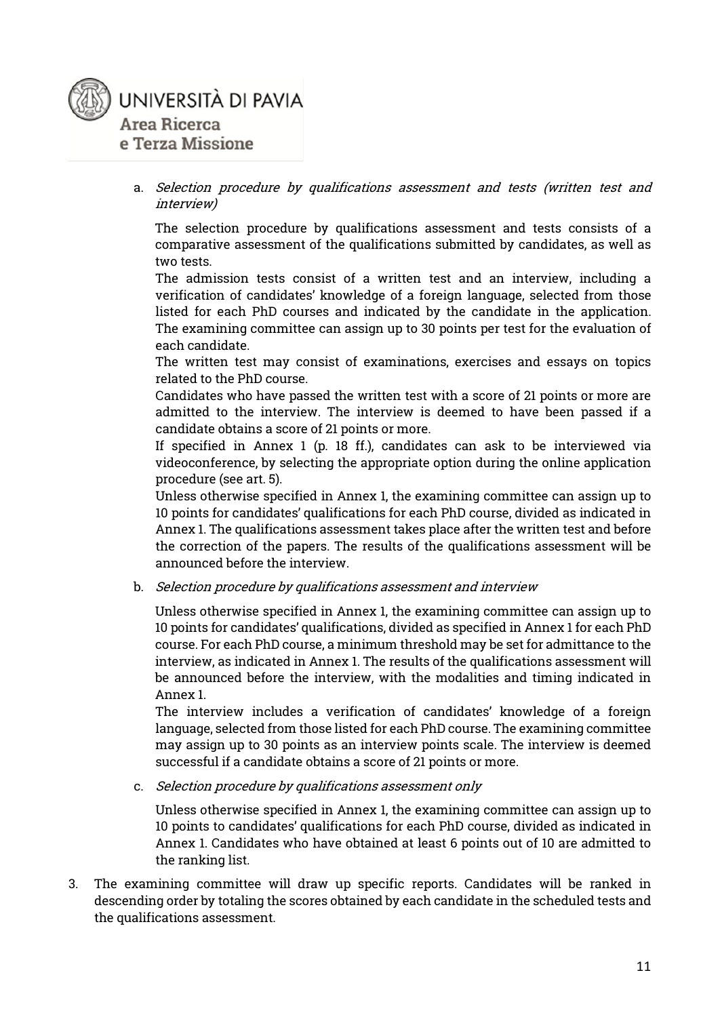

a. Selection procedure by qualifications assessment and tests (written test and interview)

The selection procedure by qualifications assessment and tests consists of a comparative assessment of the qualifications submitted by candidates, as well as two tests.

The admission tests consist of a written test and an interview, including a verification of candidates' knowledge of a foreign language, selected from those listed for each PhD courses and indicated by the candidate in the application. The examining committee can assign up to 30 points per test for the evaluation of each candidate.

The written test may consist of examinations, exercises and essays on topics related to the PhD course.

Candidates who have passed the written test with a score of 21 points or more are admitted to the interview. The interview is deemed to have been passed if a candidate obtains a score of 21 points or more.

If specified in Annex 1 (p. 18 ff.), candidates can ask to be interviewed via videoconference, by selecting the appropriate option during the online application procedure (see art. 5).

Unless otherwise specified in Annex 1, the examining committee can assign up to 10 points for candidates' qualifications for each PhD course, divided as indicated in Annex 1. The qualifications assessment takes place after the written test and before the correction of the papers. The results of the qualifications assessment will be announced before the interview.

b. Selection procedure by qualifications assessment and interview

Unless otherwise specified in Annex 1, the examining committee can assign up to 10 points for candidates' qualifications, divided as specified in Annex 1 for each PhD course. For each PhD course, a minimum threshold may be set for admittance to the interview, as indicated in Annex 1. The results of the qualifications assessment will be announced before the interview, with the modalities and timing indicated in Annex 1.

The interview includes a verification of candidates' knowledge of a foreign language, selected from those listed for each PhD course. The examining committee may assign up to 30 points as an interview points scale. The interview is deemed successful if a candidate obtains a score of 21 points or more.

c. Selection procedure by qualifications assessment only

Unless otherwise specified in Annex 1, the examining committee can assign up to 10 points to candidates' qualifications for each PhD course, divided as indicated in Annex 1. Candidates who have obtained at least 6 points out of 10 are admitted to the ranking list.

3. The examining committee will draw up specific reports. Candidates will be ranked in descending order by totaling the scores obtained by each candidate in the scheduled tests and the qualifications assessment.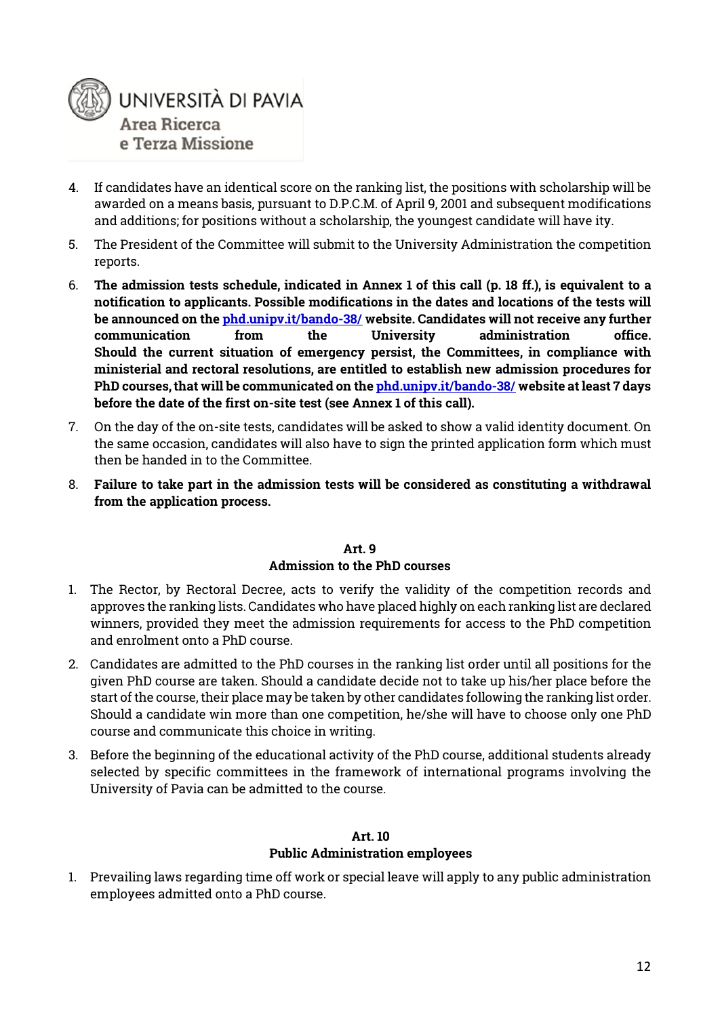

- 4. If candidates have an identical score on the ranking list, the positions with scholarship will be awarded on a means basis, pursuant to D.P.C.M. of April 9, 2001 and subsequent modifications and additions; for positions without a scholarship, the youngest candidate will have ity.
- 5. The President of the Committee will submit to the University Administration the competition reports.
- 6. **The admission tests schedule, indicated in Annex 1 of this call (p. 18 ff.), is equivalent to a notification to applicants. Possible modifications in the dates and locations of the tests will be announced on the [phd.unipv.it/bando-38/](http://phd.unipv.it/bando-38/) website. Candidates will not receive any further communication from the University administration office. Should the current situation of emergency persist, the Committees, in compliance with ministerial and rectoral resolutions, are entitled to establish new admission procedures for PhD courses, that will be communicated on the [phd.unipv.it/bando-38/](http://phd.unipv.it/bando-38/) website at least 7 days before the date of the first on-site test (see Annex 1 of this call).**
- 7. On the day of the on-site tests, candidates will be asked to show a valid identity document. On the same occasion, candidates will also have to sign the printed application form which must then be handed in to the Committee.
- 8. **Failure to take part in the admission tests will be considered as constituting a withdrawal from the application process.**

#### **Art. 9 Admission to the PhD courses**

- 1. The Rector, by Rectoral Decree, acts to verify the validity of the competition records and approves the ranking lists. Candidates who have placed highly on each ranking list are declared winners, provided they meet the admission requirements for access to the PhD competition and enrolment onto a PhD course.
- 2. Candidates are admitted to the PhD courses in the ranking list order until all positions for the given PhD course are taken. Should a candidate decide not to take up his/her place before the start of the course, their place may be taken by other candidates following the ranking list order. Should a candidate win more than one competition, he/she will have to choose only one PhD course and communicate this choice in writing.
- 3. Before the beginning of the educational activity of the PhD course, additional students already selected by specific committees in the framework of international programs involving the University of Pavia can be admitted to the course.

#### **Art. 10**

#### **Public Administration employees**

1. Prevailing laws regarding time off work or special leave will apply to any public administration employees admitted onto a PhD course.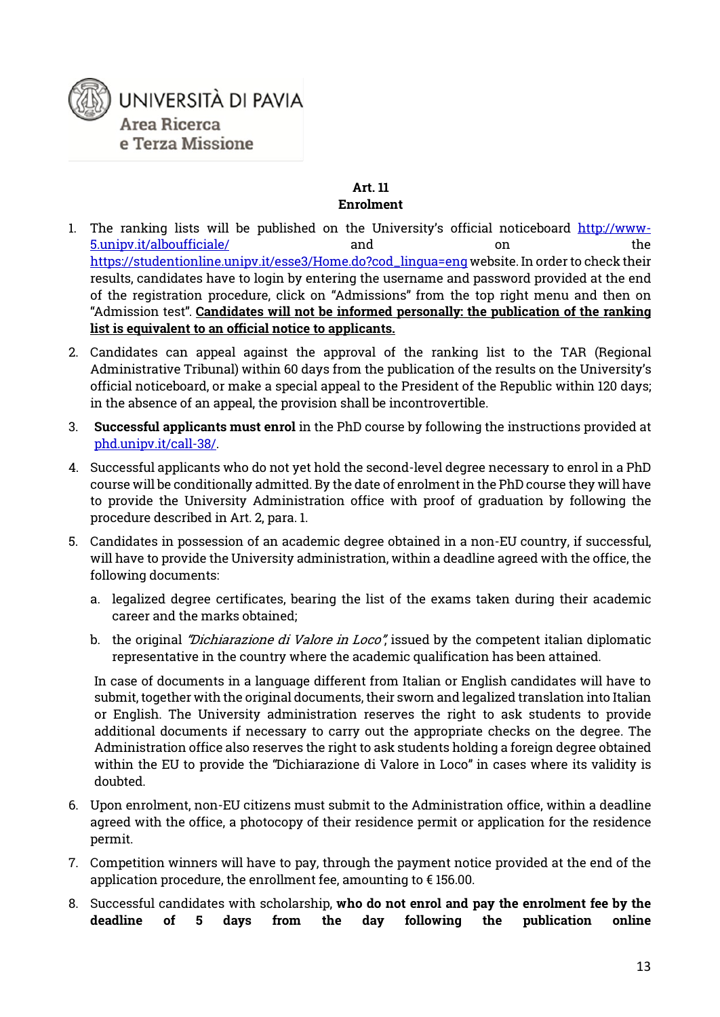

#### **Art. 11 Enrolment**

- 1. The ranking lists will be published on the University's official noticeboard [http://www-](http://www-5.unipv.it/alboufficiale/)[5.unipv.it/alboufficiale/](http://www-5.unipv.it/alboufficiale/) and on the [https://studentionline.unipv.it/esse3/Home.do?cod\\_lingua=eng](https://studentionline.unipv.it/esse3/Home.do?cod_lingua=eng) website. In order to check their results, candidates have to login by entering the username and password provided at the end of the registration procedure, click on "Admissions" from the top right menu and then on "Admission test". **Candidates will not be informed personally: the publication of the ranking list is equivalent to an official notice to applicants.**
- 2. Candidates can appeal against the approval of the ranking list to the TAR (Regional Administrative Tribunal) within 60 days from the publication of the results on the University's official noticeboard, or make a special appeal to the President of the Republic within 120 days; in the absence of an appeal, the provision shall be incontrovertible.
- 3. **Successful applicants must enrol** in the PhD course by following the instructions provided at [phd.unipv.it/call-38/.](http://phd.unipv.it/call-38/)
- 4. Successful applicants who do not yet hold the second-level degree necessary to enrol in a PhD course will be conditionally admitted. By the date of enrolment in the PhD course they will have to provide the University Administration office with proof of graduation by following the procedure described in Art. 2, para. 1.
- 5. Candidates in possession of an academic degree obtained in a non-EU country, if successful, will have to provide the University administration, within a deadline agreed with the office, the following documents:
	- a. legalized degree certificates, bearing the list of the exams taken during their academic career and the marks obtained;
	- b. the original *"Dichiarazione di Valore in Loco"*, issued by the competent italian diplomatic representative in the country where the academic qualification has been attained.

In case of documents in a language different from Italian or English candidates will have to submit, together with the original documents, their sworn and legalized translation into Italian or English. The University administration reserves the right to ask students to provide additional documents if necessary to carry out the appropriate checks on the degree. The Administration office also reserves the right to ask students holding a foreign degree obtained within the EU to provide the "Dichiarazione di Valore in Loco" in cases where its validity is doubted.

- 6. Upon enrolment, non-EU citizens must submit to the Administration office, within a deadline agreed with the office, a photocopy of their residence permit or application for the residence permit.
- 7. Competition winners will have to pay, through the payment notice provided at the end of the application procedure, the enrollment fee, amounting to € 156.00.
- 8. Successful candidates with scholarship, **who do not enrol and pay the enrolment fee by the deadline of 5 days from the day following the publication online**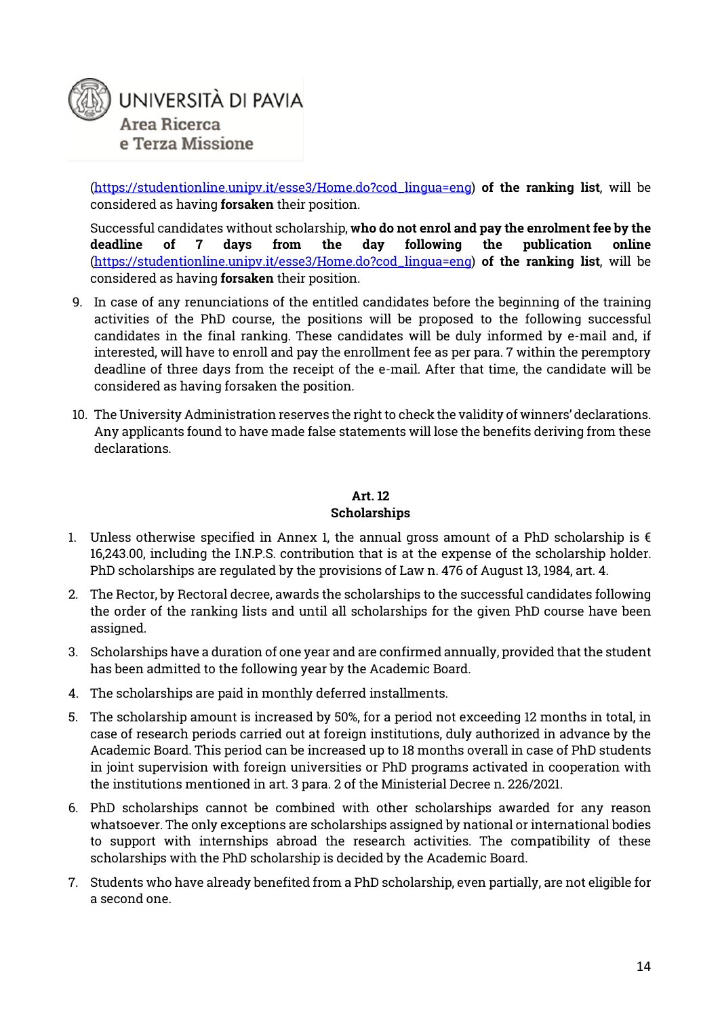

[\(https://studentionline.unipv.it/esse3/Home.do?cod\\_lingua=eng\)](https://studentionline.unipv.it/esse3/Home.do?cod_lingua=eng) **of the ranking list**, will be considered as having **forsaken** their position.

Successful candidates without scholarship, **who do not enrol and pay the enrolment fee by the deadline of 7 days from the day following the publication online** [\(https://studentionline.unipv.it/esse3/Home.do?cod\\_lingua=eng\)](https://studentionline.unipv.it/esse3/Home.do?cod_lingua=eng) **of the ranking list**, will be considered as having **forsaken** their position.

- 9. In case of any renunciations of the entitled candidates before the beginning of the training activities of the PhD course, the positions will be proposed to the following successful candidates in the final ranking. These candidates will be duly informed by e-mail and, if interested, will have to enroll and pay the enrollment fee as per para. 7 within the peremptory deadline of three days from the receipt of the e-mail. After that time, the candidate will be considered as having forsaken the position.
- 10. The University Administration reserves the right to check the validity of winners' declarations. Any applicants found to have made false statements will lose the benefits deriving from these declarations.

#### **Art. 12**

#### **Scholarships**

- 1. Unless otherwise specified in Annex 1, the annual gross amount of a PhD scholarship is  $\epsilon$ 16,243.00, including the I.N.P.S. contribution that is at the expense of the scholarship holder. PhD scholarships are regulated by the provisions of Law n. 476 of August 13, 1984, art. 4.
- 2. The Rector, by Rectoral decree, awards the scholarships to the successful candidates following the order of the ranking lists and until all scholarships for the given PhD course have been assigned.
- 3. Scholarships have a duration of one year and are confirmed annually, provided that the student has been admitted to the following year by the Academic Board.
- 4. The scholarships are paid in monthly deferred installments.
- 5. The scholarship amount is increased by 50%, for a period not exceeding 12 months in total, in case of research periods carried out at foreign institutions, duly authorized in advance by the Academic Board. This period can be increased up to 18 months overall in case of PhD students in joint supervision with foreign universities or PhD programs activated in cooperation with the institutions mentioned in art. 3 para. 2 of the Ministerial Decree n. 226/2021.
- 6. PhD scholarships cannot be combined with other scholarships awarded for any reason whatsoever. The only exceptions are scholarships assigned by national or international bodies to support with internships abroad the research activities. The compatibility of these scholarships with the PhD scholarship is decided by the Academic Board.
- 7. Students who have already benefited from a PhD scholarship, even partially, are not eligible for a second one.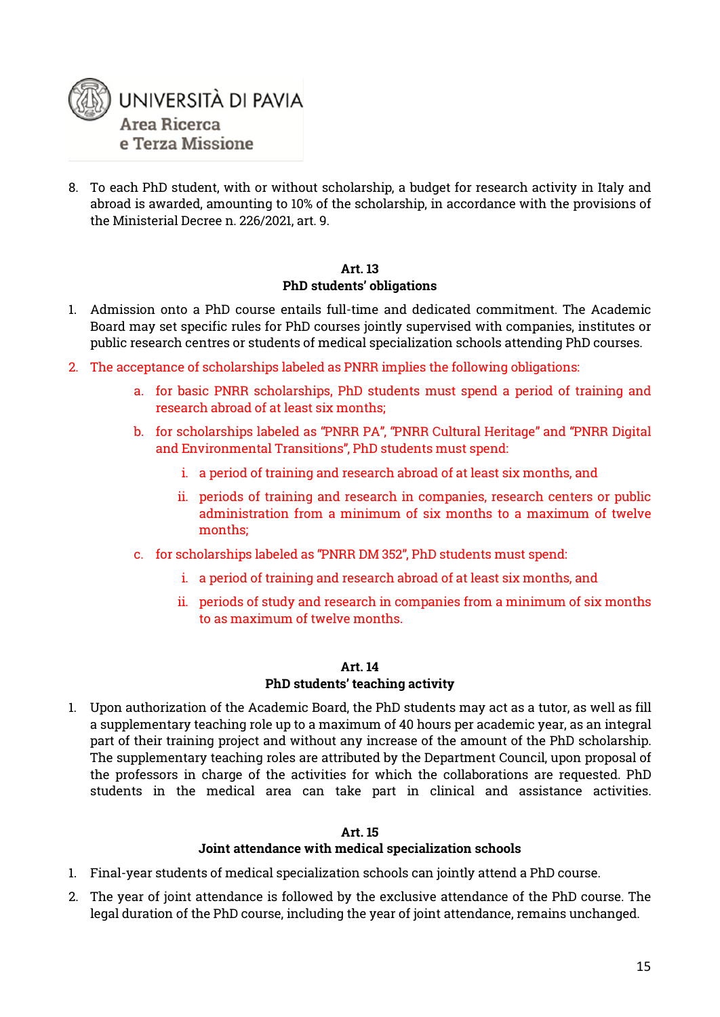

8. To each PhD student, with or without scholarship, a budget for research activity in Italy and abroad is awarded, amounting to 10% of the scholarship, in accordance with the provisions of the Ministerial Decree n. 226/2021, art. 9.

#### **Art. 13 PhD students' obligations**

- 1. Admission onto a PhD course entails full-time and dedicated commitment. The Academic Board may set specific rules for PhD courses jointly supervised with companies, institutes or public research centres or students of medical specialization schools attending PhD courses.
- 2. The acceptance of scholarships labeled as PNRR implies the following obligations:
	- a. for basic PNRR scholarships, PhD students must spend a period of training and research abroad of at least six months;
	- b. for scholarships labeled as "PNRR PA", "PNRR Cultural Heritage" and "PNRR Digital and Environmental Transitions", PhD students must spend:
		- i. a period of training and research abroad of at least six months, and
		- ii. periods of training and research in companies, research centers or public administration from a minimum of six months to a maximum of twelve months;
	- c. for scholarships labeled as "PNRR DM 352", PhD students must spend:
		- i. a period of training and research abroad of at least six months, and
		- ii. periods of study and research in companies from a minimum of six months to as maximum of twelve months.

#### **Art. 14**

#### **PhD students' teaching activity**

1. Upon authorization of the Academic Board, the PhD students may act as a tutor, as well as fill a supplementary teaching role up to a maximum of 40 hours per academic year, as an integral part of their training project and without any increase of the amount of the PhD scholarship. The supplementary teaching roles are attributed by the Department Council, upon proposal of the professors in charge of the activities for which the collaborations are requested. PhD students in the medical area can take part in clinical and assistance activities.

#### **Art. 15**

#### **Joint attendance with medical specialization schools**

- 1. Final-year students of medical specialization schools can jointly attend a PhD course.
- 2. The year of joint attendance is followed by the exclusive attendance of the PhD course. The legal duration of the PhD course, including the year of joint attendance, remains unchanged.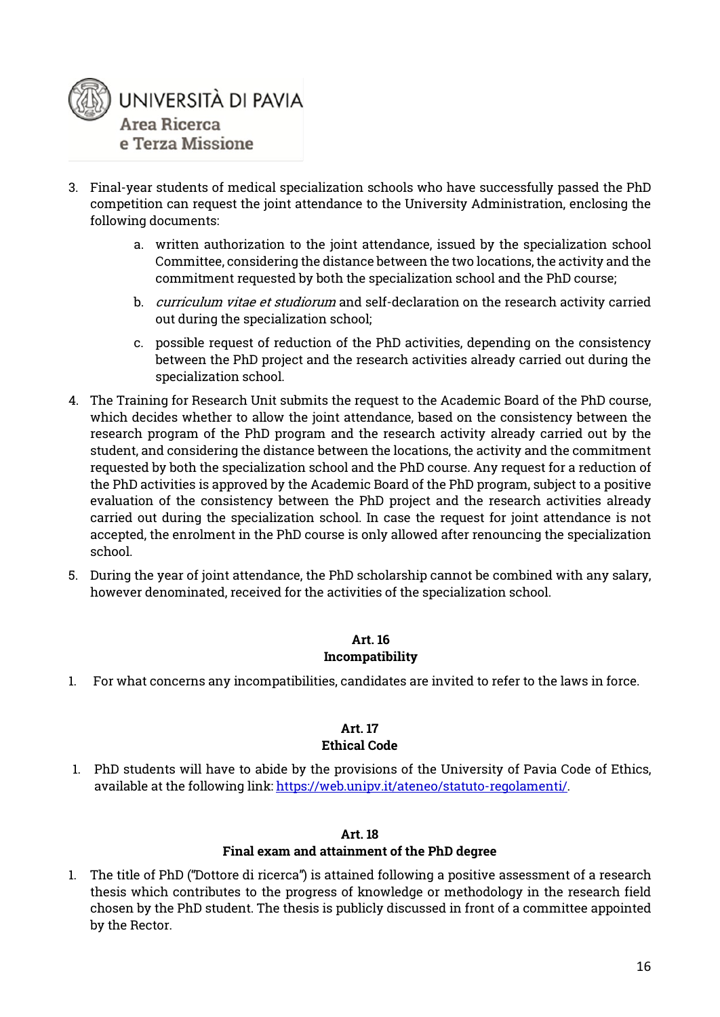

- 3. Final-year students of medical specialization schools who have successfully passed the PhD competition can request the joint attendance to the University Administration, enclosing the following documents:
	- a. written authorization to the joint attendance, issued by the specialization school Committee, considering the distance between the two locations, the activity and the commitment requested by both the specialization school and the PhD course;
	- b. curriculum vitae et studiorum and self-declaration on the research activity carried out during the specialization school;
	- c. possible request of reduction of the PhD activities, depending on the consistency between the PhD project and the research activities already carried out during the specialization school.
- 4. The Training for Research Unit submits the request to the Academic Board of the PhD course, which decides whether to allow the joint attendance, based on the consistency between the research program of the PhD program and the research activity already carried out by the student, and considering the distance between the locations, the activity and the commitment requested by both the specialization school and the PhD course. Any request for a reduction of the PhD activities is approved by the Academic Board of the PhD program, subject to a positive evaluation of the consistency between the PhD project and the research activities already carried out during the specialization school. In case the request for joint attendance is not accepted, the enrolment in the PhD course is only allowed after renouncing the specialization school.
- 5. During the year of joint attendance, the PhD scholarship cannot be combined with any salary, however denominated, received for the activities of the specialization school.

#### **Art. 16 Incompatibility**

1. For what concerns any incompatibilities, candidates are invited to refer to the laws in force.

#### **Art. 17 Ethical Code**

1. PhD students will have to abide by the provisions of the University of Pavia Code of Ethics, available at the following link: [https://web.unipv.it/ateneo/statuto-regolamenti/.](https://web.unipv.it/ateneo/statuto-regolamenti/)

#### **Art. 18**

#### **Final exam and attainment of the PhD degree**

1. The title of PhD ("Dottore di ricerca") is attained following a positive assessment of a research thesis which contributes to the progress of knowledge or methodology in the research field chosen by the PhD student. The thesis is publicly discussed in front of a committee appointed by the Rector.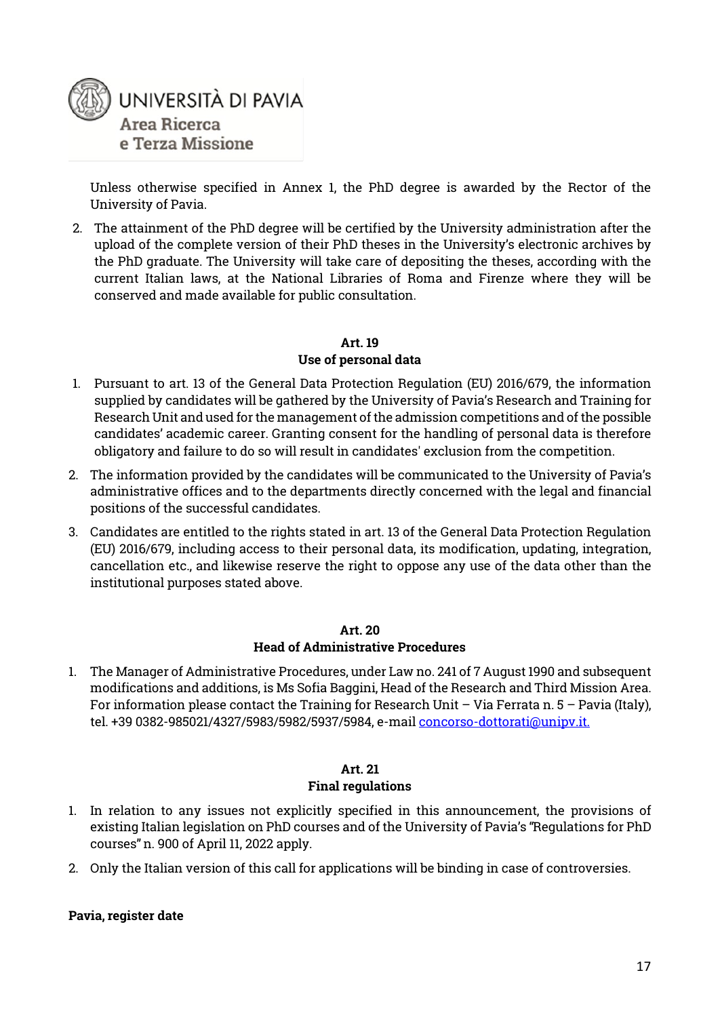

Unless otherwise specified in Annex 1, the PhD degree is awarded by the Rector of the University of Pavia.

2. The attainment of the PhD degree will be certified by the University administration after the upload of the complete version of their PhD theses in the University's electronic archives by the PhD graduate. The University will take care of depositing the theses, according with the current Italian laws, at the National Libraries of Roma and Firenze where they will be conserved and made available for public consultation.

#### **Art. 19**

#### **Use of personal data**

- 1. Pursuant to art. 13 of the General Data Protection Regulation (EU) 2016/679, the information supplied by candidates will be gathered by the University of Pavia's Research and Training for Research Unit and used for the management of the admission competitions and of the possible candidates' academic career. Granting consent for the handling of personal data is therefore obligatory and failure to do so will result in candidates' exclusion from the competition.
- 2. The information provided by the candidates will be communicated to the University of Pavia's administrative offices and to the departments directly concerned with the legal and financial positions of the successful candidates.
- 3. Candidates are entitled to the rights stated in art. 13 of the General Data Protection Regulation (EU) 2016/679, including access to their personal data, its modification, updating, integration, cancellation etc., and likewise reserve the right to oppose any use of the data other than the institutional purposes stated above.

#### **Art. 20**

#### **Head of Administrative Procedures**

1. The Manager of Administrative Procedures, under Law no. 241 of 7 August 1990 and subsequent modifications and additions, is Ms Sofia Baggini, Head of the Research and Third Mission Area. For information please contact the Training for Research Unit – Via Ferrata n.  $5$  – Pavia (Italy), tel. +39 0382-985021/4327/5983/5982/5937/5984, e-mai[l concorso-dottorati@unipv.it.](mailto:concorso-dottorati@unipv.it)

#### **Art. 21 Final regulations**

- 1. In relation to any issues not explicitly specified in this announcement, the provisions of existing Italian legislation on PhD courses and of the University of Pavia's "Regulations for PhD courses" n. 900 of April 11, 2022 apply.
- 2. Only the Italian version of this call for applications will be binding in case of controversies.

#### **Pavia, register date**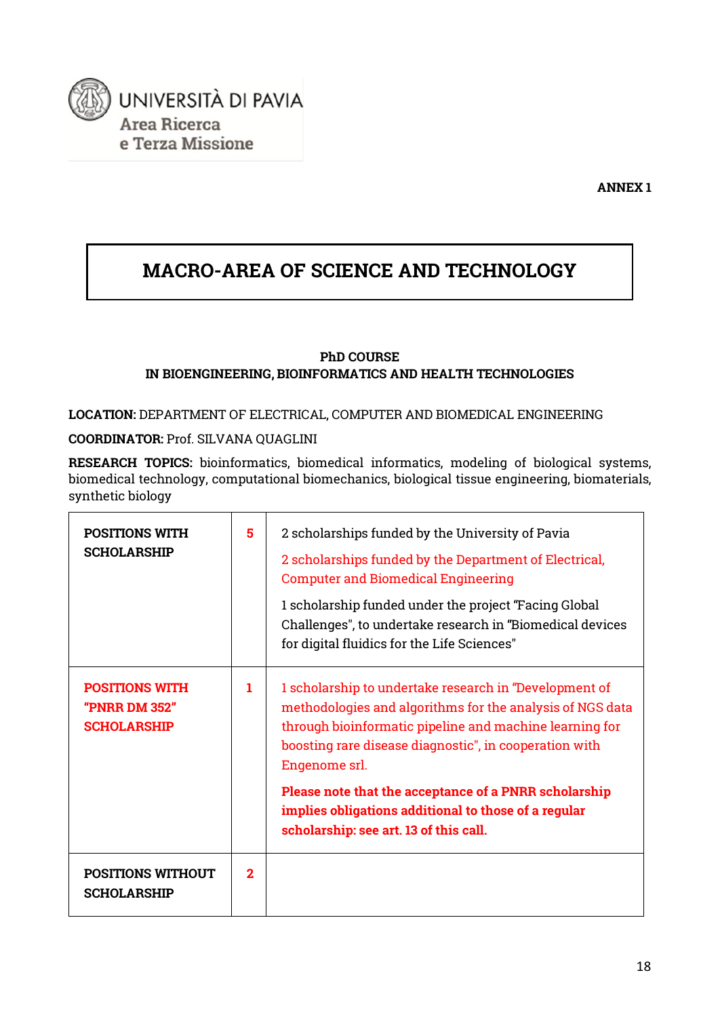

### **MACRO-AREA OF SCIENCE AND TECHNOLOGY**

#### **PhD COURSE IN BIOENGINEERING, BIOINFORMATICS AND HEALTH TECHNOLOGIES**

**LOCATION:** DEPARTMENT OF ELECTRICAL, COMPUTER AND BIOMEDICAL ENGINEERING

#### **COORDINATOR:** Prof. SILVANA QUAGLINI

**RESEARCH TOPICS:** bioinformatics, biomedical informatics, modeling of biological systems, biomedical technology, computational biomechanics, biological tissue engineering, biomaterials, synthetic biology

| <b>POSITIONS WITH</b><br><b>SCHOLARSHIP</b>                  | 5              | 2 scholarships funded by the University of Pavia<br>2 scholarships funded by the Department of Electrical,<br><b>Computer and Biomedical Engineering</b><br>1 scholarship funded under the project "Facing Global<br>Challenges", to undertake research in "Biomedical devices<br>for digital fluidics for the Life Sciences" |
|--------------------------------------------------------------|----------------|-------------------------------------------------------------------------------------------------------------------------------------------------------------------------------------------------------------------------------------------------------------------------------------------------------------------------------|
| <b>POSITIONS WITH</b><br>"PNRR DM 352"<br><b>SCHOLARSHIP</b> | 1.             | 1 scholarship to undertake research in "Development of<br>methodologies and algorithms for the analysis of NGS data<br>through bioinformatic pipeline and machine learning for<br>boosting rare disease diagnostic", in cooperation with<br>Engenome srl.                                                                     |
|                                                              |                | Please note that the acceptance of a PNRR scholarship<br>implies obligations additional to those of a regular<br>scholarship: see art. 13 of this call.                                                                                                                                                                       |
| <b>POSITIONS WITHOUT</b><br><b>SCHOLARSHIP</b>               | $\overline{2}$ |                                                                                                                                                                                                                                                                                                                               |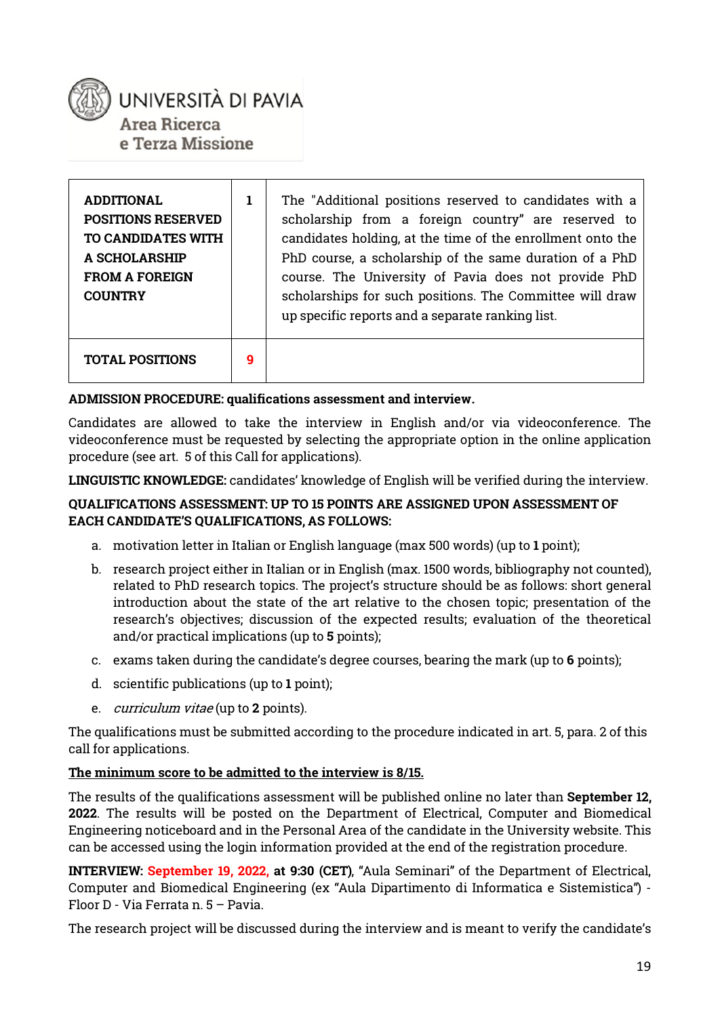

Area Ricerca e Terza Missione

| <b>ADDITIONAL</b><br><b>POSITIONS RESERVED</b><br>TO CANDIDATES WITH<br><b>A SCHOLARSHIP</b><br><b>FROM A FOREIGN</b><br><b>COUNTRY</b> |   | The "Additional positions reserved to candidates with a<br>scholarship from a foreign country" are reserved to<br>candidates holding, at the time of the enrollment onto the<br>PhD course, a scholarship of the same duration of a PhD<br>course. The University of Pavia does not provide PhD<br>scholarships for such positions. The Committee will draw<br>up specific reports and a separate ranking list. |
|-----------------------------------------------------------------------------------------------------------------------------------------|---|-----------------------------------------------------------------------------------------------------------------------------------------------------------------------------------------------------------------------------------------------------------------------------------------------------------------------------------------------------------------------------------------------------------------|
| <b>TOTAL POSITIONS</b>                                                                                                                  | 9 |                                                                                                                                                                                                                                                                                                                                                                                                                 |

#### **ADMISSION PROCEDURE: qualifications assessment and interview.**

Candidates are allowed to take the interview in English and/or via videoconference. The videoconference must be requested by selecting the appropriate option in the online application procedure (see art. 5 of this Call for applications).

**LINGUISTIC KNOWLEDGE:** candidates' knowledge of English will be verified during the interview.

#### **QUALIFICATIONS ASSESSMENT: UP TO 15 POINTS ARE ASSIGNED UPON ASSESSMENT OF EACH CANDIDATE'S QUALIFICATIONS, AS FOLLOWS:**

- a. motivation letter in Italian or English language (max 500 words) (up to **1** point);
- b. research project either in Italian or in English (max. 1500 words, bibliography not counted), related to PhD research topics. The project's structure should be as follows: short general introduction about the state of the art relative to the chosen topic; presentation of the research's objectives; discussion of the expected results; evaluation of the theoretical and/or practical implications (up to **5** points);
- c. exams taken during the candidate's degree courses, bearing the mark (up to **6** points);
- d. scientific publications (up to **1** point);
- e. curriculum vitae (up to **2** points).

The qualifications must be submitted according to the procedure indicated in art. 5, para. 2 of this call for applications.

#### **The minimum score to be admitted to the interview is 8/15.**

The results of the qualifications assessment will be published online no later than **September 12, 2022**. The results will be posted on the Department of Electrical, Computer and Biomedical Engineering noticeboard and in the Personal Area of the candidate in the University website. This can be accessed using the login information provided at the end of the registration procedure.

**INTERVIEW: September 19, 2022, at 9:30 (CET)**, "Aula Seminari" of the Department of Electrical, Computer and Biomedical Engineering (ex "Aula Dipartimento di Informatica e Sistemistica") - Floor D - Via Ferrata n. 5 – Pavia.

The research project will be discussed during the interview and is meant to verify the candidate's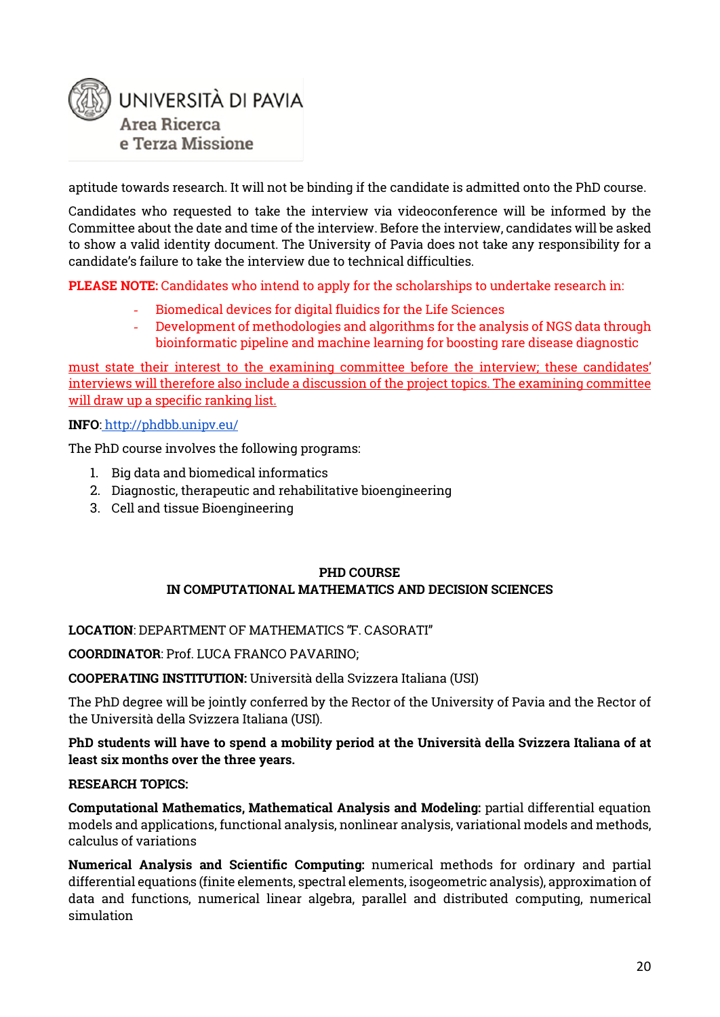

aptitude towards research. It will not be binding if the candidate is admitted onto the PhD course.

Candidates who requested to take the interview via videoconference will be informed by the Committee about the date and time of the interview. Before the interview, candidates will be asked to show a valid identity document. The University of Pavia does not take any responsibility for a candidate's failure to take the interview due to technical difficulties.

**PLEASE NOTE:** Candidates who intend to apply for the scholarships to undertake research in:

- Biomedical devices for digital fluidics for the Life Sciences
- Development of methodologies and algorithms for the analysis of NGS data through bioinformatic pipeline and machine learning for boosting rare disease diagnostic

must state their interest to the examining committee before the interview; these candidates' interviews will therefore also include a discussion of the project topics. The examining committee will draw up a specific ranking list.

#### **INFO**: <http://phdbb.unipv.eu/>

The PhD course involves the following programs:

- 1. Big data and biomedical informatics
- 2. Diagnostic, therapeutic and rehabilitative bioengineering
- 3. Cell and tissue Bioengineering

#### **PHD COURSE IN COMPUTATIONAL MATHEMATICS AND DECISION SCIENCES**

#### **LOCATION**: DEPARTMENT OF MATHEMATICS "F. CASORATI"

**COORDINATOR**: Prof. LUCA FRANCO PAVARINO;

**COOPERATING INSTITUTION:** Università della Svizzera Italiana (USI)

The PhD degree will be jointly conferred by the Rector of the University of Pavia and the Rector of the Università della Svizzera Italiana (USI).

#### **PhD students will have to spend a mobility period at the Università della Svizzera Italiana of at least six months over the three years.**

#### **RESEARCH TOPICS:**

**Computational Mathematics, Mathematical Analysis and Modeling:** partial differential equation models and applications, functional analysis, nonlinear analysis, variational models and methods, calculus of variations

**Numerical Analysis and Scientific Computing:** numerical methods for ordinary and partial differential equations (finite elements, spectral elements, isogeometric analysis), approximation of data and functions, numerical linear algebra, parallel and distributed computing, numerical simulation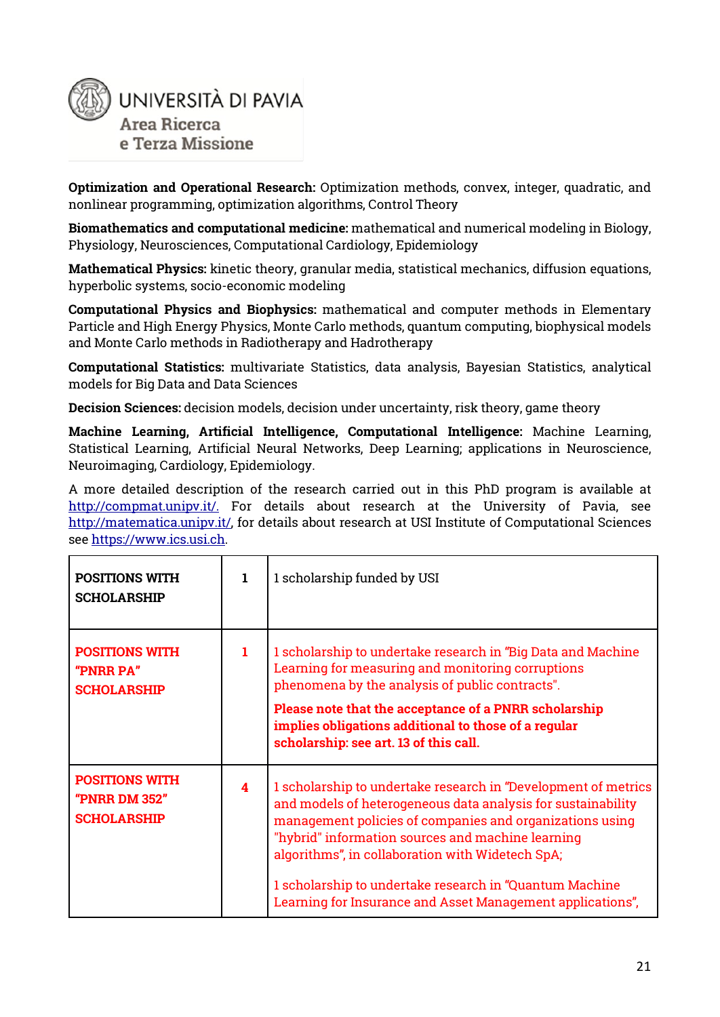

**Optimization and Operational Research:** Optimization methods, convex, integer, quadratic, and nonlinear programming, optimization algorithms, Control Theory

**Biomathematics and computational medicine:** mathematical and numerical modeling in Biology, Physiology, Neurosciences, Computational Cardiology, Epidemiology

**Mathematical Physics:** kinetic theory, granular media, statistical mechanics, diffusion equations, hyperbolic systems, socio-economic modeling

**Computational Physics and Biophysics:** mathematical and computer methods in Elementary Particle and High Energy Physics, Monte Carlo methods, quantum computing, biophysical models and Monte Carlo methods in Radiotherapy and Hadrotherapy

**Computational Statistics:** multivariate Statistics, data analysis, Bayesian Statistics, analytical models for Big Data and Data Sciences

**Decision Sciences:** decision models, decision under uncertainty, risk theory, game theory

**Machine Learning, Artificial Intelligence, Computational Intelligence:** Machine Learning, Statistical Learning, Artificial Neural Networks, Deep Learning; applications in Neuroscience, Neuroimaging, Cardiology, Epidemiology.

A more detailed description of the research carried out in this PhD program is available at [http://compmat.unipv.it/.](http://compmat.unipv.it/) For details about research at the University of Pavia, see [http://matematica.unipv.it/,](http://matematica.unipv.it/) for details about research at USI Institute of Computational Sciences see [https://www.ics.usi.ch.](https://www.ics.usi.ch/)

| <b>POSITIONS WITH</b><br><b>SCHOLARSHIP</b>                  | 1 | 1 scholarship funded by USI                                                                                                                                                                                                                                                                                                                                                                                                   |  |
|--------------------------------------------------------------|---|-------------------------------------------------------------------------------------------------------------------------------------------------------------------------------------------------------------------------------------------------------------------------------------------------------------------------------------------------------------------------------------------------------------------------------|--|
| <b>POSITIONS WITH</b><br>"PNRR PA"<br><b>SCHOLARSHIP</b>     | 1 | 1 scholarship to undertake research in "Big Data and Machine"<br>Learning for measuring and monitoring corruptions<br>phenomena by the analysis of public contracts".<br>Please note that the acceptance of a PNRR scholarship<br>implies obligations additional to those of a regular<br>scholarship: see art. 13 of this call.                                                                                              |  |
| <b>POSITIONS WITH</b><br>"PNRR DM 352"<br><b>SCHOLARSHIP</b> | 4 | 1 scholarship to undertake research in "Development of metrics<br>and models of heterogeneous data analysis for sustainability<br>management policies of companies and organizations using<br>"hybrid" information sources and machine learning<br>algorithms", in collaboration with Widetech SpA;<br>1 scholarship to undertake research in "Quantum Machine"<br>Learning for Insurance and Asset Management applications", |  |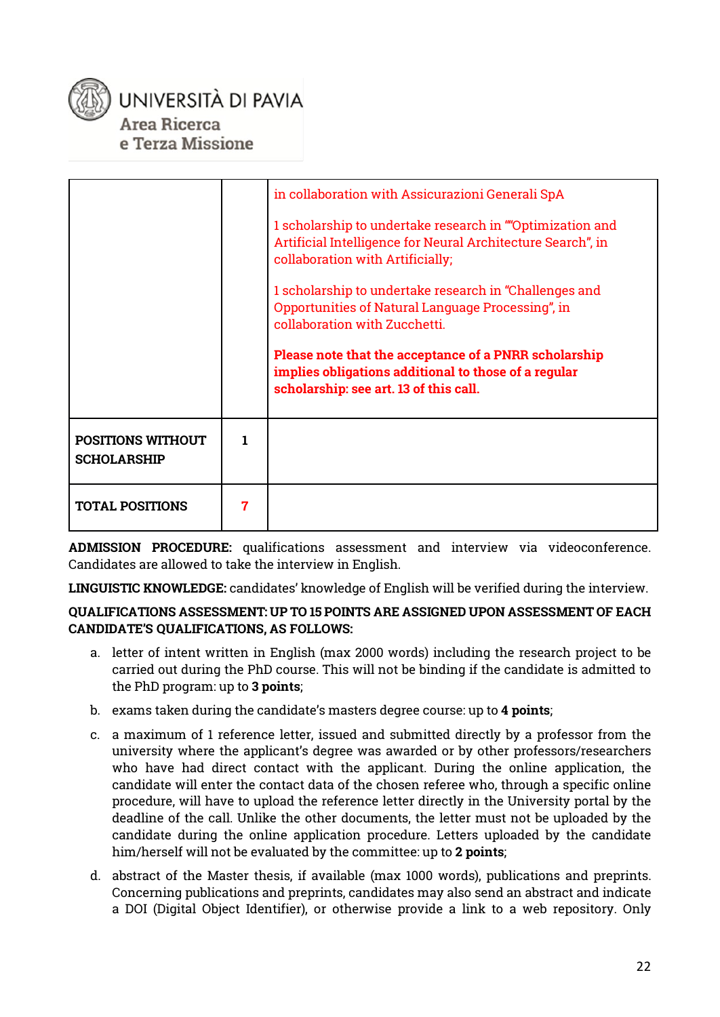

|                                                |   | in collaboration with Assicurazioni Generali SpA<br>1 scholarship to undertake research in ""Optimization and<br>Artificial Intelligence for Neural Architecture Search", in<br>collaboration with Artificially;<br>1 scholarship to undertake research in "Challenges and<br>Opportunities of Natural Language Processing", in<br>collaboration with Zucchetti. |
|------------------------------------------------|---|------------------------------------------------------------------------------------------------------------------------------------------------------------------------------------------------------------------------------------------------------------------------------------------------------------------------------------------------------------------|
|                                                |   | Please note that the acceptance of a PNRR scholarship<br>implies obligations additional to those of a regular<br>scholarship: see art. 13 of this call.                                                                                                                                                                                                          |
| <b>POSITIONS WITHOUT</b><br><b>SCHOLARSHIP</b> | 1 |                                                                                                                                                                                                                                                                                                                                                                  |
| <b>TOTAL POSITIONS</b>                         | 7 |                                                                                                                                                                                                                                                                                                                                                                  |

**ADMISSION PROCEDURE:** qualifications assessment and interview via videoconference. Candidates are allowed to take the interview in English.

**LINGUISTIC KNOWLEDGE:** candidates' knowledge of English will be verified during the interview.

#### **QUALIFICATIONS ASSESSMENT: UP TO 15 POINTS ARE ASSIGNED UPON ASSESSMENT OF EACH CANDIDATE'S QUALIFICATIONS, AS FOLLOWS:**

- a. letter of intent written in English (max 2000 words) including the research project to be carried out during the PhD course. This will not be binding if the candidate is admitted to the PhD program: up to **3 points**;
- b. exams taken during the candidate's masters degree course: up to **4 points**;
- c. a maximum of 1 reference letter, issued and submitted directly by a professor from the university where the applicant's degree was awarded or by other professors/researchers who have had direct contact with the applicant. During the online application, the candidate will enter the contact data of the chosen referee who, through a specific online procedure, will have to upload the reference letter directly in the University portal by the deadline of the call. Unlike the other documents, the letter must not be uploaded by the candidate during the online application procedure. Letters uploaded by the candidate him/herself will not be evaluated by the committee: up to **2 points**;
- d. abstract of the Master thesis, if available (max 1000 words), publications and preprints. Concerning publications and preprints, candidates may also send an abstract and indicate a DOI (Digital Object Identifier), or otherwise provide a link to a web repository. Only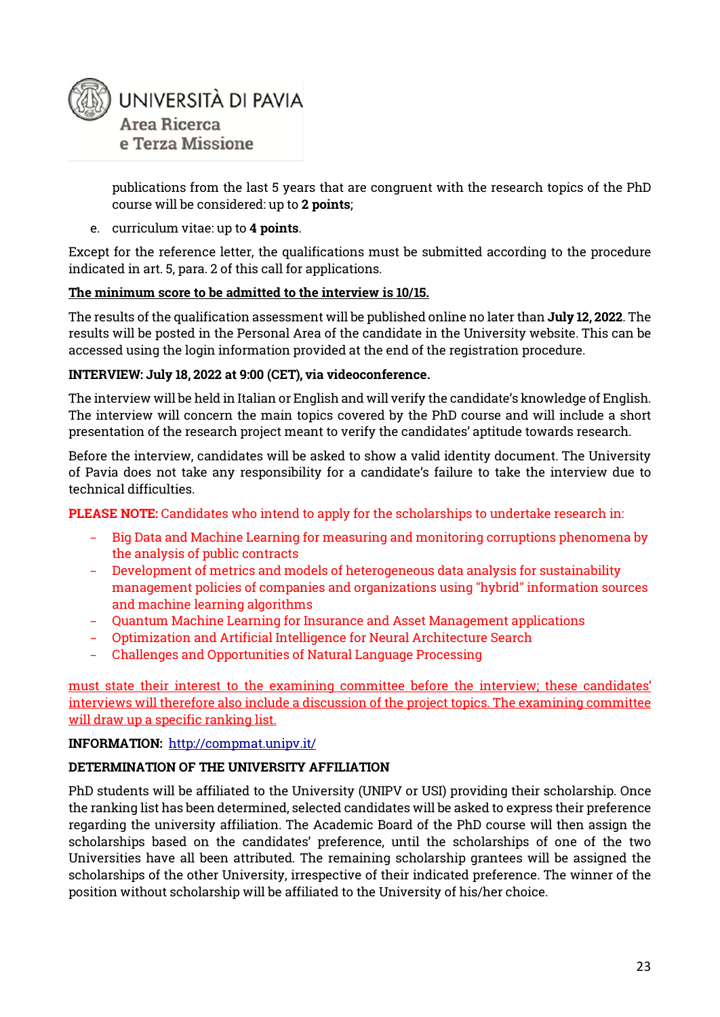

publications from the last 5 years that are congruent with the research topics of the PhD course will be considered: up to **2 points**;

#### e. curriculum vitae: up to **4 points**.

Except for the reference letter, the qualifications must be submitted according to the procedure indicated in art. 5, para. 2 of this call for applications.

#### **The minimum score to be admitted to the interview is 10/15.**

The results of the qualification assessment will be published online no later than **July 12, 2022**. The results will be posted in the Personal Area of the candidate in the University website. This can be accessed using the login information provided at the end of the registration procedure.

#### **INTERVIEW: July 18, 2022 at 9:00 (CET), via videoconference.**

The interview will be held in Italian or English and will verify the candidate's knowledge of English. The interview will concern the main topics covered by the PhD course and will include a short presentation of the research project meant to verify the candidates' aptitude towards research.

Before the interview, candidates will be asked to show a valid identity document. The University of Pavia does not take any responsibility for a candidate's failure to take the interview due to technical difficulties.

**PLEASE NOTE:** Candidates who intend to apply for the scholarships to undertake research in:

- − Big Data and Machine Learning for measuring and monitoring corruptions phenomena by the analysis of public contracts
- − Development of metrics and models of heterogeneous data analysis for sustainability management policies of companies and organizations using "hybrid" information sources and machine learning algorithms
- − Quantum Machine Learning for Insurance and Asset Management applications
- − Optimization and Artificial Intelligence for Neural Architecture Search
- − Challenges and Opportunities of Natural Language Processing

must state their interest to the examining committee before the interview; these candidates' interviews will therefore also include a discussion of the project topics. The examining committee will draw up a specific ranking list.

#### **INFORMATION:** <http://compmat.unipv.it/>

#### **DETERMINATION OF THE UNIVERSITY AFFILIATION**

PhD students will be affiliated to the University (UNIPV or USI) providing their scholarship. Once the ranking list has been determined, selected candidates will be asked to express their preference regarding the university affiliation. The Academic Board of the PhD course will then assign the scholarships based on the candidates' preference, until the scholarships of one of the two Universities have all been attributed. The remaining scholarship grantees will be assigned the scholarships of the other University, irrespective of their indicated preference. The winner of the position without scholarship will be affiliated to the University of his/her choice.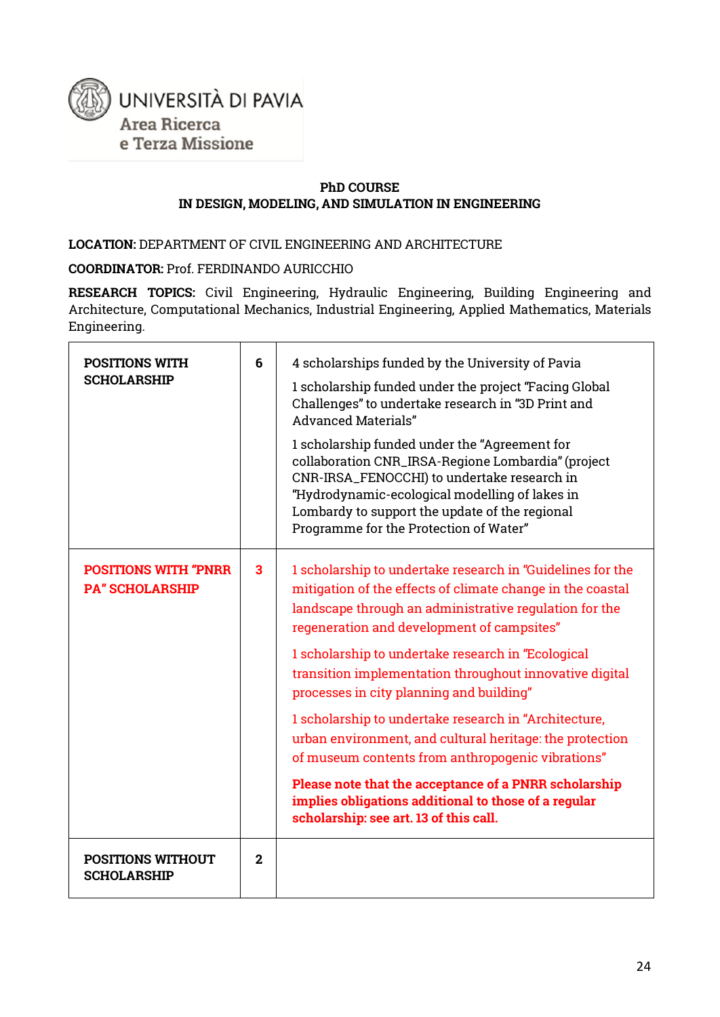

#### **PhD COURSE IN DESIGN, MODELING, AND SIMULATION IN ENGINEERING**

LOCATION: DEPARTMENT OF CIVIL ENGINEERING AND ARCHITECTURE

**COORDINATOR:** Prof. FERDINANDO AURICCHIO

**RESEARCH TOPICS:** Civil Engineering, Hydraulic Engineering, Building Engineering and Architecture, Computational Mechanics, Industrial Engineering, Applied Mathematics, Materials Engineering.

| <b>POSITIONS WITH</b><br><b>SCHOLARSHIP</b>           | 6              | 4 scholarships funded by the University of Pavia<br>1 scholarship funded under the project "Facing Global<br>Challenges" to undertake research in "3D Print and<br><b>Advanced Materials"</b><br>1 scholarship funded under the "Agreement for<br>collaboration CNR_IRSA-Regione Lombardia" (project<br>CNR-IRSA_FENOCCHI) to undertake research in<br>"Hydrodynamic-ecological modelling of lakes in<br>Lombardy to support the update of the regional<br>Programme for the Protection of Water"                                                                                                                                                                                                                                  |
|-------------------------------------------------------|----------------|------------------------------------------------------------------------------------------------------------------------------------------------------------------------------------------------------------------------------------------------------------------------------------------------------------------------------------------------------------------------------------------------------------------------------------------------------------------------------------------------------------------------------------------------------------------------------------------------------------------------------------------------------------------------------------------------------------------------------------|
| <b>POSITIONS WITH "PNRR</b><br><b>PA" SCHOLARSHIP</b> | 3              | 1 scholarship to undertake research in "Guidelines for the<br>mitigation of the effects of climate change in the coastal<br>landscape through an administrative regulation for the<br>regeneration and development of campsites"<br>1 scholarship to undertake research in "Ecological<br>transition implementation throughout innovative digital<br>processes in city planning and building"<br>1 scholarship to undertake research in "Architecture,<br>urban environment, and cultural heritage: the protection<br>of museum contents from anthropogenic vibrations"<br>Please note that the acceptance of a PNRR scholarship<br>implies obligations additional to those of a regular<br>scholarship: see art. 13 of this call. |
| <b>POSITIONS WITHOUT</b><br><b>SCHOLARSHIP</b>        | $\overline{2}$ |                                                                                                                                                                                                                                                                                                                                                                                                                                                                                                                                                                                                                                                                                                                                    |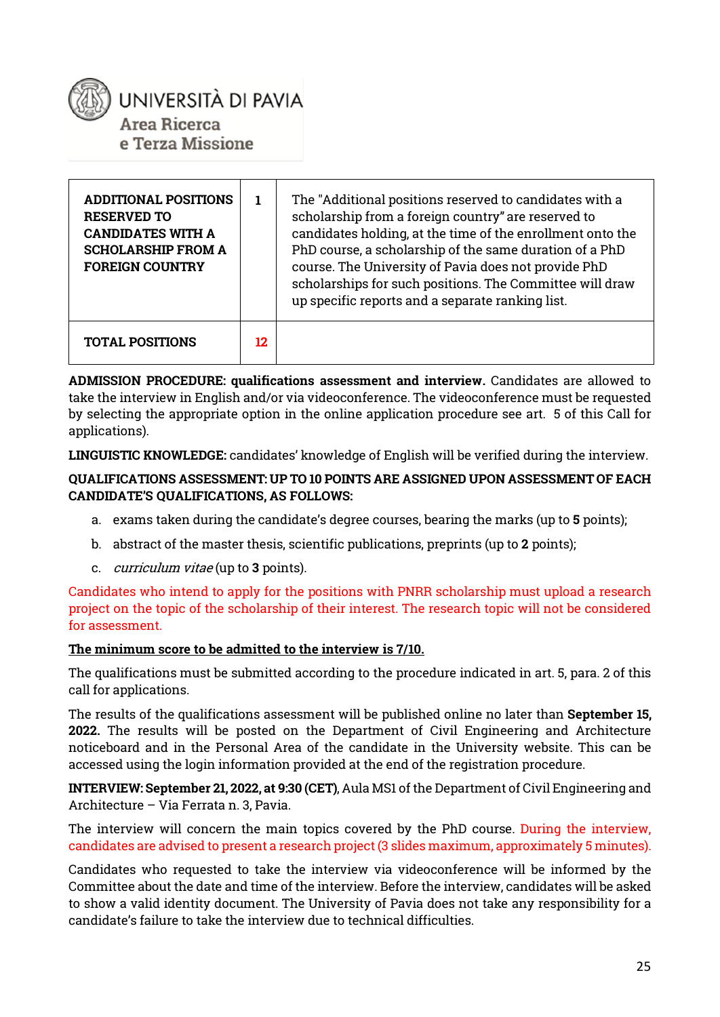

| <b>ADDITIONAL POSITIONS</b><br><b>RESERVED TO</b><br><b>CANDIDATES WITH A</b><br><b>SCHOLARSHIP FROM A</b><br><b>FOREIGN COUNTRY</b> |     | The "Additional positions reserved to candidates with a<br>scholarship from a foreign country" are reserved to<br>candidates holding, at the time of the enrollment onto the<br>PhD course, a scholarship of the same duration of a PhD<br>course. The University of Pavia does not provide PhD<br>scholarships for such positions. The Committee will draw<br>up specific reports and a separate ranking list. |
|--------------------------------------------------------------------------------------------------------------------------------------|-----|-----------------------------------------------------------------------------------------------------------------------------------------------------------------------------------------------------------------------------------------------------------------------------------------------------------------------------------------------------------------------------------------------------------------|
| <b>TOTAL POSITIONS</b>                                                                                                               | 12. |                                                                                                                                                                                                                                                                                                                                                                                                                 |

**ADMISSION PROCEDURE: qualifications assessment and interview.** Candidates are allowed to take the interview in English and/or via videoconference. The videoconference must be requested by selecting the appropriate option in the online application procedure see art. 5 of this Call for applications).

**LINGUISTIC KNOWLEDGE:** candidates' knowledge of English will be verified during the interview.

#### **QUALIFICATIONS ASSESSMENT: UP TO 10 POINTS ARE ASSIGNED UPON ASSESSMENT OF EACH CANDIDATE'S QUALIFICATIONS, AS FOLLOWS:**

- a. exams taken during the candidate's degree courses, bearing the marks (up to **5** points);
- b. abstract of the master thesis, scientific publications, preprints (up to **2** points);
- c. curriculum vitae (up to **3** points).

Candidates who intend to apply for the positions with PNRR scholarship must upload a research project on the topic of the scholarship of their interest. The research topic will not be considered for assessment.

#### **The minimum score to be admitted to the interview is 7/10.**

The qualifications must be submitted according to the procedure indicated in art. 5, para. 2 of this call for applications.

The results of the qualifications assessment will be published online no later than **September 15, 2022.** The results will be posted on the Department of Civil Engineering and Architecture noticeboard and in the Personal Area of the candidate in the University website. This can be accessed using the login information provided at the end of the registration procedure.

**INTERVIEW: September 21, 2022, at 9:30 (CET)**, Aula MS1 of the Department of Civil Engineering and Architecture – Via Ferrata n. 3, Pavia.

The interview will concern the main topics covered by the PhD course. During the interview, candidates are advised to present a research project (3 slides maximum, approximately 5 minutes).

Candidates who requested to take the interview via videoconference will be informed by the Committee about the date and time of the interview. Before the interview, candidates will be asked to show a valid identity document. The University of Pavia does not take any responsibility for a candidate's failure to take the interview due to technical difficulties.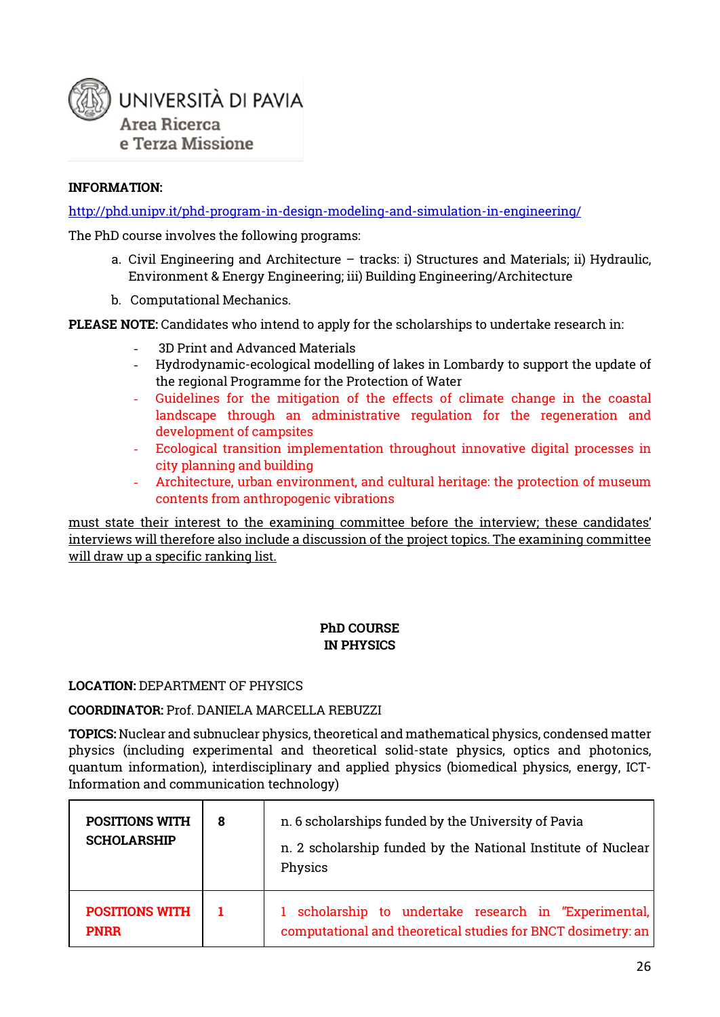

#### **INFORMATION:**

<http://phd.unipv.it/phd-program-in-design-modeling-and-simulation-in->[engineering/](http://phd.unipv.it/phd-program-in-design-modeling-and-simulation-in-engineering/)

The PhD course involves the following programs:

- a. Civil Engineering and Architecture tracks: i) Structures and Materials; ii) Hydraulic, Environment & Energy Engineering; iii) Building Engineering/Architecture
- b. Computational Mechanics.

**PLEASE NOTE:** Candidates who intend to apply for the scholarships to undertake research in:

- 3D Print and Advanced Materials
- Hydrodynamic-ecological modelling of lakes in Lombardy to support the update of the regional Programme for the Protection of Water
- Guidelines for the mitigation of the effects of climate change in the coastal landscape through an administrative regulation for the regeneration and development of campsites
- Ecological transition implementation throughout innovative digital processes in city planning and building
- Architecture, urban environment, and cultural heritage: the protection of museum contents from anthropogenic vibrations

must state their interest to the examining committee before the interview; these candidates' interviews will therefore also include a discussion of the project topics. The examining committee will draw up a specific ranking list.

#### **PhD COURSE IN PHYSICS**

#### **LOCATION:** DEPARTMENT OF PHYSICS

**COORDINATOR:** Prof. DANIELA MARCELLA REBUZZI

**TOPICS:** Nuclear and subnuclear physics, theoretical and mathematical physics, condensed matter physics (including experimental and theoretical solid-state physics, optics and photonics, quantum information), interdisciplinary and applied physics (biomedical physics, energy, ICT-Information and communication technology)

| <b>POSITIONS WITH</b><br><b>SCHOLARSHIP</b> | 8  | n. 6 scholarships funded by the University of Pavia<br>n. 2 scholarship funded by the National Institute of Nuclear<br>Physics |  |
|---------------------------------------------|----|--------------------------------------------------------------------------------------------------------------------------------|--|
| <b>POSITIONS WITH</b><br><b>PNRR</b>        | 1. | 1 scholarship to undertake research in "Experimental,<br>computational and theoretical studies for BNCT dosimetry: an          |  |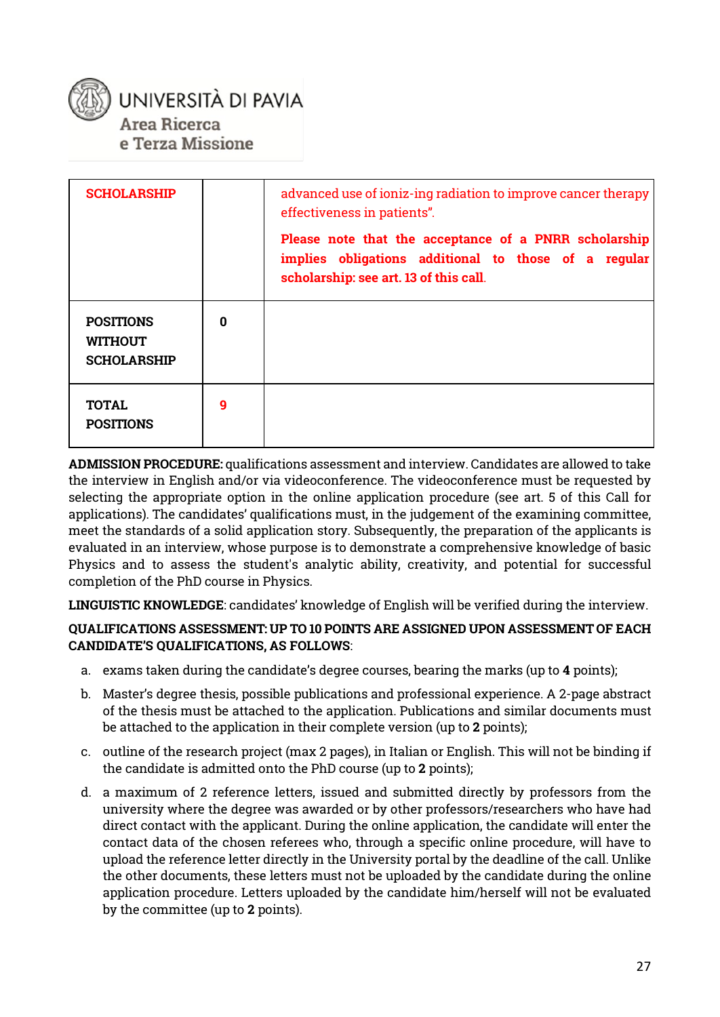

| <b>SCHOLARSHIP</b>                                       |          | advanced use of ioniz-ing radiation to improve cancer therapy<br>effectiveness in patients".                                                            |
|----------------------------------------------------------|----------|---------------------------------------------------------------------------------------------------------------------------------------------------------|
|                                                          |          | Please note that the acceptance of a PNRR scholarship<br>implies obligations additional to those of a regular<br>scholarship: see art. 13 of this call. |
| <b>POSITIONS</b><br><b>WITHOUT</b><br><b>SCHOLARSHIP</b> | $\Omega$ |                                                                                                                                                         |
| <b>TOTAL</b><br><b>POSITIONS</b>                         | g        |                                                                                                                                                         |

**ADMISSION PROCEDURE:** qualifications assessment and interview. Candidates are allowed to take the interview in English and/or via videoconference. The videoconference must be requested by selecting the appropriate option in the online application procedure (see art. 5 of this Call for applications). The candidates' qualifications must, in the judgement of the examining committee, meet the standards of a solid application story. Subsequently, the preparation of the applicants is evaluated in an interview, whose purpose is to demonstrate a comprehensive knowledge of basic Physics and to assess the student's analytic ability, creativity, and potential for successful completion of the PhD course in Physics.

**LINGUISTIC KNOWLEDGE**: candidates' knowledge of English will be verified during the interview.

#### **QUALIFICATIONS ASSESSMENT: UP TO 10 POINTS ARE ASSIGNED UPON ASSESSMENT OF EACH CANDIDATE'S QUALIFICATIONS, AS FOLLOWS**:

- a. exams taken during the candidate's degree courses, bearing the marks (up to **4** points);
- b. Master's degree thesis, possible publications and professional experience. A 2-page abstract of the thesis must be attached to the application. Publications and similar documents must be attached to the application in their complete version (up to **2** points);
- c. outline of the research project (max 2 pages), in Italian or English. This will not be binding if the candidate is admitted onto the PhD course (up to **2** points);
- d. a maximum of 2 reference letters, issued and submitted directly by professors from the university where the degree was awarded or by other professors/researchers who have had direct contact with the applicant. During the online application, the candidate will enter the contact data of the chosen referees who, through a specific online procedure, will have to upload the reference letter directly in the University portal by the deadline of the call. Unlike the other documents, these letters must not be uploaded by the candidate during the online application procedure. Letters uploaded by the candidate him/herself will not be evaluated by the committee (up to **2** points).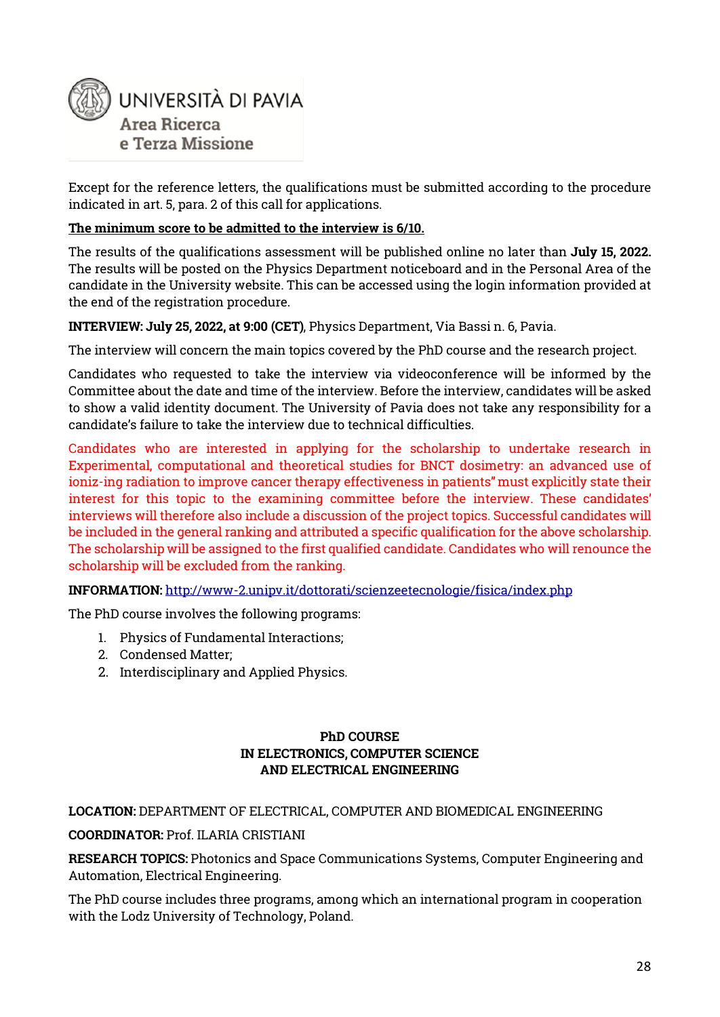

Except for the reference letters, the qualifications must be submitted according to the procedure indicated in art. 5, para. 2 of this call for applications.

#### **The minimum score to be admitted to the interview is 6/10.**

The results of the qualifications assessment will be published online no later than **July 15, 2022.**  The results will be posted on the Physics Department noticeboard and in the Personal Area of the candidate in the University website. This can be accessed using the login information provided at the end of the registration procedure.

**INTERVIEW: July 25, 2022, at 9:00 (CET)**, Physics Department, Via Bassi n. 6, Pavia.

The interview will concern the main topics covered by the PhD course and the research project.

Candidates who requested to take the interview via videoconference will be informed by the Committee about the date and time of the interview. Before the interview, candidates will be asked to show a valid identity document. The University of Pavia does not take any responsibility for a candidate's failure to take the interview due to technical difficulties.

Candidates who are interested in applying for the scholarship to undertake research in Experimental, computational and theoretical studies for BNCT dosimetry: an advanced use of ioniz-ing radiation to improve cancer therapy effectiveness in patients" must explicitly state their interest for this topic to the examining committee before the interview. These candidates' interviews will therefore also include a discussion of the project topics. Successful candidates will be included in the general ranking and attributed a specific qualification for the above scholarship. The scholarship will be assigned to the first qualified candidate. Candidates who will renounce the scholarship will be excluded from the ranking.

**INFORMATION:** <http://www-2.unipv.it/dottorati/scienzeetecnologie/fisica/index.php>

The PhD course involves the following programs:

- 1. Physics of Fundamental Interactions;
- 2. Condensed Matter;
- 2. Interdisciplinary and Applied Physics.

#### **PhD COURSE IN ELECTRONICS, COMPUTER SCIENCE AND ELECTRICAL ENGINEERING**

#### **LOCATION:** DEPARTMENT OF ELECTRICAL, COMPUTER AND BIOMEDICAL ENGINEERING

#### **COORDINATOR:** Prof. ILARIA CRISTIANI

**RESEARCH TOPICS:** Photonics and Space Communications Systems, Computer Engineering and Automation, Electrical Engineering.

The PhD course includes three programs, among which an international program in cooperation with the Lodz University of Technology, Poland.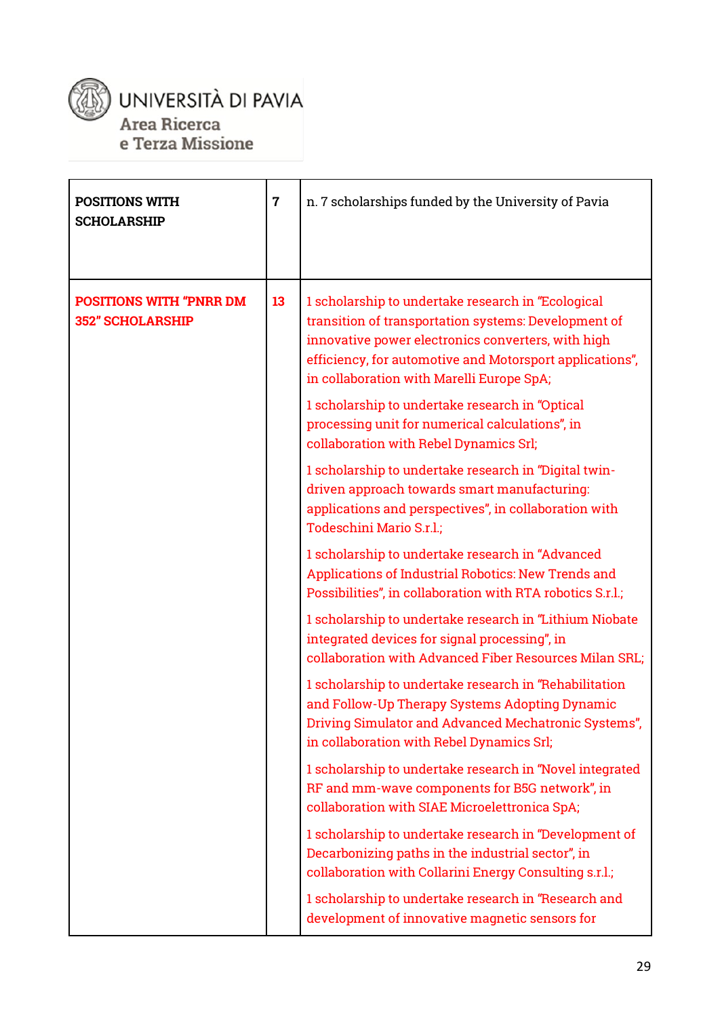

# UNIVERSITÀ DI PAVIA

Area Ricerca

e Terza Missione

| <b>POSITIONS WITH</b><br><b>SCHOLARSHIP</b>               | $\overline{7}$ | n. 7 scholarships funded by the University of Pavia                                                                                                                                                                                                                       |
|-----------------------------------------------------------|----------------|---------------------------------------------------------------------------------------------------------------------------------------------------------------------------------------------------------------------------------------------------------------------------|
| <b>POSITIONS WITH "PNRR DM</b><br><b>352" SCHOLARSHIP</b> | 13             | 1 scholarship to undertake research in "Ecological<br>transition of transportation systems: Development of<br>innovative power electronics converters, with high<br>efficiency, for automotive and Motorsport applications",<br>in collaboration with Marelli Europe SpA; |
|                                                           |                | 1 scholarship to undertake research in "Optical<br>processing unit for numerical calculations", in<br>collaboration with Rebel Dynamics Srl;                                                                                                                              |
|                                                           |                | 1 scholarship to undertake research in "Digital twin-<br>driven approach towards smart manufacturing:<br>applications and perspectives", in collaboration with<br>Todeschini Mario S.r.l.;                                                                                |
|                                                           |                | 1 scholarship to undertake research in "Advanced<br>Applications of Industrial Robotics: New Trends and<br>Possibilities", in collaboration with RTA robotics S.r.l.;                                                                                                     |
|                                                           |                | 1 scholarship to undertake research in "Lithium Niobate<br>integrated devices for signal processing", in<br>collaboration with Advanced Fiber Resources Milan SRL;                                                                                                        |
|                                                           |                | 1 scholarship to undertake research in "Rehabilitation<br>and Follow-Up Therapy Systems Adopting Dynamic<br>Driving Simulator and Advanced Mechatronic Systems",<br>in collaboration with Rebel Dynamics Srl;                                                             |
|                                                           |                | 1 scholarship to undertake research in "Novel integrated<br>RF and mm-wave components for B5G network", in<br>collaboration with SIAE Microelettronica SpA;                                                                                                               |
|                                                           |                | 1 scholarship to undertake research in "Development of<br>Decarbonizing paths in the industrial sector", in<br>collaboration with Collarini Energy Consulting s.r.l.;                                                                                                     |
|                                                           |                | 1 scholarship to undertake research in "Research and<br>development of innovative magnetic sensors for                                                                                                                                                                    |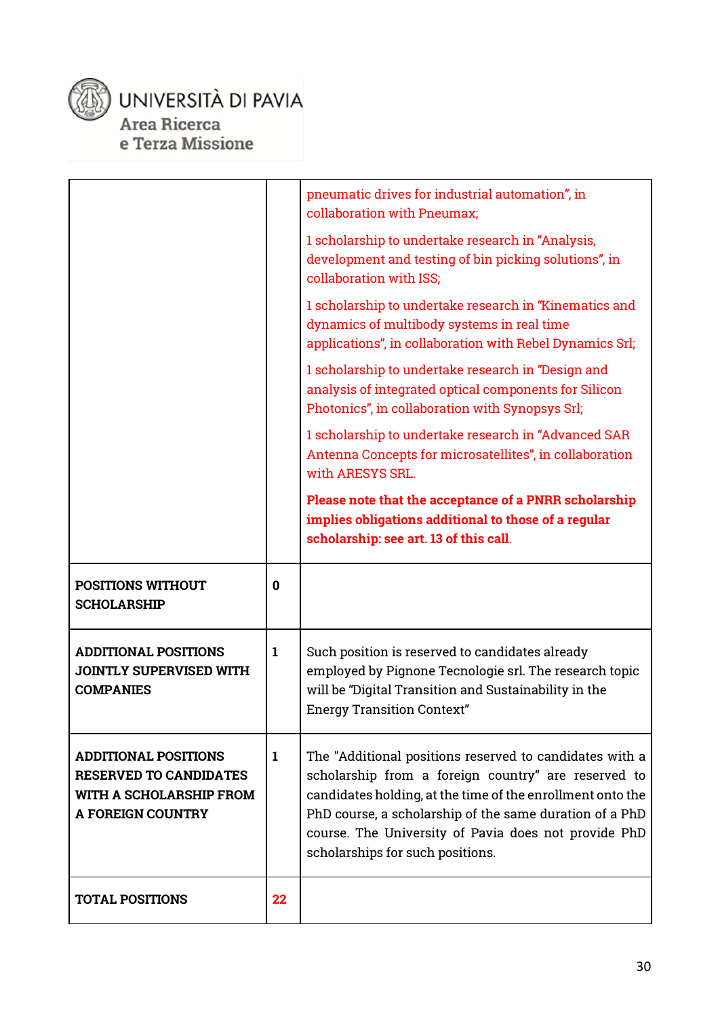

### UNIVERSITÀ DI PAVIA Area Ricerca e Terza Missione

|                                                                                                                     |              | pneumatic drives for industrial automation", in<br>collaboration with Pneumax;                                                                                                                                                                                                                                                      |
|---------------------------------------------------------------------------------------------------------------------|--------------|-------------------------------------------------------------------------------------------------------------------------------------------------------------------------------------------------------------------------------------------------------------------------------------------------------------------------------------|
|                                                                                                                     |              | 1 scholarship to undertake research in "Analysis,<br>development and testing of bin picking solutions", in<br>collaboration with ISS;                                                                                                                                                                                               |
|                                                                                                                     |              | 1 scholarship to undertake research in "Kinematics and<br>dynamics of multibody systems in real time<br>applications", in collaboration with Rebel Dynamics Srl;                                                                                                                                                                    |
|                                                                                                                     |              | 1 scholarship to undertake research in "Design and<br>analysis of integrated optical components for Silicon<br>Photonics", in collaboration with Synopsys Srl;                                                                                                                                                                      |
|                                                                                                                     |              | 1 scholarship to undertake research in "Advanced SAR<br>Antenna Concepts for microsatellites", in collaboration<br>with ARESYS SRL.                                                                                                                                                                                                 |
|                                                                                                                     |              | Please note that the acceptance of a PNRR scholarship<br>implies obligations additional to those of a regular<br>scholarship: see art. 13 of this call.                                                                                                                                                                             |
| <b>POSITIONS WITHOUT</b><br><b>SCHOLARSHIP</b>                                                                      | $\bf{0}$     |                                                                                                                                                                                                                                                                                                                                     |
| <b>ADDITIONAL POSITIONS</b><br><b>JOINTLY SUPERVISED WITH</b><br><b>COMPANIES</b>                                   | $\mathbf{1}$ | Such position is reserved to candidates already<br>employed by Pignone Tecnologie srl. The research topic<br>will be "Digital Transition and Sustainability in the                                                                                                                                                                  |
|                                                                                                                     |              | <b>Energy Transition Context"</b>                                                                                                                                                                                                                                                                                                   |
| <b>ADDITIONAL POSITIONS</b><br><b>RESERVED TO CANDIDATES</b><br>WITH A SCHOLARSHIP FROM<br><b>A FOREIGN COUNTRY</b> | $\mathbf{1}$ | The "Additional positions reserved to candidates with a<br>scholarship from a foreign country" are reserved to<br>candidates holding, at the time of the enrollment onto the<br>PhD course, a scholarship of the same duration of a PhD<br>course. The University of Pavia does not provide PhD<br>scholarships for such positions. |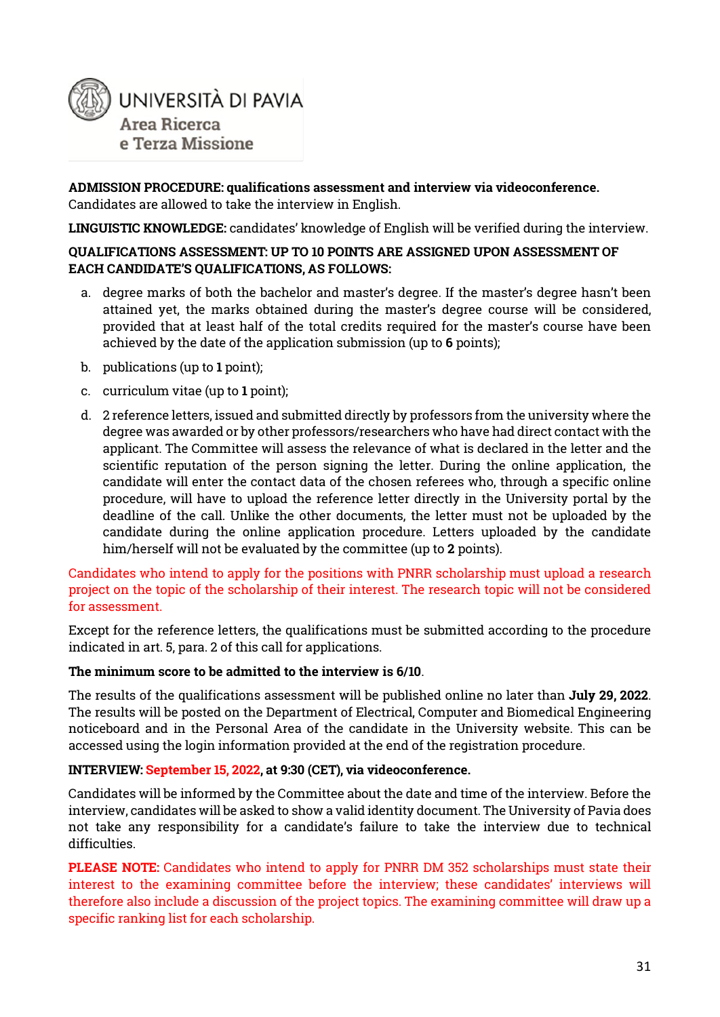

**ADMISSION PROCEDURE: qualifications assessment and interview via videoconference.** Candidates are allowed to take the interview in English.

**LINGUISTIC KNOWLEDGE:** candidates' knowledge of English will be verified during the interview.

#### **QUALIFICATIONS ASSESSMENT: UP TO 10 POINTS ARE ASSIGNED UPON ASSESSMENT OF EACH CANDIDATE'S QUALIFICATIONS, AS FOLLOWS:**

- a. degree marks of both the bachelor and master's degree. If the master's degree hasn't been attained yet, the marks obtained during the master's degree course will be considered, provided that at least half of the total credits required for the master's course have been achieved by the date of the application submission (up to **6** points);
- b. publications (up to **1** point);
- c. curriculum vitae (up to **1** point);
- d. 2 reference letters, issued and submitted directly by professors from the university where the degree was awarded or by other professors/researchers who have had direct contact with the applicant. The Committee will assess the relevance of what is declared in the letter and the scientific reputation of the person signing the letter. During the online application, the candidate will enter the contact data of the chosen referees who, through a specific online procedure, will have to upload the reference letter directly in the University portal by the deadline of the call. Unlike the other documents, the letter must not be uploaded by the candidate during the online application procedure. Letters uploaded by the candidate him/herself will not be evaluated by the committee (up to **2** points).

Candidates who intend to apply for the positions with PNRR scholarship must upload a research project on the topic of the scholarship of their interest. The research topic will not be considered for assessment.

Except for the reference letters, the qualifications must be submitted according to the procedure indicated in art. 5, para. 2 of this call for applications.

#### **The minimum score to be admitted to the interview is 6/10**.

The results of the qualifications assessment will be published online no later than **July 29, 2022**. The results will be posted on the Department of Electrical, Computer and Biomedical Engineering noticeboard and in the Personal Area of the candidate in the University website. This can be accessed using the login information provided at the end of the registration procedure.

#### **INTERVIEW: September 15, 2022, at 9:30 (CET), via videoconference.**

Candidates will be informed by the Committee about the date and time of the interview. Before the interview, candidates will be asked to show a valid identity document. The University of Pavia does not take any responsibility for a candidate's failure to take the interview due to technical difficulties.

**PLEASE NOTE:** Candidates who intend to apply for PNRR DM 352 scholarships must state their interest to the examining committee before the interview; these candidates' interviews will therefore also include a discussion of the project topics. The examining committee will draw up a specific ranking list for each scholarship.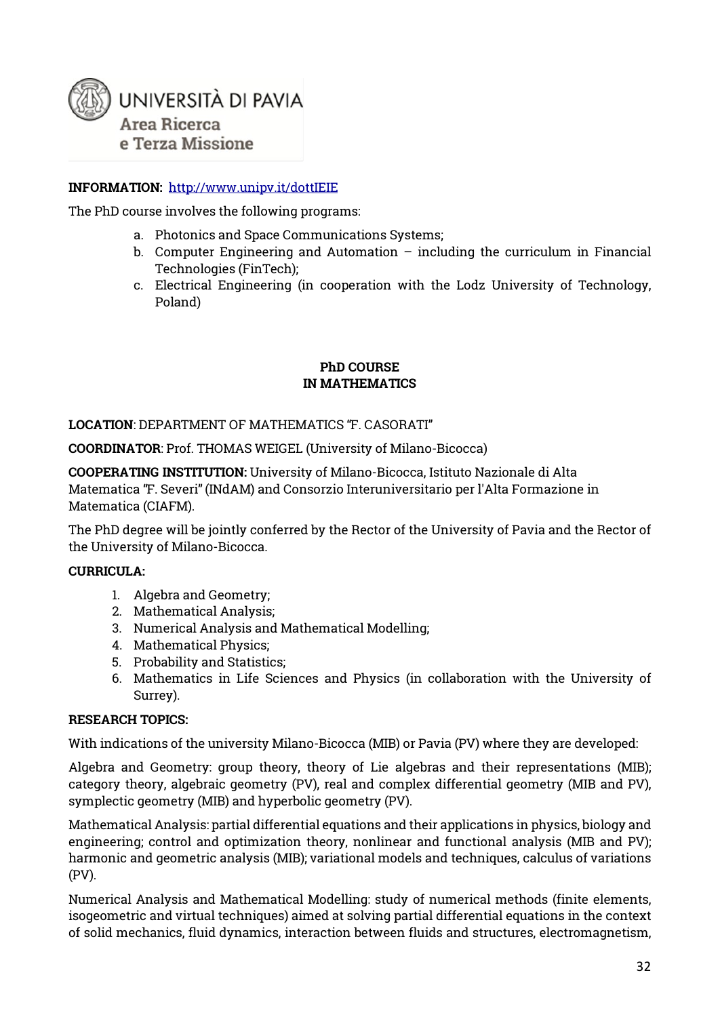

#### **INFORMATION:** <http://www.unipv.it/dottIEIE>

The PhD course involves the following programs:

- a. Photonics and Space Communications Systems;
- b. Computer Engineering and Automation  $-$  including the curriculum in Financial Technologies (FinTech);
- c. Electrical Engineering (in cooperation with the Lodz University of Technology, Poland)

#### **PhD COURSE IN MATHEMATICS**

**LOCATION**: DEPARTMENT OF MATHEMATICS "F. CASORATI"

**COORDINATOR**: Prof. THOMAS WEIGEL (University of Milano-Bicocca)

**COOPERATING INSTITUTION:** University of Milano-Bicocca, Istituto Nazionale di Alta Matematica "F. Severi"(INdAM) and Consorzio Interuniversitario per l'Alta Formazione in Matematica (CIAFM).

The PhD degree will be jointly conferred by the Rector of the University of Pavia and the Rector of the University of Milano-Bicocca.

#### **CURRICULA:**

- 1. Algebra and Geometry;
- 2. Mathematical Analysis;
- 3. Numerical Analysis and Mathematical Modelling;
- 4. Mathematical Physics;
- 5. Probability and Statistics;
- 6. Mathematics in Life Sciences and Physics (in collaboration with the University of Surrey).

#### **RESEARCH TOPICS:**

With indications of the university Milano-Bicocca (MIB) or Pavia (PV) where they are developed:

Algebra and Geometry: group theory, theory of Lie algebras and their representations (MIB); category theory, algebraic geometry (PV), real and complex differential geometry (MIB and PV), symplectic geometry (MIB) and hyperbolic geometry (PV).

Mathematical Analysis: partial differential equations and their applications in physics, biology and engineering; control and optimization theory, nonlinear and functional analysis (MIB and PV); harmonic and geometric analysis (MIB); variational models and techniques, calculus of variations (PV).

Numerical Analysis and Mathematical Modelling: study of numerical methods (finite elements, isogeometric and virtual techniques) aimed at solving partial differential equations in the context of solid mechanics, fluid dynamics, interaction between fluids and structures, electromagnetism,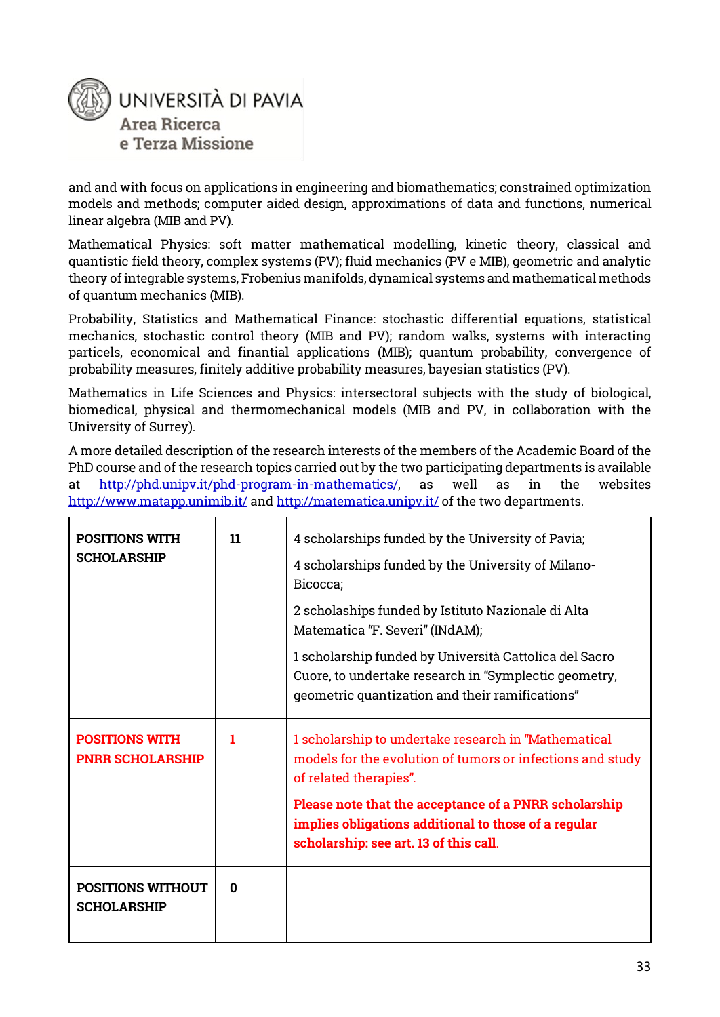

and and with focus on applications in engineering and biomathematics; constrained optimization models and methods; computer aided design, approximations of data and functions, numerical linear algebra (MIB and PV).

Mathematical Physics: soft matter mathematical modelling, kinetic theory, classical and quantistic field theory, complex systems (PV); fluid mechanics (PV e MIB), geometric and analytic theory of integrable systems, Frobenius manifolds, dynamical systems and mathematical methods of quantum mechanics (MIB).

Probability, Statistics and Mathematical Finance: stochastic differential equations, statistical mechanics, stochastic control theory (MIB and PV); random walks, systems with interacting particels, economical and finantial applications (MIB); quantum probability, convergence of probability measures, finitely additive probability measures, bayesian statistics (PV).

Mathematics in Life Sciences and Physics: intersectoral subjects with the study of biological, biomedical, physical and thermomechanical models (MIB and PV, in collaboration with the University of Surrey).

A more detailed description of the research interests of the members of the Academic Board of the PhD course and of the research topics carried out by the two participating departments is available at [http://phd.unipv.it/phd-program-in-mathematics/,](http://phd.unipv.it/phd-program-in-mathematics/) as well as in the websites <http://www.matapp.unimib.it/> an[d http://matematica.unipv.it/](http://matematica.unipv.it/) of the two departments.

| <b>POSITIONS WITH</b><br><b>SCHOLARSHIP</b>      | 11 | 4 scholarships funded by the University of Pavia;<br>4 scholarships funded by the University of Milano-<br>Bicocca;<br>2 scholaships funded by Istituto Nazionale di Alta<br>Matematica "F. Severi" (INdAM);<br>1 scholarship funded by Università Cattolica del Sacro<br>Cuore, to undertake research in "Symplectic geometry,<br>geometric quantization and their ramifications" |
|--------------------------------------------------|----|------------------------------------------------------------------------------------------------------------------------------------------------------------------------------------------------------------------------------------------------------------------------------------------------------------------------------------------------------------------------------------|
| <b>POSITIONS WITH</b><br><b>PNRR SCHOLARSHIP</b> | т  | 1 scholarship to undertake research in "Mathematical<br>models for the evolution of tumors or infections and study<br>of related therapies".<br>Please note that the acceptance of a PNRR scholarship<br>implies obligations additional to those of a regular<br>scholarship: see art. 13 of this call.                                                                            |
| <b>POSITIONS WITHOUT</b><br><b>SCHOLARSHIP</b>   | 0  |                                                                                                                                                                                                                                                                                                                                                                                    |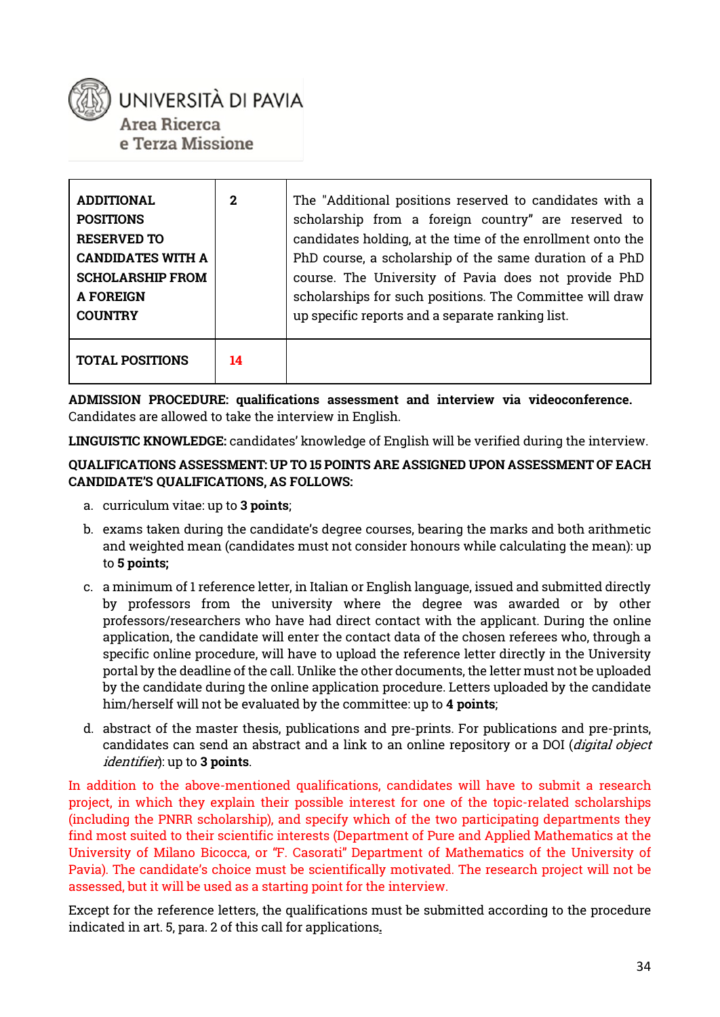### UNIVERSITÀ DI PAVIA Area Ricerca e Terza Missione

| <b>ADDITIONAL</b><br><b>POSITIONS</b><br><b>RESERVED TO</b><br><b>CANDIDATES WITH A</b><br><b>SCHOLARSHIP FROM</b><br><b>A FOREIGN</b><br><b>COUNTRY</b> | $\mathbf{2}$ | The "Additional positions reserved to candidates with a<br>scholarship from a foreign country" are reserved to<br>candidates holding, at the time of the enrollment onto the<br>PhD course, a scholarship of the same duration of a PhD<br>course. The University of Pavia does not provide PhD<br>scholarships for such positions. The Committee will draw<br>up specific reports and a separate ranking list. |
|----------------------------------------------------------------------------------------------------------------------------------------------------------|--------------|-----------------------------------------------------------------------------------------------------------------------------------------------------------------------------------------------------------------------------------------------------------------------------------------------------------------------------------------------------------------------------------------------------------------|
| <b>TOTAL POSITIONS</b>                                                                                                                                   | 14           |                                                                                                                                                                                                                                                                                                                                                                                                                 |

**ADMISSION PROCEDURE: qualifications assessment and interview via videoconference.**  Candidates are allowed to take the interview in English.

**LINGUISTIC KNOWLEDGE:** candidates' knowledge of English will be verified during the interview.

#### **QUALIFICATIONS ASSESSMENT: UP TO 15 POINTS ARE ASSIGNED UPON ASSESSMENT OF EACH CANDIDATE'S QUALIFICATIONS, AS FOLLOWS:**

- a. curriculum vitae: up to **3 points**;
- b. exams taken during the candidate's degree courses, bearing the marks and both arithmetic and weighted mean (candidates must not consider honours while calculating the mean): up to **5 points;**
- c. a minimum of 1 reference letter, in Italian or English language, issued and submitted directly by professors from the university where the degree was awarded or by other professors/researchers who have had direct contact with the applicant. During the online application, the candidate will enter the contact data of the chosen referees who, through a specific online procedure, will have to upload the reference letter directly in the University portal by the deadline of the call. Unlike the other documents, the letter must not be uploaded by the candidate during the online application procedure. Letters uploaded by the candidate him/herself will not be evaluated by the committee: up to **4 points**;
- d. abstract of the master thesis, publications and pre-prints. For publications and pre-prints, candidates can send an abstract and a link to an online repository or a DOI (digital object identifier): up to **3 points**.

In addition to the above-mentioned qualifications, candidates will have to submit a research project, in which they explain their possible interest for one of the topic-related scholarships (including the PNRR scholarship), and specify which of the two participating departments they find most suited to their scientific interests (Department of Pure and Applied Mathematics at the University of Milano Bicocca, or "F. Casorati" Department of Mathematics of the University of Pavia). The candidate's choice must be scientifically motivated. The research project will not be assessed, but it will be used as a starting point for the interview.

Except for the reference letters, the qualifications must be submitted according to the procedure indicated in art. 5, para. 2 of this call for applications**.**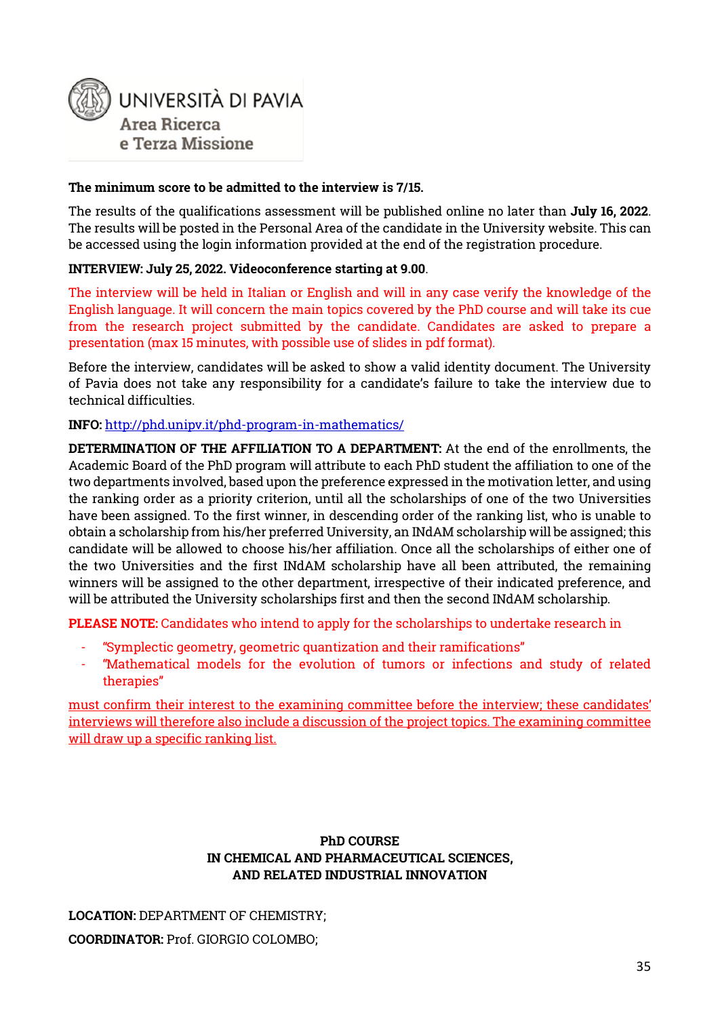

#### **The minimum score to be admitted to the interview is 7/15.**

The results of the qualifications assessment will be published online no later than **July 16, 2022**. The results will be posted in the Personal Area of the candidate in the University website. This can be accessed using the login information provided at the end of the registration procedure.

#### **INTERVIEW: July 25, 2022. Videoconference starting at 9.00**.

The interview will be held in Italian or English and will in any case verify the knowledge of the English language. It will concern the main topics covered by the PhD course and will take its cue from the research project submitted by the candidate. Candidates are asked to prepare a presentation (max 15 minutes, with possible use of slides in pdf format).

Before the interview, candidates will be asked to show a valid identity document. The University of Pavia does not take any responsibility for a candidate's failure to take the interview due to technical difficulties.

#### **INFO:** <http://phd.unipv.it/phd-program-in-mathematics/>

**DETERMINATION OF THE AFFILIATION TO A DEPARTMENT:** At the end of the enrollments, the Academic Board of the PhD program will attribute to each PhD student the affiliation to one of the two departments involved, based upon the preference expressed in the motivation letter, and using the ranking order as a priority criterion, until all the scholarships of one of the two Universities have been assigned. To the first winner, in descending order of the ranking list, who is unable to obtain a scholarship from his/her preferred University, an INdAM scholarship will be assigned; this candidate will be allowed to choose his/her affiliation. Once all the scholarships of either one of the two Universities and the first INdAM scholarship have all been attributed, the remaining winners will be assigned to the other department, irrespective of their indicated preference, and will be attributed the University scholarships first and then the second INdAM scholarship.

**PLEASE NOTE:** Candidates who intend to apply for the scholarships to undertake research in

- "Symplectic geometry, geometric quantization and their ramifications"
- "Mathematical models for the evolution of tumors or infections and study of related therapies"

must confirm their interest to the examining committee before the interview; these candidates' interviews will therefore also include a discussion of the project topics. The examining committee will draw up a specific ranking list.

#### **PhD COURSE IN CHEMICAL AND PHARMACEUTICAL SCIENCES, AND RELATED INDUSTRIAL INNOVATION**

**LOCATION:** DEPARTMENT OF CHEMISTRY; **COORDINATOR:** Prof. GIORGIO COLOMBO;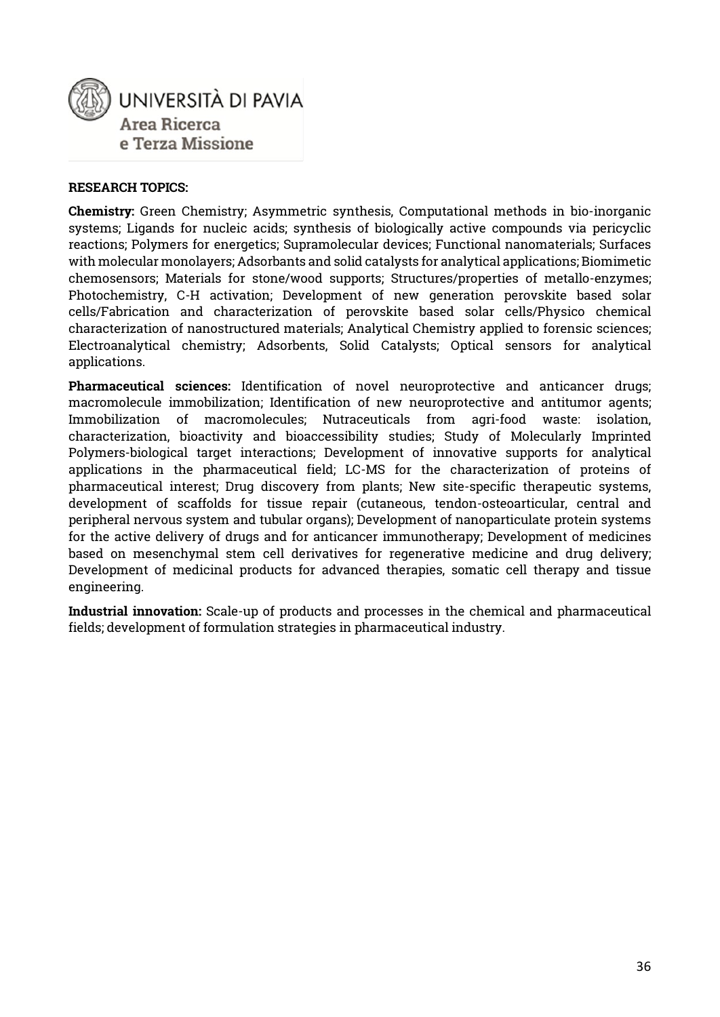

#### **RESEARCH TOPICS:**

**Chemistry:** Green Chemistry; Asymmetric synthesis, Computational methods in bio-inorganic systems; Ligands for nucleic acids; synthesis of biologically active compounds via pericyclic reactions; Polymers for energetics; Supramolecular devices; Functional nanomaterials; Surfaces with molecular monolayers; Adsorbants and solid catalysts for analytical applications; Biomimetic chemosensors; Materials for stone/wood supports; Structures/properties of metallo-enzymes; Photochemistry, C-H activation; Development of new generation perovskite based solar cells/Fabrication and characterization of perovskite based solar cells/Physico chemical characterization of nanostructured materials; Analytical Chemistry applied to forensic sciences; Electroanalytical chemistry; Adsorbents, Solid Catalysts; Optical sensors for analytical applications.

**Pharmaceutical sciences:** Identification of novel neuroprotective and anticancer drugs; macromolecule immobilization; Identification of new neuroprotective and antitumor agents; Immobilization of macromolecules; Nutraceuticals from agri-food waste: isolation, characterization, bioactivity and bioaccessibility studies; Study of Molecularly Imprinted Polymers-biological target interactions; Development of innovative supports for analytical applications in the pharmaceutical field; LC-MS for the characterization of proteins of pharmaceutical interest; Drug discovery from plants; New site-specific therapeutic systems, development of scaffolds for tissue repair (cutaneous, tendon-osteoarticular, central and peripheral nervous system and tubular organs); Development of nanoparticulate protein systems for the active delivery of drugs and for anticancer immunotherapy; Development of medicines based on mesenchymal stem cell derivatives for regenerative medicine and drug delivery; Development of medicinal products for advanced therapies, somatic cell therapy and tissue engineering.

**Industrial innovation:** Scale-up of products and processes in the chemical and pharmaceutical fields; development of formulation strategies in pharmaceutical industry.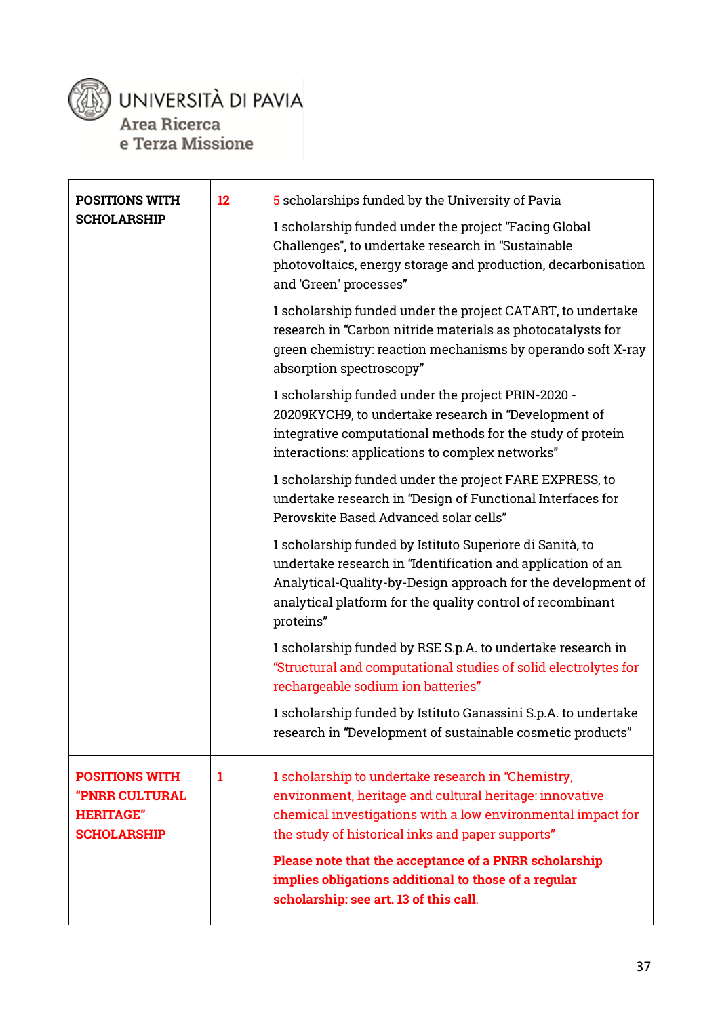

# UNIVERSITÀ DI PAVIA Area Ricerca

e Terza Missione

| POSITIONS WITH                                                                           | 12 | 5 scholarships funded by the University of Pavia                                                                                                                                                                                                                   |
|------------------------------------------------------------------------------------------|----|--------------------------------------------------------------------------------------------------------------------------------------------------------------------------------------------------------------------------------------------------------------------|
| <b>SCHOLARSHIP</b>                                                                       |    | 1 scholarship funded under the project "Facing Global<br>Challenges", to undertake research in "Sustainable<br>photovoltaics, energy storage and production, decarbonisation<br>and 'Green' processes"                                                             |
|                                                                                          |    | 1 scholarship funded under the project CATART, to undertake<br>research in "Carbon nitride materials as photocatalysts for<br>green chemistry: reaction mechanisms by operando soft X-ray<br>absorption spectroscopy"                                              |
|                                                                                          |    | 1 scholarship funded under the project PRIN-2020 -<br>20209KYCH9, to undertake research in "Development of<br>integrative computational methods for the study of protein<br>interactions: applications to complex networks"                                        |
|                                                                                          |    | 1 scholarship funded under the project FARE EXPRESS, to<br>undertake research in "Design of Functional Interfaces for<br>Perovskite Based Advanced solar cells"                                                                                                    |
|                                                                                          |    | 1 scholarship funded by Istituto Superiore di Sanità, to<br>undertake research in "Identification and application of an<br>Analytical-Quality-by-Design approach for the development of<br>analytical platform for the quality control of recombinant<br>proteins" |
|                                                                                          |    | 1 scholarship funded by RSE S.p.A. to undertake research in<br>"Structural and computational studies of solid electrolytes for<br>rechargeable sodium ion batteries"                                                                                               |
|                                                                                          |    | 1 scholarship funded by Istituto Ganassini S.p.A. to undertake<br>research in "Development of sustainable cosmetic products"                                                                                                                                       |
| <b>POSITIONS WITH</b><br><b>"PNRR CULTURAL</b><br><b>HERITAGE"</b><br><b>SCHOLARSHIP</b> | 1  | 1 scholarship to undertake research in "Chemistry,<br>environment, heritage and cultural heritage: innovative<br>chemical investigations with a low environmental impact for<br>the study of historical inks and paper supports"                                   |
|                                                                                          |    | Please note that the acceptance of a PNRR scholarship<br>implies obligations additional to those of a regular<br>scholarship: see art. 13 of this call.                                                                                                            |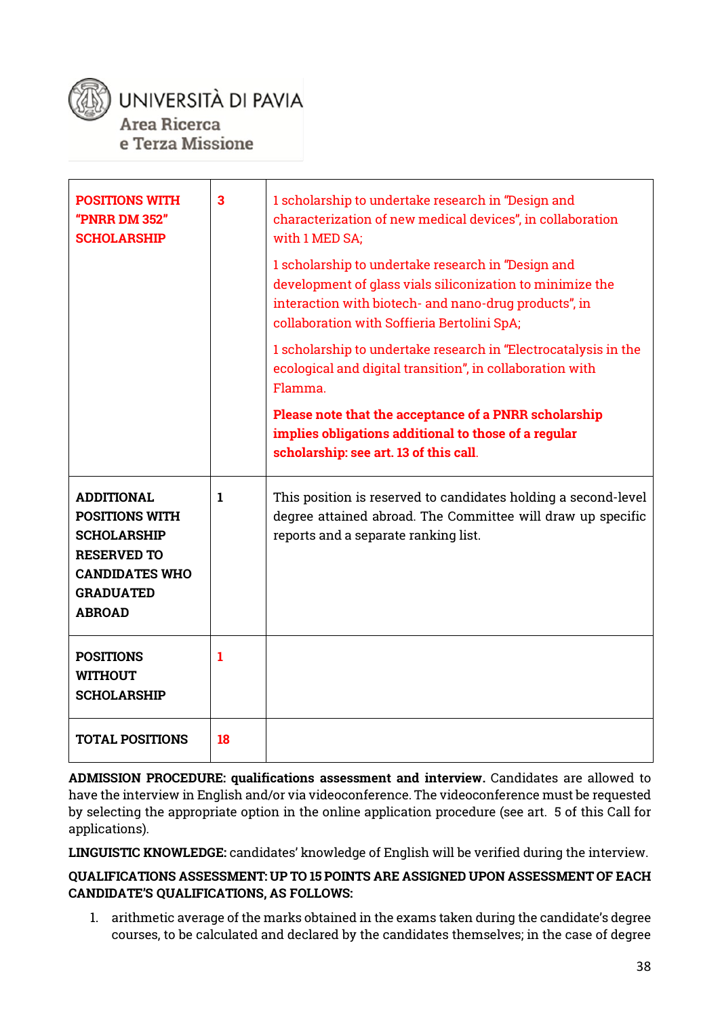

### UNIVERSITÀ DI PAVIA Area Ricerca

e Terza Missione

| <b>POSITIONS WITH</b><br>"PNRR DM 352"<br><b>SCHOLARSHIP</b>                                                                                         | $\overline{\mathbf{3}}$ | 1 scholarship to undertake research in "Design and<br>characterization of new medical devices", in collaboration<br>with 1 MED SA;<br>1 scholarship to undertake research in "Design and<br>development of glass vials siliconization to minimize the<br>interaction with biotech- and nano-drug products", in<br>collaboration with Soffieria Bertolini SpA;<br>1 scholarship to undertake research in "Electrocatalysis in the<br>ecological and digital transition", in collaboration with<br>Flamma.<br>Please note that the acceptance of a PNRR scholarship<br>implies obligations additional to those of a regular<br>scholarship: see art. 13 of this call. |
|------------------------------------------------------------------------------------------------------------------------------------------------------|-------------------------|---------------------------------------------------------------------------------------------------------------------------------------------------------------------------------------------------------------------------------------------------------------------------------------------------------------------------------------------------------------------------------------------------------------------------------------------------------------------------------------------------------------------------------------------------------------------------------------------------------------------------------------------------------------------|
| <b>ADDITIONAL</b><br><b>POSITIONS WITH</b><br><b>SCHOLARSHIP</b><br><b>RESERVED TO</b><br><b>CANDIDATES WHO</b><br><b>GRADUATED</b><br><b>ABROAD</b> | $\mathbf{1}$            | This position is reserved to candidates holding a second-level<br>degree attained abroad. The Committee will draw up specific<br>reports and a separate ranking list.                                                                                                                                                                                                                                                                                                                                                                                                                                                                                               |
| <b>POSITIONS</b><br><b>WITHOUT</b><br><b>SCHOLARSHIP</b>                                                                                             | 1                       |                                                                                                                                                                                                                                                                                                                                                                                                                                                                                                                                                                                                                                                                     |
| <b>TOTAL POSITIONS</b>                                                                                                                               | 18                      |                                                                                                                                                                                                                                                                                                                                                                                                                                                                                                                                                                                                                                                                     |

**ADMISSION PROCEDURE: qualifications assessment and interview.** Candidates are allowed to have the interview in English and/or via videoconference. The videoconference must be requested by selecting the appropriate option in the online application procedure (see art. 5 of this Call for applications).

**LINGUISTIC KNOWLEDGE:** candidates' knowledge of English will be verified during the interview.

#### **QUALIFICATIONS ASSESSMENT: UP TO 15 POINTS ARE ASSIGNED UPON ASSESSMENT OF EACH CANDIDATE'S QUALIFICATIONS, AS FOLLOWS:**

1. arithmetic average of the marks obtained in the exams taken during the candidate's degree courses, to be calculated and declared by the candidates themselves; in the case of degree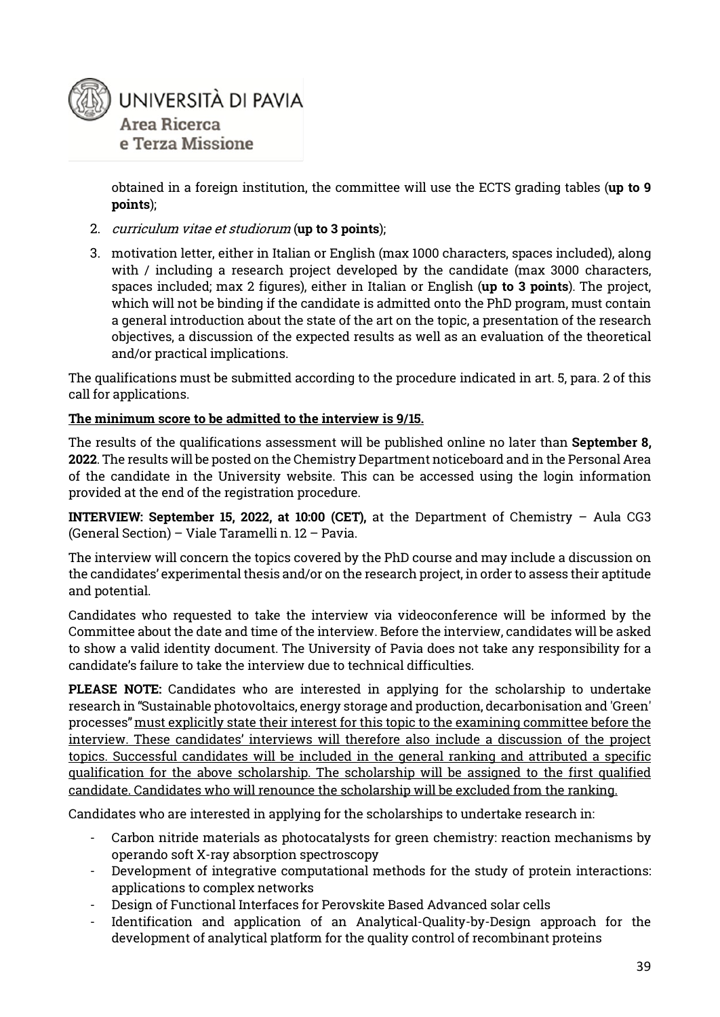

obtained in a foreign institution, the committee will use the ECTS grading tables (**up to 9 points**);

- 2. curriculum vitae et studiorum (**up to 3 points**);
- 3. motivation letter, either in Italian or English (max 1000 characters, spaces included), along with / including a research project developed by the candidate (max 3000 characters, spaces included; max 2 figures), either in Italian or English (**up to 3 points**). The project, which will not be binding if the candidate is admitted onto the PhD program, must contain a general introduction about the state of the art on the topic, a presentation of the research objectives, a discussion of the expected results as well as an evaluation of the theoretical and/or practical implications.

The qualifications must be submitted according to the procedure indicated in art. 5, para. 2 of this call for applications.

#### **The minimum score to be admitted to the interview is 9/15.**

The results of the qualifications assessment will be published online no later than **September 8, 2022**. The results will be posted on the Chemistry Department noticeboard and in the Personal Area of the candidate in the University website. This can be accessed using the login information provided at the end of the registration procedure.

**INTERVIEW: September 15, 2022, at 10:00 (CET), at the Department of Chemistry – Aula CG3** (General Section) – Viale Taramelli n. 12 – Pavia.

The interview will concern the topics covered by the PhD course and may include a discussion on the candidates' experimental thesis and/or on the research project, in order to assess their aptitude and potential.

Candidates who requested to take the interview via videoconference will be informed by the Committee about the date and time of the interview. Before the interview, candidates will be asked to show a valid identity document. The University of Pavia does not take any responsibility for a candidate's failure to take the interview due to technical difficulties.

**PLEASE NOTE:** Candidates who are interested in applying for the scholarship to undertake research in "Sustainable photovoltaics, energy storage and production, decarbonisation and 'Green' processes" must explicitly state their interest for this topic to the examining committee before the interview. These candidates' interviews will therefore also include a discussion of the project topics. Successful candidates will be included in the general ranking and attributed a specific qualification for the above scholarship. The scholarship will be assigned to the first qualified candidate. Candidates who will renounce the scholarship will be excluded from the ranking.

Candidates who are interested in applying for the scholarships to undertake research in:

- Carbon nitride materials as photocatalysts for green chemistry: reaction mechanisms by operando soft X-ray absorption spectroscopy
- Development of integrative computational methods for the study of protein interactions: applications to complex networks
- Design of Functional Interfaces for Perovskite Based Advanced solar cells
- Identification and application of an Analytical-Quality-by-Design approach for the development of analytical platform for the quality control of recombinant proteins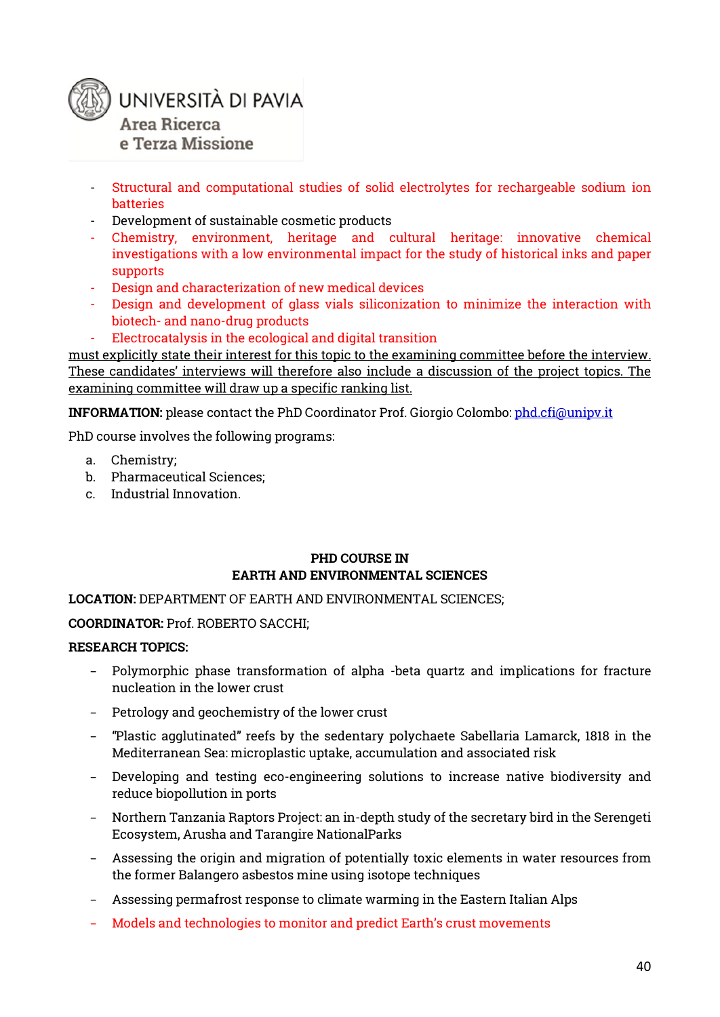

- Structural and computational studies of solid electrolytes for rechargeable sodium ion batteries
- Development of sustainable cosmetic products
- Chemistry, environment, heritage and cultural heritage: innovative chemical investigations with a low environmental impact for the study of historical inks and paper supports
- Design and characterization of new medical devices
- Design and development of glass vials siliconization to minimize the interaction with biotech- and nano-drug products
- Electrocatalysis in the ecological and digital transition

must explicitly state their interest for this topic to the examining committee before the interview. These candidates' interviews will therefore also include a discussion of the project topics. The examining committee will draw up a specific ranking list.

**INFORMATION:** please contact the PhD Coordinator Prof. Giorgio Colombo[: phd.cfi@unipv.it](mailto:phd.cfi@unipv.it)

PhD course involves the following programs:

- a. Chemistry;
- b. Pharmaceutical Sciences;
- c. Industrial Innovation.

#### **PHD COURSE IN EARTH AND ENVIRONMENTAL SCIENCES**

#### **LOCATION:** DEPARTMENT OF EARTH AND ENVIRONMENTAL SCIENCES;

#### **COORDINATOR:** Prof. ROBERTO SACCHI;

#### **RESEARCH TOPICS:**

- − Polymorphic phase transformation of alpha -beta quartz and implications for fracture nucleation in the lower crust
- − Petrology and geochemistry of the lower crust
- − "Plastic agglutinated" reefs by the sedentary polychaete Sabellaria Lamarck, 1818 in the Mediterranean Sea: microplastic uptake, accumulation and associated risk
- − Developing and testing eco-engineering solutions to increase native biodiversity and reduce biopollution in ports
- − Northern Tanzania Raptors Project: an in-depth study of the secretary bird in the Serengeti Ecosystem, Arusha and Tarangire NationalParks
- − Assessing the origin and migration of potentially toxic elements in water resources from the former Balangero asbestos mine using isotope techniques
- − Assessing permafrost response to climate warming in the Eastern Italian Alps
- − Models and technologies to monitor and predict Earth's crust movements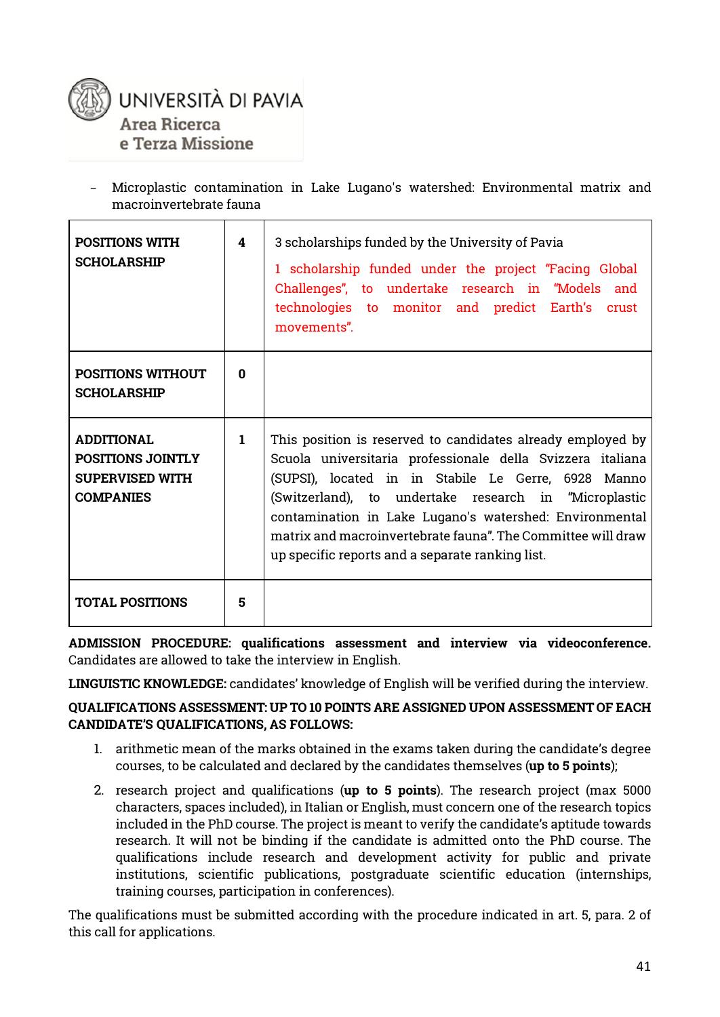

− Microplastic contamination in Lake Lugano's watershed: Environmental matrix and macroinvertebrate fauna

| <b>POSITIONS WITH</b><br><b>SCHOLARSHIP</b>                                                 | 4            | 3 scholarships funded by the University of Pavia<br>1 scholarship funded under the project "Facing Global<br>Challenges", to undertake research in "Models and<br>technologies to monitor and predict Earth's crust<br>movements".                                                                                                                                                                                       |
|---------------------------------------------------------------------------------------------|--------------|--------------------------------------------------------------------------------------------------------------------------------------------------------------------------------------------------------------------------------------------------------------------------------------------------------------------------------------------------------------------------------------------------------------------------|
| <b>POSITIONS WITHOUT</b><br><b>SCHOLARSHIP</b>                                              | 0            |                                                                                                                                                                                                                                                                                                                                                                                                                          |
| <b>ADDITIONAL</b><br><b>POSITIONS JOINTLY</b><br><b>SUPERVISED WITH</b><br><b>COMPANIES</b> | $\mathbf{1}$ | This position is reserved to candidates already employed by<br>Scuola universitaria professionale della Svizzera italiana<br>(SUPSI), located in in Stabile Le Gerre, 6928 Manno<br>(Switzerland), to undertake research in "Microplastic<br>contamination in Lake Lugano's watershed: Environmental<br>matrix and macroinvertebrate fauna". The Committee will draw<br>up specific reports and a separate ranking list. |
| <b>TOTAL POSITIONS</b>                                                                      | 5            |                                                                                                                                                                                                                                                                                                                                                                                                                          |

**ADMISSION PROCEDURE: qualifications assessment and interview via videoconference.** Candidates are allowed to take the interview in English.

**LINGUISTIC KNOWLEDGE:** candidates' knowledge of English will be verified during the interview.

#### **QUALIFICATIONS ASSESSMENT: UP TO 10 POINTS ARE ASSIGNED UPON ASSESSMENT OF EACH CANDIDATE'S QUALIFICATIONS, AS FOLLOWS:**

- 1. arithmetic mean of the marks obtained in the exams taken during the candidate's degree courses, to be calculated and declared by the candidates themselves (**up to 5 points**);
- 2. research project and qualifications (**up to 5 points**). The research project (max 5000 characters, spaces included), in Italian or English, must concern one of the research topics included in the PhD course. The project is meant to verify the candidate's aptitude towards research. It will not be binding if the candidate is admitted onto the PhD course. The qualifications include research and development activity for public and private institutions, scientific publications, postgraduate scientific education (internships, training courses, participation in conferences).

The qualifications must be submitted according with the procedure indicated in art. 5, para. 2 of this call for applications.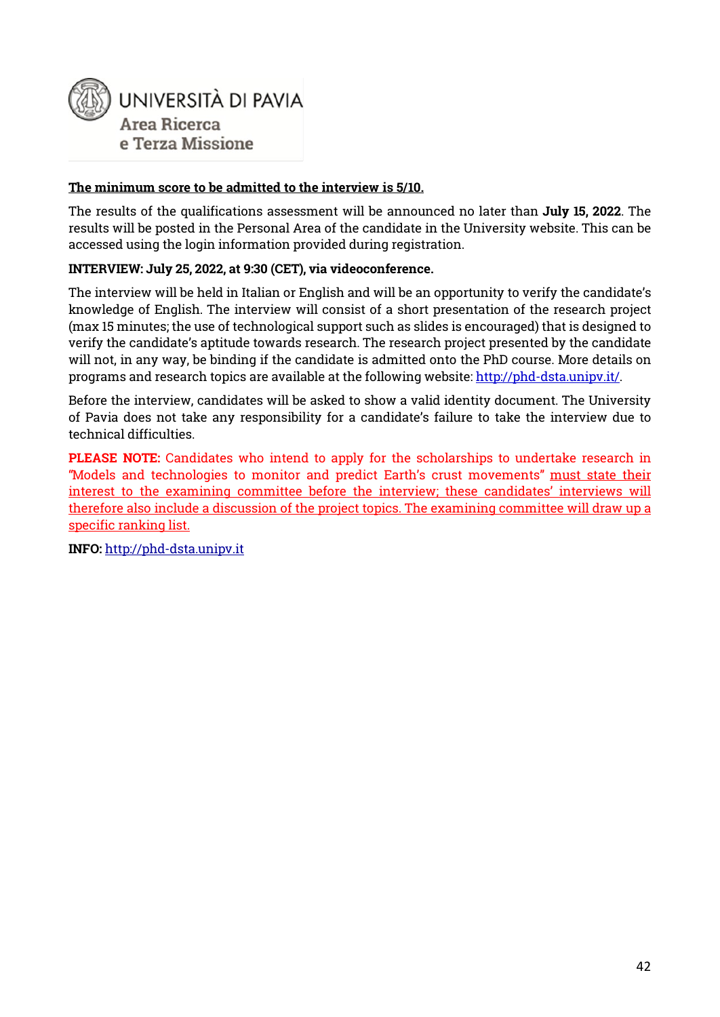

#### **The minimum score to be admitted to the interview is 5/10.**

The results of the qualifications assessment will be announced no later than **July 15, 2022**. The results will be posted in the Personal Area of the candidate in the University website. This can be accessed using the login information provided during registration.

#### **INTERVIEW: July 25, 2022, at 9:30 (CET), via videoconference.**

The interview will be held in Italian or English and will be an opportunity to verify the candidate's knowledge of English. The interview will consist of a short presentation of the research project (max 15 minutes; the use of technological support such as slides is encouraged) that is designed to verify the candidate's aptitude towards research. The research project presented by the candidate will not, in any way, be binding if the candidate is admitted onto the PhD course. More details on programs and research topics are available at the following website: [http://phd-dsta.unipv.it/.](http://phd-dsta.unipv.it/)

Before the interview, candidates will be asked to show a valid identity document. The University of Pavia does not take any responsibility for a candidate's failure to take the interview due to technical difficulties.

**PLEASE NOTE:** Candidates who intend to apply for the scholarships to undertake research in "Models and technologies to monitor and predict Earth's crust movements" must state their interest to the examining committee before the interview; these candidates' interviews will therefore also include a discussion of the project topics. The examining committee will draw up a specific ranking list.

**INFO:** [http://phd-dsta.unipv.it](http://phd-dsta.unipv.it/)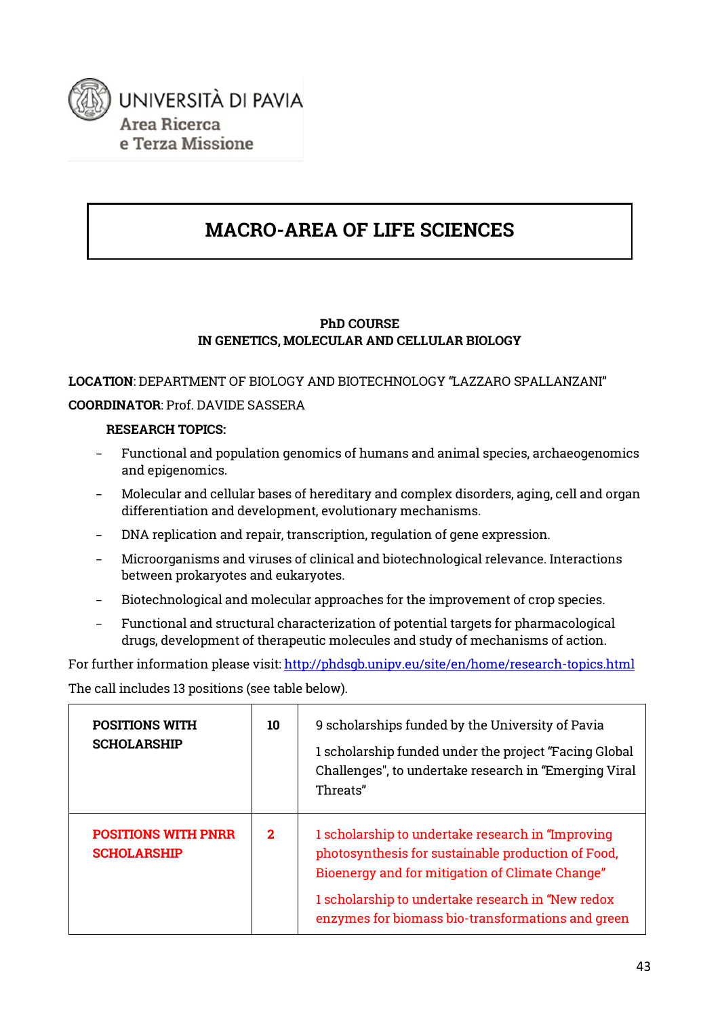

# **MACRO-AREA OF LIFE SCIENCES**

#### **PhD COURSE IN GENETICS, MOLECULAR AND CELLULAR BIOLOGY**

### **LOCATION**: DEPARTMENT OF BIOLOGY AND BIOTECHNOLOGY "LAZZARO SPALLANZANI" **COORDINATOR**: Prof. DAVIDE SASSERA

#### **RESEARCH TOPICS:**

- − Functional and population genomics of humans and animal species, archaeogenomics and epigenomics.
- − Molecular and cellular bases of hereditary and complex disorders, aging, cell and organ differentiation and development, evolutionary mechanisms.
- − DNA replication and repair, transcription, regulation of gene expression.
- − Microorganisms and viruses of clinical and biotechnological relevance. Interactions between prokaryotes and eukaryotes.
- − Biotechnological and molecular approaches for the improvement of crop species.
- − Functional and structural characterization of potential targets for pharmacological drugs, development of therapeutic molecules and study of mechanisms of action.

For further information please visit: http://phdsqb.unipv.eu/site/en/home/research-topics.html The call includes 13 positions (see table below).

| <b>POSITIONS WITH</b><br><b>SCHOLARSHIP</b>      | 10           | 9 scholarships funded by the University of Pavia<br>1 scholarship funded under the project "Facing Global<br>Challenges", to undertake research in "Emerging Viral<br>Threats"                                                                                        |
|--------------------------------------------------|--------------|-----------------------------------------------------------------------------------------------------------------------------------------------------------------------------------------------------------------------------------------------------------------------|
| <b>POSITIONS WITH PNRR</b><br><b>SCHOLARSHIP</b> | $\mathbf{2}$ | 1 scholarship to undertake research in "Improving"<br>photosynthesis for sustainable production of Food,<br>Bioenergy and for mitigation of Climate Change"<br>1 scholarship to undertake research in "New redox<br>enzymes for biomass bio-transformations and green |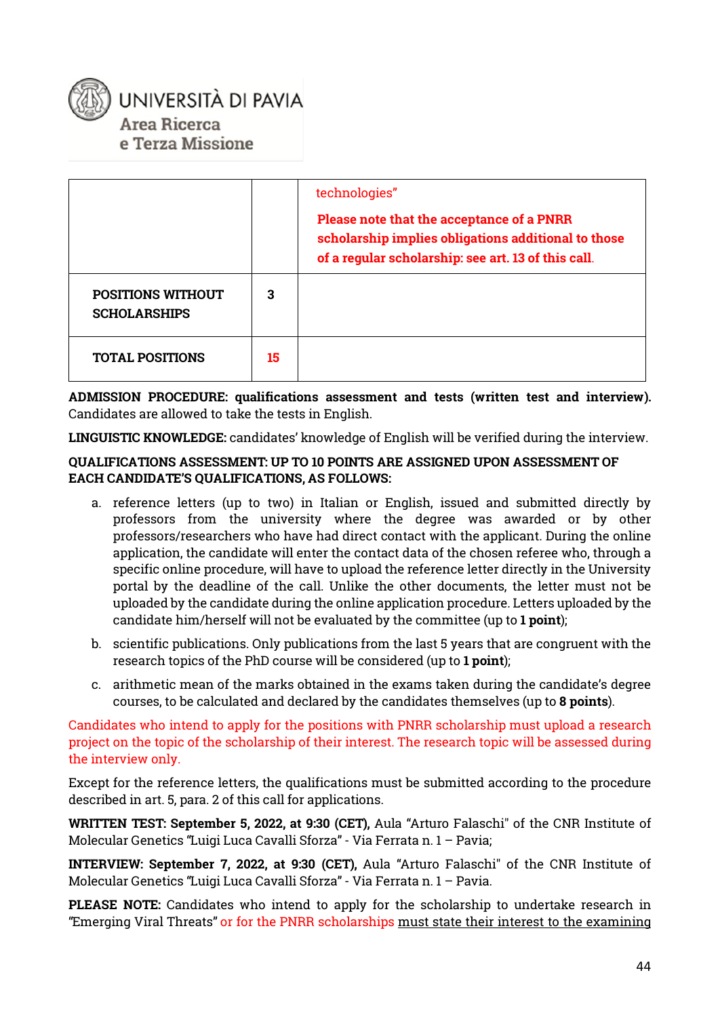# UNIVERSITÀ DI PAVIA Area Ricerca e Terza Missione

|                                                 |    | technologies"<br>Please note that the acceptance of a PNRR<br>scholarship implies obligations additional to those<br>of a regular scholarship: see art. 13 of this call. |
|-------------------------------------------------|----|--------------------------------------------------------------------------------------------------------------------------------------------------------------------------|
| <b>POSITIONS WITHOUT</b><br><b>SCHOLARSHIPS</b> | 3  |                                                                                                                                                                          |
| <b>TOTAL POSITIONS</b>                          | 15 |                                                                                                                                                                          |

**ADMISSION PROCEDURE: qualifications assessment and tests (written test and interview).**  Candidates are allowed to take the tests in English.

**LINGUISTIC KNOWLEDGE:** candidates' knowledge of English will be verified during the interview.

#### **QUALIFICATIONS ASSESSMENT: UP TO 10 POINTS ARE ASSIGNED UPON ASSESSMENT OF EACH CANDIDATE'S QUALIFICATIONS, AS FOLLOWS:**

- a. reference letters (up to two) in Italian or English, issued and submitted directly by professors from the university where the degree was awarded or by other professors/researchers who have had direct contact with the applicant. During the online application, the candidate will enter the contact data of the chosen referee who, through a specific online procedure, will have to upload the reference letter directly in the University portal by the deadline of the call. Unlike the other documents, the letter must not be uploaded by the candidate during the online application procedure. Letters uploaded by the candidate him/herself will not be evaluated by the committee (up to **1 point**);
- b. scientific publications. Only publications from the last 5 years that are congruent with the research topics of the PhD course will be considered (up to **1 point**);
- c. arithmetic mean of the marks obtained in the exams taken during the candidate's degree courses, to be calculated and declared by the candidates themselves (up to **8 points**).

Candidates who intend to apply for the positions with PNRR scholarship must upload a research project on the topic of the scholarship of their interest. The research topic will be assessed during the interview only.

Except for the reference letters, the qualifications must be submitted according to the procedure described in art. 5, para. 2 of this call for applications.

**WRITTEN TEST: September 5, 2022, at 9:30 (CET),** Aula "Arturo Falaschi" of the CNR Institute of Molecular Genetics "Luigi Luca Cavalli Sforza" - Via Ferrata n. 1 – Pavia;

**INTERVIEW: September 7, 2022, at 9:30 (CET),** Aula "Arturo Falaschi" of the CNR Institute of Molecular Genetics "Luigi Luca Cavalli Sforza" - Via Ferrata n. 1 – Pavia.

**PLEASE NOTE:** Candidates who intend to apply for the scholarship to undertake research in "Emerging Viral Threats" or for the PNRR scholarships must state their interest to the examining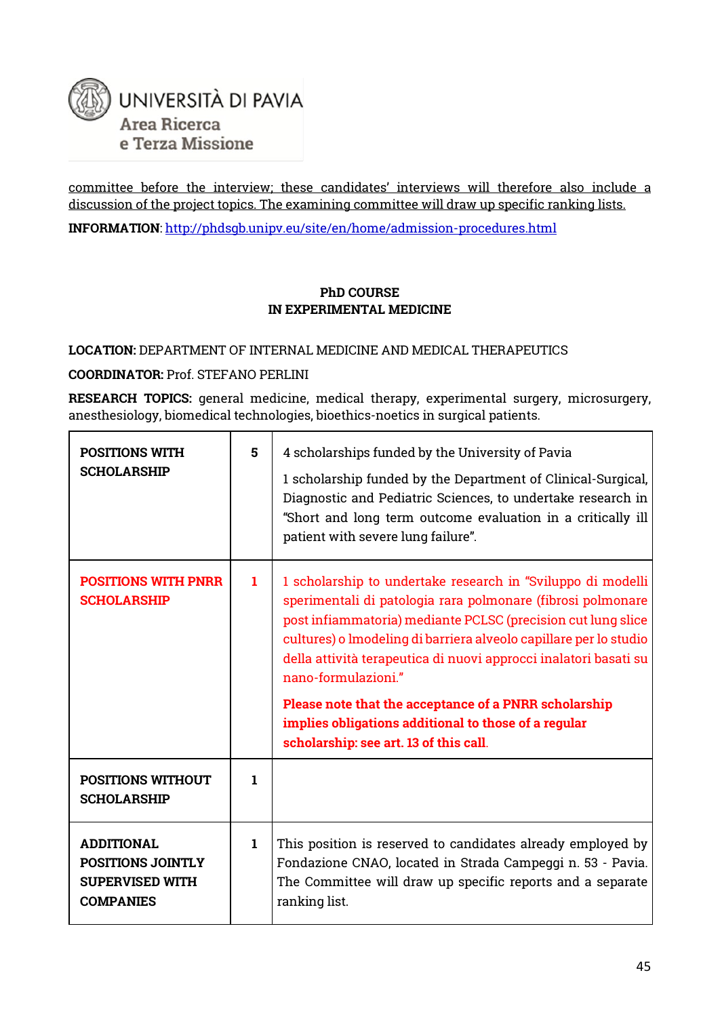

committee before the interview; these candidates' interviews will therefore also include a discussion of the project topics. The examining committee will draw up specific ranking lists.

**INFORMATION**[: http://phdsgb.unipv.eu/site/en/home/admission-procedures.html](http://phdsgb.unipv.eu/site/en/home/admission-procedures.html)

#### **PhD COURSE IN EXPERIMENTAL MEDICINE**

#### **LOCATION:** DEPARTMENT OF INTERNAL MEDICINE AND MEDICAL THERAPEUTICS

#### **COORDINATOR:** Prof. STEFANO PERLINI

**RESEARCH TOPICS:** general medicine, medical therapy, experimental surgery, microsurgery, anesthesiology, biomedical technologies, bioethics-noetics in surgical patients.

| <b>POSITIONS WITH</b><br><b>SCHOLARSHIP</b>                                                 | 5           | 4 scholarships funded by the University of Pavia<br>1 scholarship funded by the Department of Clinical-Surgical,<br>Diagnostic and Pediatric Sciences, to undertake research in<br>"Short and long term outcome evaluation in a critically ill<br>patient with severe lung failure".                                                                                                                                                                                        |
|---------------------------------------------------------------------------------------------|-------------|-----------------------------------------------------------------------------------------------------------------------------------------------------------------------------------------------------------------------------------------------------------------------------------------------------------------------------------------------------------------------------------------------------------------------------------------------------------------------------|
| <b>POSITIONS WITH PNRR</b><br><b>SCHOLARSHIP</b>                                            | 1           | 1 scholarship to undertake research in "Sviluppo di modelli<br>sperimentali di patologia rara polmonare (fibrosi polmonare<br>post infiammatoria) mediante PCLSC (precision cut lung slice<br>cultures) o lmodeling di barriera alveolo capillare per lo studio<br>della attività terapeutica di nuovi approcci inalatori basati su<br>nano-formulazioni."<br>Please note that the acceptance of a PNRR scholarship<br>implies obligations additional to those of a regular |
|                                                                                             |             | scholarship: see art. 13 of this call.                                                                                                                                                                                                                                                                                                                                                                                                                                      |
| <b>POSITIONS WITHOUT</b><br><b>SCHOLARSHIP</b>                                              | 1           |                                                                                                                                                                                                                                                                                                                                                                                                                                                                             |
| <b>ADDITIONAL</b><br><b>POSITIONS JOINTLY</b><br><b>SUPERVISED WITH</b><br><b>COMPANIES</b> | $\mathbf 1$ | This position is reserved to candidates already employed by<br>Fondazione CNAO, located in Strada Campeggi n. 53 - Pavia.<br>The Committee will draw up specific reports and a separate<br>ranking list.                                                                                                                                                                                                                                                                    |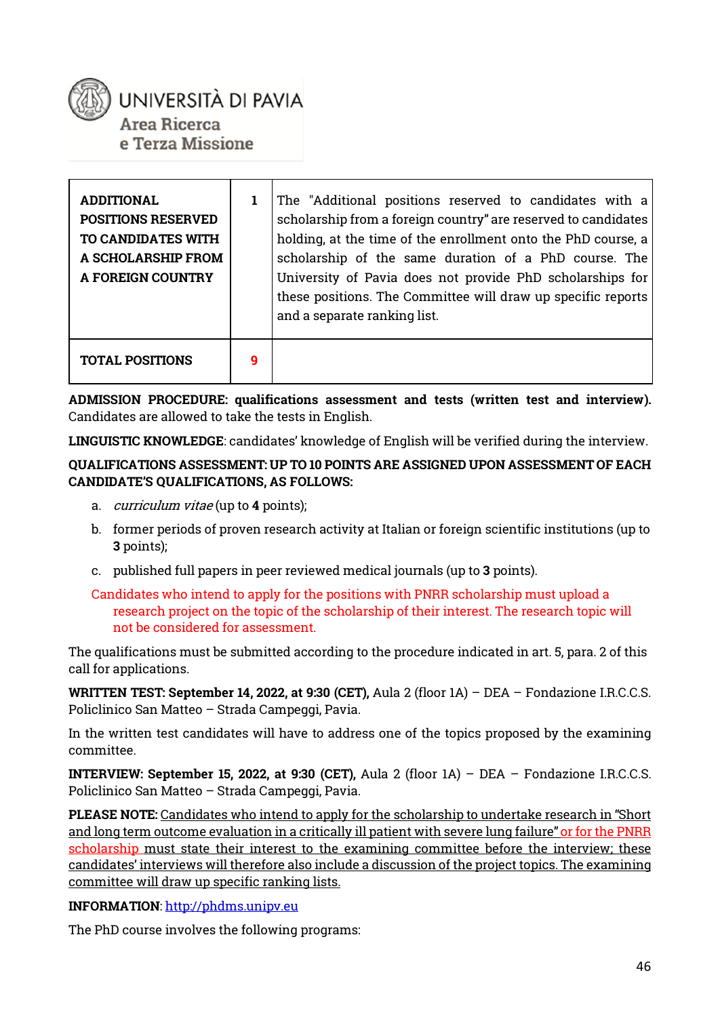

UNIVERSITÀ DI PAVIA Area Ricerca

e Terza Missione

| ADDITIONAL<br><b>POSITIONS RESERVED</b><br>TO CANDIDATES WITH<br>A SCHOLARSHIP FROM<br><b>A FOREIGN COUNTRY</b> |   | The "Additional positions reserved to candidates with a<br>scholarship from a foreign country" are reserved to candidates<br>holding, at the time of the enrollment onto the PhD course, a<br>scholarship of the same duration of a PhD course. The<br>University of Pavia does not provide PhD scholarships for<br>these positions. The Committee will draw up specific reports<br>and a separate ranking list. |
|-----------------------------------------------------------------------------------------------------------------|---|------------------------------------------------------------------------------------------------------------------------------------------------------------------------------------------------------------------------------------------------------------------------------------------------------------------------------------------------------------------------------------------------------------------|
| <b>TOTAL POSITIONS</b>                                                                                          | 9 |                                                                                                                                                                                                                                                                                                                                                                                                                  |

**ADMISSION PROCEDURE: qualifications assessment and tests (written test and interview).** Candidates are allowed to take the tests in English.

**LINGUISTIC KNOWLEDGE**: candidates' knowledge of English will be verified during the interview.

**QUALIFICATIONS ASSESSMENT: UP TO 10 POINTS ARE ASSIGNED UPON ASSESSMENT OF EACH CANDIDATE'S QUALIFICATIONS, AS FOLLOWS:**

- a. curriculum vitae (up to **4** points);
- b. former periods of proven research activity at Italian or foreign scientific institutions (up to **3** points);
- c. published full papers in peer reviewed medical journals (up to **3** points).

The qualifications must be submitted according to the procedure indicated in art. 5, para. 2 of this call for applications.

**WRITTEN TEST: September 14, 2022, at 9:30 (CET),** Aula 2 (floor 1A) – DEA – Fondazione I.R.C.C.S. Policlinico San Matteo – Strada Campeggi, Pavia.

In the written test candidates will have to address one of the topics proposed by the examining committee.

**INTERVIEW: September 15, 2022, at 9:30 (CET),** Aula 2 (floor 1A) – DEA – Fondazione I.R.C.C.S. Policlinico San Matteo – Strada Campeggi, Pavia.

**PLEASE NOTE:** Candidates who intend to apply for the scholarship to undertake research in "Short and long term outcome evaluation in a critically ill patient with severe lung failure" or for the PNRR scholarship must state their interest to the examining committee before the interview; these candidates' interviews will therefore also include a discussion of the project topics. The examining committee will draw up specific ranking lists.

#### **INFORMATION**[: http://phdms.unipv.eu](http://phdms.unipv.eu/)

The PhD course involves the following programs:

Candidates who intend to apply for the positions with PNRR scholarship must upload a research project on the topic of the scholarship of their interest. The research topic will not be considered for assessment.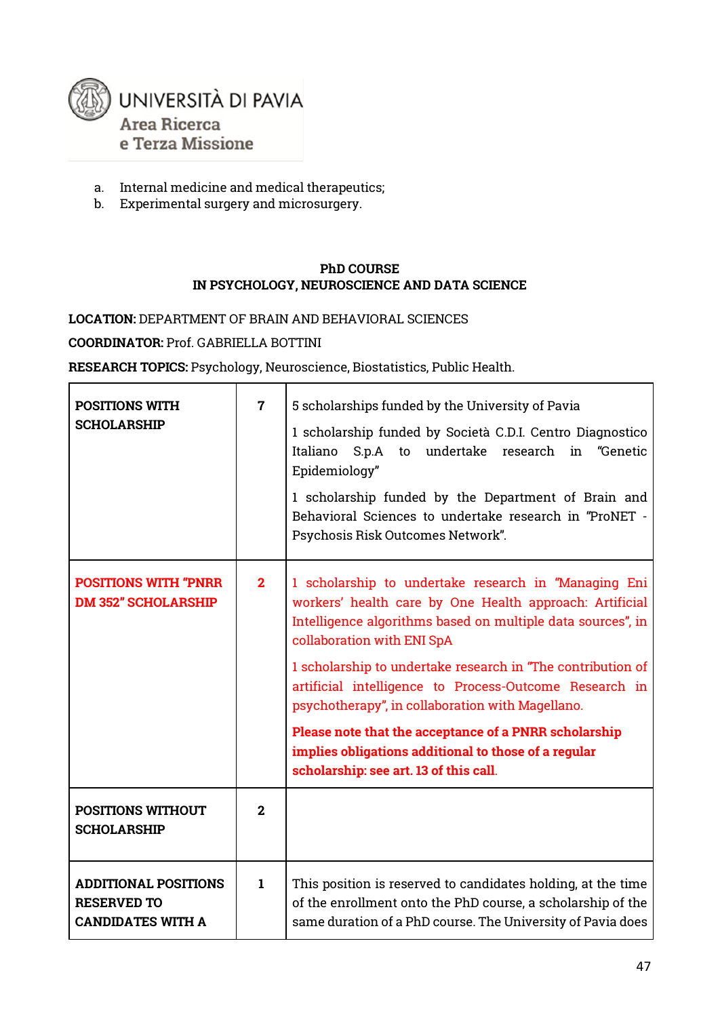

- a. Internal medicine and medical therapeutics;
- b. Experimental surgery and microsurgery.

#### **PhD COURSE IN PSYCHOLOGY, NEUROSCIENCE AND DATA SCIENCE**

#### **LOCATION:** DEPARTMENT OF BRAIN AND BEHAVIORAL SCIENCES

**COORDINATOR:** Prof. GABRIELLA BOTTINI

**RESEARCH TOPICS:** Psychology, Neuroscience, Biostatistics, Public Health.

| <b>POSITIONS WITH</b><br><b>SCHOLARSHIP</b>                                   | $\overline{7}$ | 5 scholarships funded by the University of Pavia<br>1 scholarship funded by Società C.D.I. Centro Diagnostico<br>S.p.A to undertake research<br>Italiano<br>"Genetic<br>in<br>Epidemiology"<br>1 scholarship funded by the Department of Brain and<br>Behavioral Sciences to undertake research in "ProNET -<br>Psychosis Risk Outcomes Network".                                                                                                                                                                                                    |
|-------------------------------------------------------------------------------|----------------|------------------------------------------------------------------------------------------------------------------------------------------------------------------------------------------------------------------------------------------------------------------------------------------------------------------------------------------------------------------------------------------------------------------------------------------------------------------------------------------------------------------------------------------------------|
| <b>POSITIONS WITH "PNRR</b><br><b>DM 352" SCHOLARSHIP</b>                     | $\mathbf{2}$   | 1 scholarship to undertake research in "Managing Eni<br>workers' health care by One Health approach: Artificial<br>Intelligence algorithms based on multiple data sources", in<br>collaboration with ENI SpA<br>1 scholarship to undertake research in "The contribution of<br>artificial intelligence to Process-Outcome Research in<br>psychotherapy", in collaboration with Magellano.<br>Please note that the acceptance of a PNRR scholarship<br>implies obligations additional to those of a regular<br>scholarship: see art. 13 of this call. |
| <b>POSITIONS WITHOUT</b><br><b>SCHOLARSHIP</b>                                | $\mathbf{2}$   |                                                                                                                                                                                                                                                                                                                                                                                                                                                                                                                                                      |
| <b>ADDITIONAL POSITIONS</b><br><b>RESERVED TO</b><br><b>CANDIDATES WITH A</b> | $\mathbf{1}$   | This position is reserved to candidates holding, at the time<br>of the enrollment onto the PhD course, a scholarship of the<br>same duration of a PhD course. The University of Pavia does                                                                                                                                                                                                                                                                                                                                                           |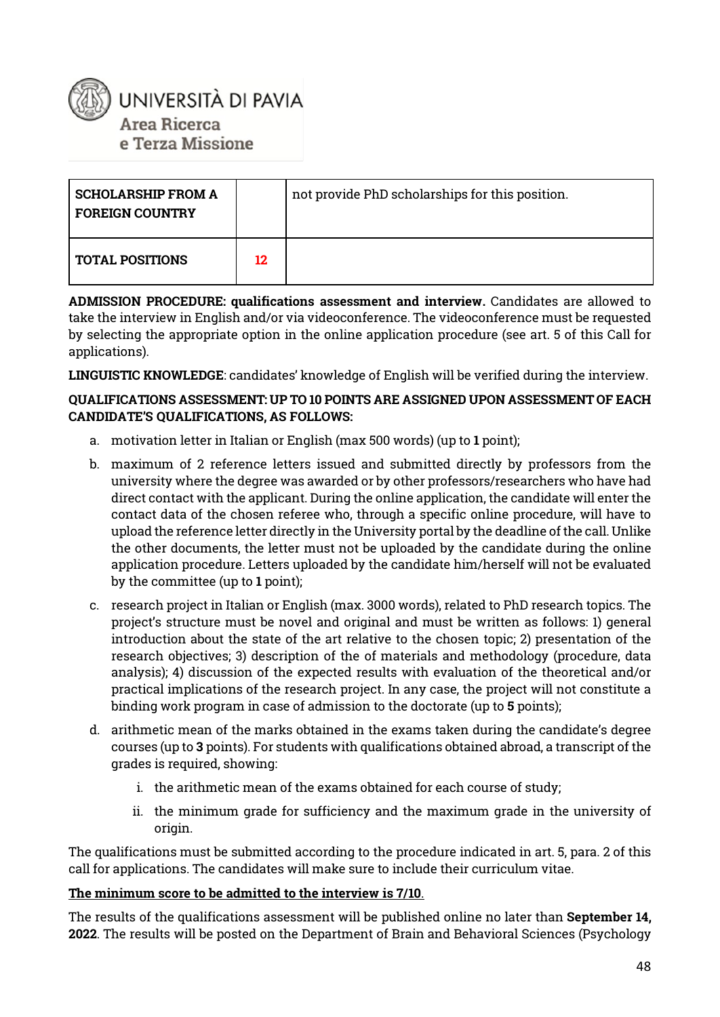

| <b>SCHOLARSHIP FROM A</b><br><b>FOREIGN COUNTRY</b> |    | not provide PhD scholarships for this position. |
|-----------------------------------------------------|----|-------------------------------------------------|
| <b>TOTAL POSITIONS</b>                              | 12 |                                                 |

**ADMISSION PROCEDURE: qualifications assessment and interview.** Candidates are allowed to take the interview in English and/or via videoconference. The videoconference must be requested by selecting the appropriate option in the online application procedure (see art. 5 of this Call for applications).

**LINGUISTIC KNOWLEDGE**: candidates' knowledge of English will be verified during the interview.

#### **QUALIFICATIONS ASSESSMENT: UP TO 10 POINTS ARE ASSIGNED UPON ASSESSMENT OF EACH CANDIDATE'S QUALIFICATIONS, AS FOLLOWS:**

- a. motivation letter in Italian or English (max 500 words) (up to **1** point);
- b. maximum of 2 reference letters issued and submitted directly by professors from the university where the degree was awarded or by other professors/researchers who have had direct contact with the applicant. During the online application, the candidate will enter the contact data of the chosen referee who, through a specific online procedure, will have to upload the reference letter directly in the University portal by the deadline of the call. Unlike the other documents, the letter must not be uploaded by the candidate during the online application procedure. Letters uploaded by the candidate him/herself will not be evaluated by the committee (up to **1** point);
- c. research project in Italian or English (max. 3000 words), related to PhD research topics. The project's structure must be novel and original and must be written as follows: 1) general introduction about the state of the art relative to the chosen topic; 2) presentation of the research objectives; 3) description of the of materials and methodology (procedure, data analysis); 4) discussion of the expected results with evaluation of the theoretical and/or practical implications of the research project. In any case, the project will not constitute a binding work program in case of admission to the doctorate (up to **5** points);
- d. arithmetic mean of the marks obtained in the exams taken during the candidate's degree courses (up to **3** points). For students with qualifications obtained abroad, a transcript of the grades is required, showing:
	- i. the arithmetic mean of the exams obtained for each course of study;
	- ii. the minimum grade for sufficiency and the maximum grade in the university of origin.

The qualifications must be submitted according to the procedure indicated in art. 5, para. 2 of this call for applications. The candidates will make sure to include their curriculum vitae.

#### **The minimum score to be admitted to the interview is 7/10**.

The results of the qualifications assessment will be published online no later than **September 14, 2022**. The results will be posted on the Department of Brain and Behavioral Sciences (Psychology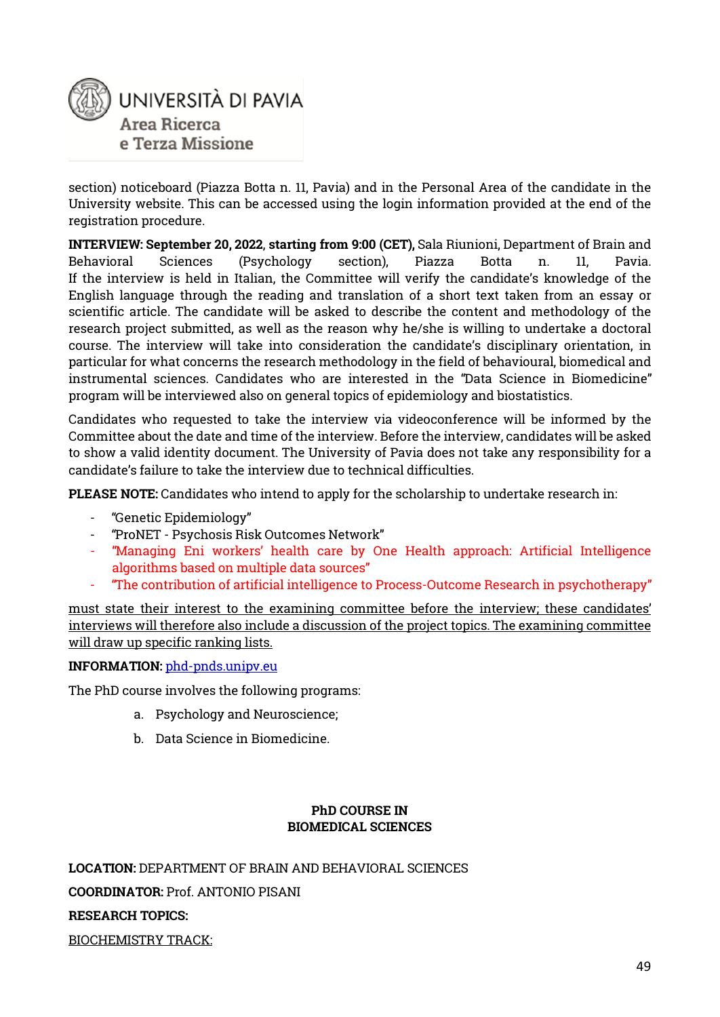

section) noticeboard (Piazza Botta n. 11, Pavia) and in the Personal Area of the candidate in the University website. This can be accessed using the login information provided at the end of the registration procedure.

**INTERVIEW: September 20, 2022**, **starting from 9:00 (CET),** Sala Riunioni, Department of Brain and Behavioral Sciences (Psychology section), Piazza Botta n. 11, Pavia. If the interview is held in Italian, the Committee will verify the candidate's knowledge of the English language through the reading and translation of a short text taken from an essay or scientific article. The candidate will be asked to describe the content and methodology of the research project submitted, as well as the reason why he/she is willing to undertake a doctoral course. The interview will take into consideration the candidate's disciplinary orientation, in particular for what concerns the research methodology in the field of behavioural, biomedical and instrumental sciences. Candidates who are interested in the "Data Science in Biomedicine" program will be interviewed also on general topics of epidemiology and biostatistics.

Candidates who requested to take the interview via videoconference will be informed by the Committee about the date and time of the interview. Before the interview, candidates will be asked to show a valid identity document. The University of Pavia does not take any responsibility for a candidate's failure to take the interview due to technical difficulties.

**PLEASE NOTE:** Candidates who intend to apply for the scholarship to undertake research in:

- "Genetic Epidemiology"
- "ProNET Psychosis Risk Outcomes Network"
- "Managing Eni workers' health care by One Health approach: Artificial Intelligence algorithms based on multiple data sources"
- "The contribution of artificial intelligence to Process-Outcome Research in psychotherapy"

must state their interest to the examining committee before the interview; these candidates' interviews will therefore also include a discussion of the project topics. The examining committee will draw up specific ranking lists.

#### **INFORMATION:** [phd-pnds.unipv.eu](https://phd-pnds.unipv.eu/)

The PhD course involves the following programs:

- a. Psychology and Neuroscience;
- b. Data Science in Biomedicine.

#### **PhD COURSE IN BIOMEDICAL SCIENCES**

**LOCATION:** DEPARTMENT OF BRAIN AND BEHAVIORAL SCIENCES **COORDINATOR:** Prof. ANTONIO PISANI **RESEARCH TOPICS:** BIOCHEMISTRY TRACK: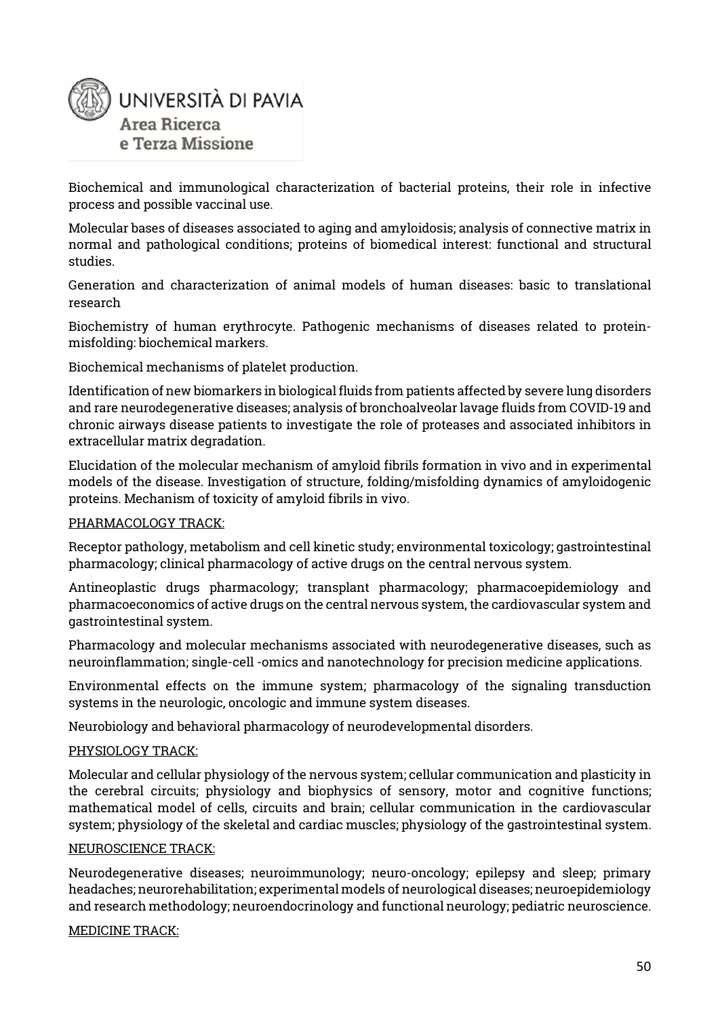

Biochemical and immunological characterization of bacterial proteins, their role in infective process and possible vaccinal use.

Molecular bases of diseases associated to aging and amyloidosis; analysis of connective matrix in normal and pathological conditions; proteins of biomedical interest: functional and structural studies.

Generation and characterization of animal models of human diseases: basic to translational research

Biochemistry of human erythrocyte. Pathogenic mechanisms of diseases related to proteinmisfolding: biochemical markers.

Biochemical mechanisms of platelet production.

Identification of new biomarkers in biological fluids from patients affected by severe lung disorders and rare neurodegenerative diseases; analysis of bronchoalveolar lavage fluids from COVID-19 and chronic airways disease patients to investigate the role of proteases and associated inhibitors in extracellular matrix degradation.

Elucidation of the molecular mechanism of amyloid fibrils formation in vivo and in experimental models of the disease. Investigation of structure, folding/misfolding dynamics of amyloidogenic proteins. Mechanism of toxicity of amyloid fibrils in vivo.

#### PHARMACOLOGY TRACK:

Receptor pathology, metabolism and cell kinetic study; environmental toxicology; gastrointestinal pharmacology; clinical pharmacology of active drugs on the central nervous system.

Antineoplastic drugs pharmacology; transplant pharmacology; pharmacoepidemiology and pharmacoeconomics of active drugs on the central nervous system, the cardiovascular system and gastrointestinal system.

Pharmacology and molecular mechanisms associated with neurodegenerative diseases, such as neuroinflammation; single-cell -omics and nanotechnology for precision medicine applications.

Environmental effects on the immune system; pharmacology of the signaling transduction systems in the neurologic, oncologic and immune system diseases.

Neurobiology and behavioral pharmacology of neurodevelopmental disorders.

#### PHYSIOLOGY TRACK:

Molecular and cellular physiology of the nervous system; cellular communication and plasticity in the cerebral circuits; physiology and biophysics of sensory, motor and cognitive functions; mathematical model of cells, circuits and brain; cellular communication in the cardiovascular system; physiology of the skeletal and cardiac muscles; physiology of the gastrointestinal system.

#### NEUROSCIENCE TRACK:

Neurodegenerative diseases; neuroimmunology; neuro-oncology; epilepsy and sleep; primary headaches; neurorehabilitation; experimental models of neurological diseases; neuroepidemiology and research methodology; neuroendocrinology and functional neurology; pediatric neuroscience.

#### MEDICINE TRACK: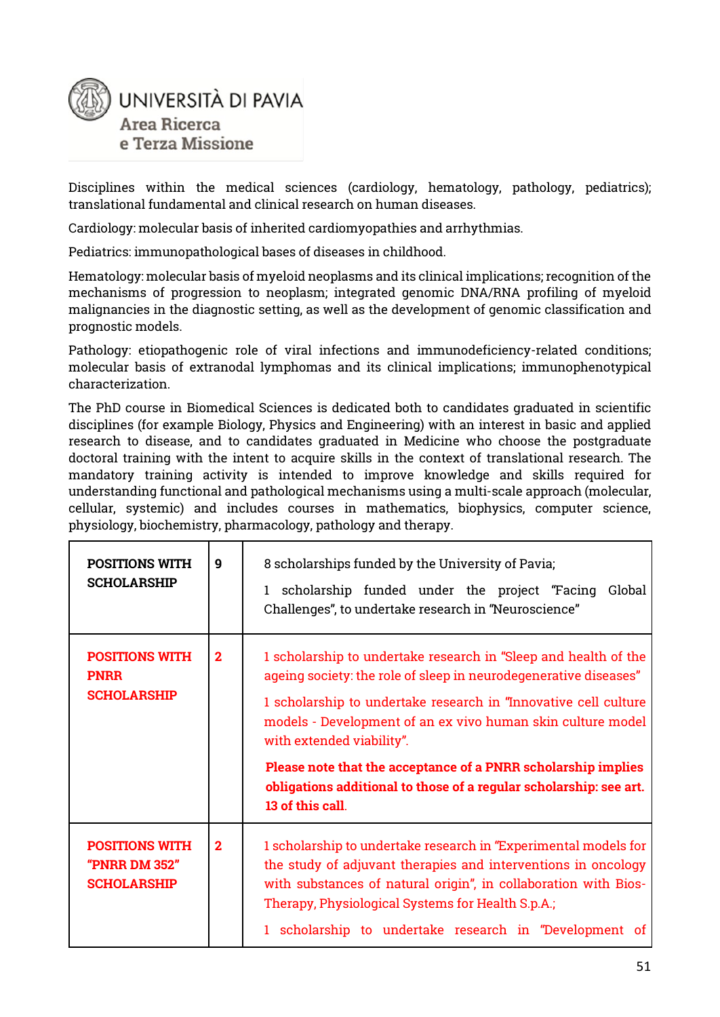

Disciplines within the medical sciences (cardiology, hematology, pathology, pediatrics); translational fundamental and clinical research on human diseases.

Cardiology: molecular basis of inherited cardiomyopathies and arrhythmias.

Pediatrics: immunopathological bases of diseases in childhood.

Hematology: molecular basis of myeloid neoplasms and its clinical implications; recognition of the mechanisms of progression to neoplasm; integrated genomic DNA/RNA profiling of myeloid malignancies in the diagnostic setting, as well as the development of genomic classification and prognostic models.

Pathology: etiopathogenic role of viral infections and immunodeficiency-related conditions; molecular basis of extranodal lymphomas and its clinical implications; immunophenotypical characterization.

The PhD course in Biomedical Sciences is dedicated both to candidates graduated in scientific disciplines (for example Biology, Physics and Engineering) with an interest in basic and applied research to disease, and to candidates graduated in Medicine who choose the postgraduate doctoral training with the intent to acquire skills in the context of translational research. The mandatory training activity is intended to improve knowledge and skills required for understanding functional and pathological mechanisms using a multi-scale approach (molecular, cellular, systemic) and includes courses in mathematics, biophysics, computer science, physiology, biochemistry, pharmacology, pathology and therapy.

| <b>POSITIONS WITH</b><br><b>SCHOLARSHIP</b>                  | 9              | 8 scholarships funded by the University of Pavia;<br>1 scholarship funded under the project "Facing Global<br>Challenges", to undertake research in "Neuroscience"                                                                                                                                                                                                                                                                                            |
|--------------------------------------------------------------|----------------|---------------------------------------------------------------------------------------------------------------------------------------------------------------------------------------------------------------------------------------------------------------------------------------------------------------------------------------------------------------------------------------------------------------------------------------------------------------|
| <b>POSITIONS WITH</b><br><b>PNRR</b><br><b>SCHOLARSHIP</b>   | $\mathbf{2}$   | 1 scholarship to undertake research in "Sleep and health of the<br>ageing society: the role of sleep in neurodegenerative diseases"<br>1 scholarship to undertake research in "Innovative cell culture<br>models - Development of an ex vivo human skin culture model<br>with extended viability".<br>Please note that the acceptance of a PNRR scholarship implies<br>obligations additional to those of a regular scholarship: see art.<br>13 of this call. |
| <b>POSITIONS WITH</b><br>"PNRR DM 352"<br><b>SCHOLARSHIP</b> | $\overline{2}$ | 1 scholarship to undertake research in "Experimental models for<br>the study of adjuvant therapies and interventions in oncology<br>with substances of natural origin", in collaboration with Bios-<br>Therapy, Physiological Systems for Health S.p.A.;<br>1 scholarship to undertake research in "Development of                                                                                                                                            |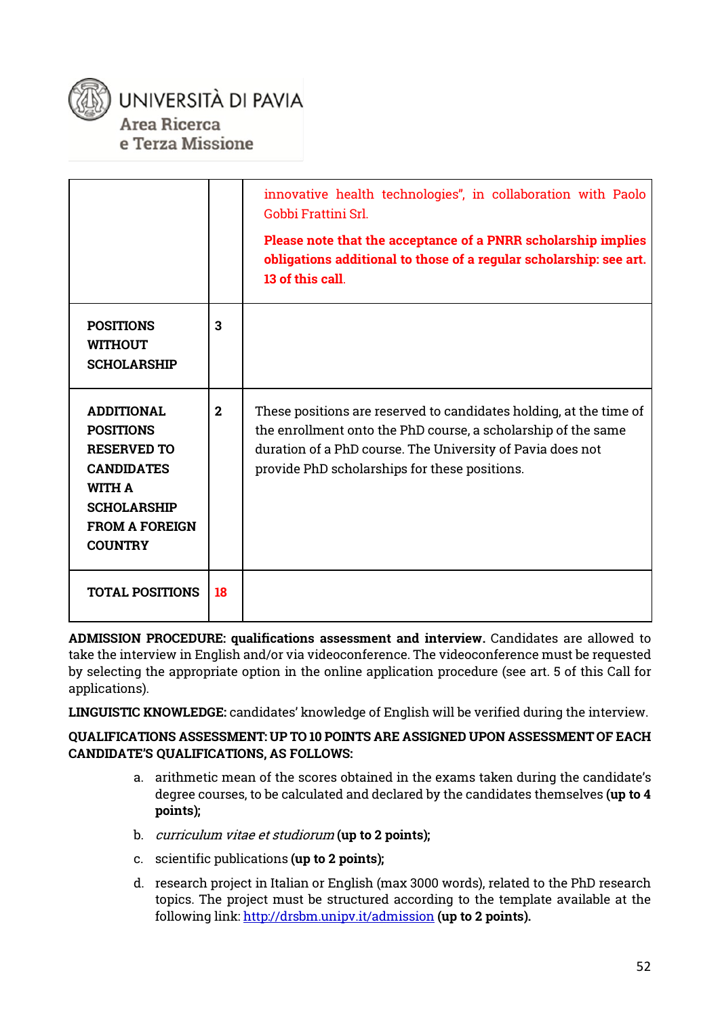

### UNIVERSITÀ DI PAVIA Area Ricerca e Terza Missione

|                                                                                                                                                                    |              | innovative health technologies", in collaboration with Paolo<br>Gobbi Frattini Srl.<br>Please note that the acceptance of a PNRR scholarship implies<br>obligations additional to those of a regular scholarship: see art.<br>13 of this call.     |
|--------------------------------------------------------------------------------------------------------------------------------------------------------------------|--------------|----------------------------------------------------------------------------------------------------------------------------------------------------------------------------------------------------------------------------------------------------|
| <b>POSITIONS</b><br><b>WITHOUT</b><br><b>SCHOLARSHIP</b>                                                                                                           | 3            |                                                                                                                                                                                                                                                    |
| <b>ADDITIONAL</b><br><b>POSITIONS</b><br><b>RESERVED TO</b><br><b>CANDIDATES</b><br><b>WITH A</b><br><b>SCHOLARSHIP</b><br><b>FROM A FOREIGN</b><br><b>COUNTRY</b> | $\mathbf{2}$ | These positions are reserved to candidates holding, at the time of<br>the enrollment onto the PhD course, a scholarship of the same<br>duration of a PhD course. The University of Pavia does not<br>provide PhD scholarships for these positions. |
| <b>TOTAL POSITIONS</b>                                                                                                                                             | 18           |                                                                                                                                                                                                                                                    |

**ADMISSION PROCEDURE: qualifications assessment and interview.** Candidates are allowed to take the interview in English and/or via videoconference. The videoconference must be requested by selecting the appropriate option in the online application procedure (see art. 5 of this Call for applications).

**LINGUISTIC KNOWLEDGE:** candidates' knowledge of English will be verified during the interview.

#### **QUALIFICATIONS ASSESSMENT: UP TO 10 POINTS ARE ASSIGNED UPON ASSESSMENT OF EACH CANDIDATE'S QUALIFICATIONS, AS FOLLOWS:**

- a. arithmetic mean of the scores obtained in the exams taken during the candidate's degree courses, to be calculated and declared by the candidates themselves **(up to 4 points);**
- b. curriculum vitae et studiorum **(up to 2 points);**
- c. scientific publications **(up to 2 points);**
- d. research project in Italian or English (max 3000 words), related to the PhD research topics. The project must be structured according to the template available at the following link:<http://drsbm.unipv.it/admission> **(up to 2 points).**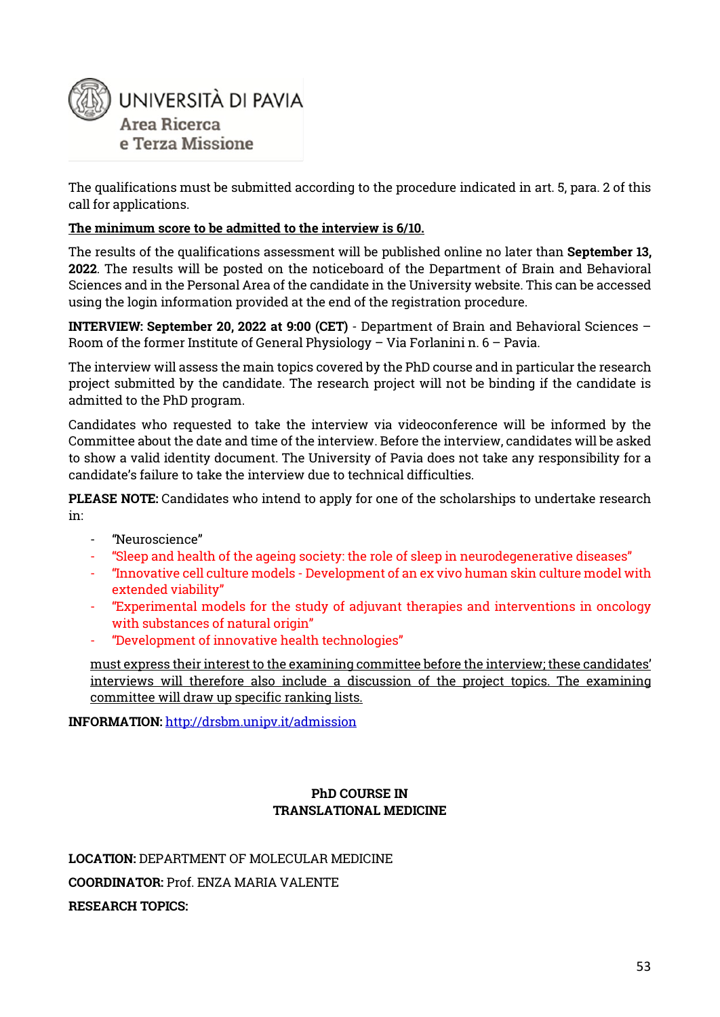

The qualifications must be submitted according to the procedure indicated in art. 5, para. 2 of this call for applications.

#### **The minimum score to be admitted to the interview is 6/10.**

The results of the qualifications assessment will be published online no later than **September 13, 2022**. The results will be posted on the noticeboard of the Department of Brain and Behavioral Sciences and in the Personal Area of the candidate in the University website. This can be accessed using the login information provided at the end of the registration procedure.

**INTERVIEW: September 20, 2022 at 9:00 (CET)** - Department of Brain and Behavioral Sciences – Room of the former Institute of General Physiology – Via Forlanini n. 6 – Pavia.

The interview will assess the main topics covered by the PhD course and in particular the research project submitted by the candidate. The research project will not be binding if the candidate is admitted to the PhD program.

Candidates who requested to take the interview via videoconference will be informed by the Committee about the date and time of the interview. Before the interview, candidates will be asked to show a valid identity document. The University of Pavia does not take any responsibility for a candidate's failure to take the interview due to technical difficulties.

**PLEASE NOTE:** Candidates who intend to apply for one of the scholarships to undertake research in:

- "Neuroscience"
- "Sleep and health of the ageing society: the role of sleep in neurodegenerative diseases"
- "Innovative cell culture models Development of an ex vivo human skin culture model with extended viability"
- "Experimental models for the study of adjuvant therapies and interventions in oncology with substances of natural origin"
- "Development of innovative health technologies"

must express their interest to the examining committee before the interview; these candidates' interviews will therefore also include a discussion of the project topics. The examining committee will draw up specific ranking lists.

**INFORMATION:** <http://drsbm.unipv.it/admission>

#### **PhD COURSE IN TRANSLATIONAL MEDICINE**

**LOCATION:** DEPARTMENT OF MOLECULAR MEDICINE **COORDINATOR:** Prof. ENZA MARIA VALENTE **RESEARCH TOPICS:**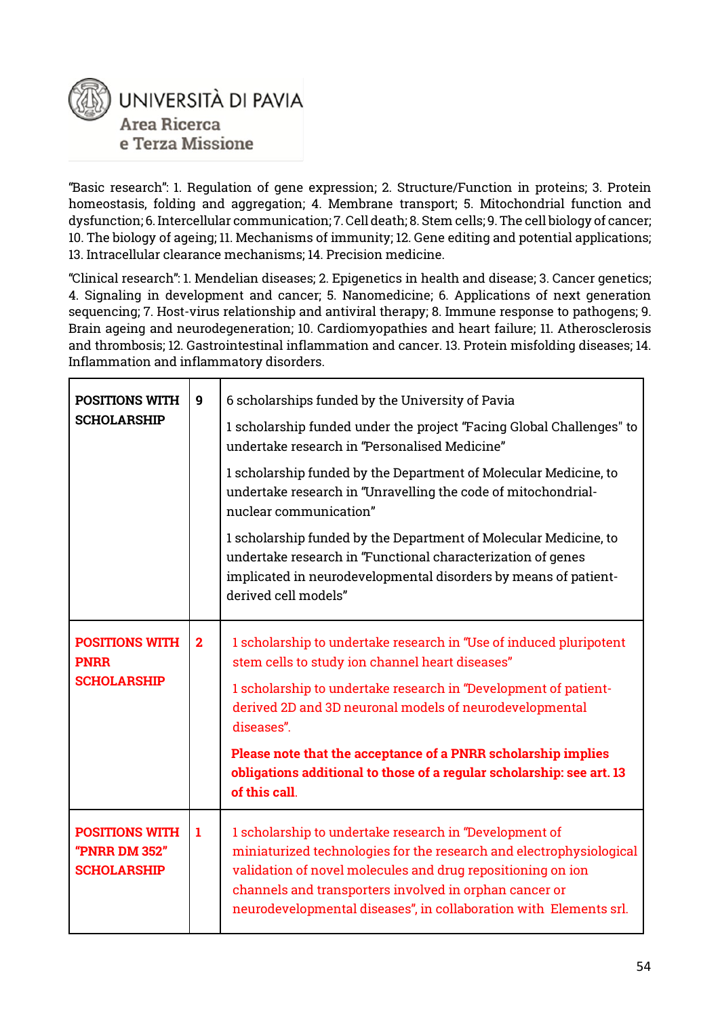

"Basic research": 1. Regulation of gene expression; 2. Structure/Function in proteins; 3. Protein homeostasis, folding and aggregation; 4. Membrane transport; 5. Mitochondrial function and dysfunction; 6. Intercellular communication; 7. Cell death; 8. Stem cells; 9. The cell biology of cancer; 10. The biology of ageing; 11. Mechanisms of immunity; 12. Gene editing and potential applications; 13. Intracellular clearance mechanisms; 14. Precision medicine.

"Clinical research": 1. Mendelian diseases; 2. Epigenetics in health and disease; 3. Cancer genetics; 4. Signaling in development and cancer; 5. Nanomedicine; 6. Applications of next generation sequencing; 7. Host-virus relationship and antiviral therapy; 8. Immune response to pathogens; 9. Brain ageing and neurodegeneration; 10. Cardiomyopathies and heart failure; 11. Atherosclerosis and thrombosis; 12. Gastrointestinal inflammation and cancer. 13. Protein misfolding diseases; 14. Inflammation and inflammatory disorders.

| <b>POSITIONS WITH</b><br><b>SCHOLARSHIP</b>                  | 9              | 6 scholarships funded by the University of Pavia<br>1 scholarship funded under the project "Facing Global Challenges" to<br>undertake research in "Personalised Medicine"<br>1 scholarship funded by the Department of Molecular Medicine, to<br>undertake research in "Unravelling the code of mitochondrial-<br>nuclear communication"<br>1 scholarship funded by the Department of Molecular Medicine, to<br>undertake research in "Functional characterization of genes<br>implicated in neurodevelopmental disorders by means of patient-<br>derived cell models" |
|--------------------------------------------------------------|----------------|------------------------------------------------------------------------------------------------------------------------------------------------------------------------------------------------------------------------------------------------------------------------------------------------------------------------------------------------------------------------------------------------------------------------------------------------------------------------------------------------------------------------------------------------------------------------|
| <b>POSITIONS WITH</b><br><b>PNRR</b><br><b>SCHOLARSHIP</b>   | $\overline{2}$ | 1 scholarship to undertake research in "Use of induced pluripotent<br>stem cells to study ion channel heart diseases"<br>1 scholarship to undertake research in "Development of patient-<br>derived 2D and 3D neuronal models of neurodevelopmental<br>diseases".<br>Please note that the acceptance of a PNRR scholarship implies<br>obligations additional to those of a regular scholarship: see art. 13<br>of this call.                                                                                                                                           |
| <b>POSITIONS WITH</b><br>"PNRR DM 352"<br><b>SCHOLARSHIP</b> | 1              | 1 scholarship to undertake research in "Development of<br>miniaturized technologies for the research and electrophysiological<br>validation of novel molecules and drug repositioning on ion<br>channels and transporters involved in orphan cancer or<br>neurodevelopmental diseases", in collaboration with Elements srl.                                                                                                                                                                                                                                            |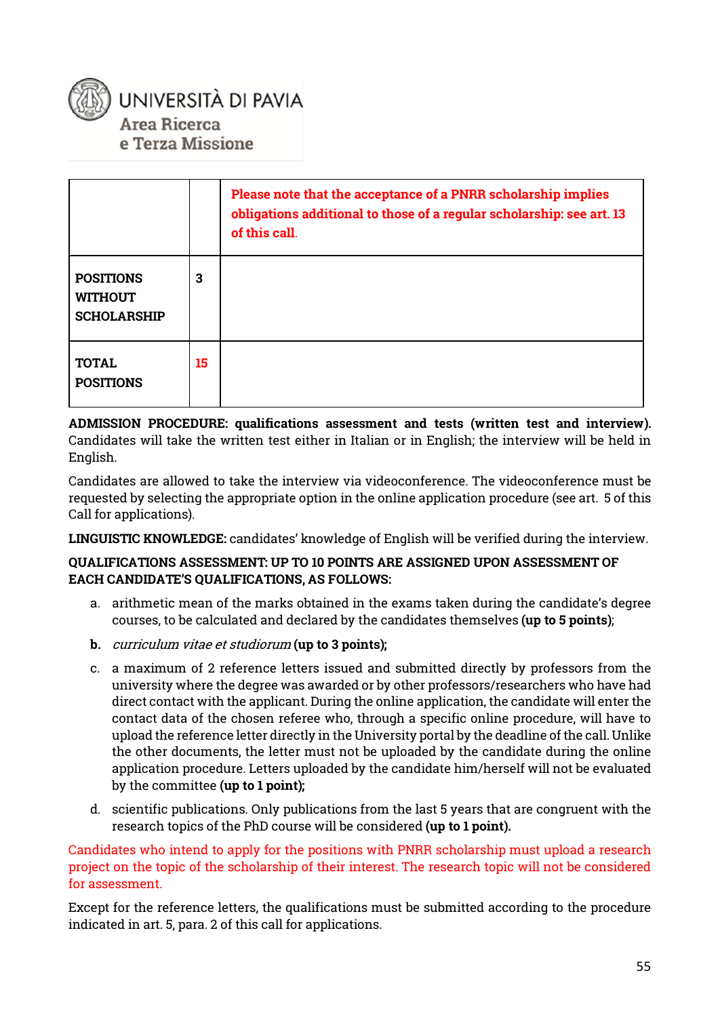

|                                                          |    | Please note that the acceptance of a PNRR scholarship implies<br>obligations additional to those of a regular scholarship: see art. 13<br>of this call. |
|----------------------------------------------------------|----|---------------------------------------------------------------------------------------------------------------------------------------------------------|
| <b>POSITIONS</b><br><b>WITHOUT</b><br><b>SCHOLARSHIP</b> | 3  |                                                                                                                                                         |
| <b>TOTAL</b><br><b>POSITIONS</b>                         | 15 |                                                                                                                                                         |

**ADMISSION PROCEDURE: qualifications assessment and tests (written test and interview).**  Candidates will take the written test either in Italian or in English; the interview will be held in English.

Candidates are allowed to take the interview via videoconference. The videoconference must be requested by selecting the appropriate option in the online application procedure (see art. 5 of this Call for applications).

**LINGUISTIC KNOWLEDGE:** candidates' knowledge of English will be verified during the interview.

#### **QUALIFICATIONS ASSESSMENT: UP TO 10 POINTS ARE ASSIGNED UPON ASSESSMENT OF EACH CANDIDATE'S QUALIFICATIONS, AS FOLLOWS:**

- a. arithmetic mean of the marks obtained in the exams taken during the candidate's degree courses, to be calculated and declared by the candidates themselves **(up to 5 points)**;
- **b.** curriculum vitae et studiorum **(up to 3 points);**
- c. a maximum of 2 reference letters issued and submitted directly by professors from the university where the degree was awarded or by other professors/researchers who have had direct contact with the applicant. During the online application, the candidate will enter the contact data of the chosen referee who, through a specific online procedure, will have to upload the reference letter directly in the University portal by the deadline of the call. Unlike the other documents, the letter must not be uploaded by the candidate during the online application procedure. Letters uploaded by the candidate him/herself will not be evaluated by the committee **(up to 1 point);**
- d. scientific publications. Only publications from the last 5 years that are congruent with the research topics of the PhD course will be considered **(up to 1 point).**

Candidates who intend to apply for the positions with PNRR scholarship must upload a research project on the topic of the scholarship of their interest. The research topic will not be considered for assessment.

Except for the reference letters, the qualifications must be submitted according to the procedure indicated in art. 5, para. 2 of this call for applications.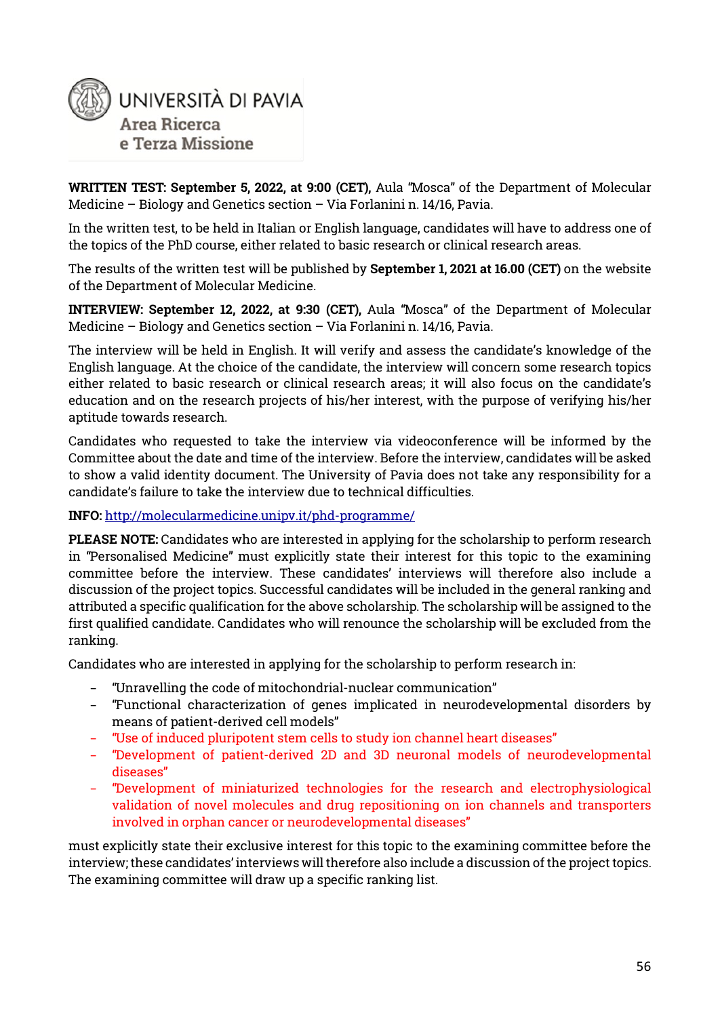

**WRITTEN TEST: September 5, 2022, at 9:00 (CET),** Aula "Mosca" of the Department of Molecular Medicine – Biology and Genetics section – Via Forlanini n. 14/16, Pavia.

In the written test, to be held in Italian or English language, candidates will have to address one of the topics of the PhD course, either related to basic research or clinical research areas.

The results of the written test will be published by **September 1, 2021 at 16.00 (CET)** on the website of the Department of Molecular Medicine.

**INTERVIEW: September 12, 2022, at 9:30 (CET),** Aula "Mosca" of the Department of Molecular Medicine – Biology and Genetics section – Via Forlanini n. 14/16, Pavia.

The interview will be held in English. It will verify and assess the candidate's knowledge of the English language. At the choice of the candidate, the interview will concern some research topics either related to basic research or clinical research areas; it will also focus on the candidate's education and on the research projects of his/her interest, with the purpose of verifying his/her aptitude towards research.

Candidates who requested to take the interview via videoconference will be informed by the Committee about the date and time of the interview. Before the interview, candidates will be asked to show a valid identity document. The University of Pavia does not take any responsibility for a candidate's failure to take the interview due to technical difficulties.

#### **INF[O:](http://molecularmedicine.unipv.it/phd-programme/)** <http://molecularmedicine.unipv.it/phd-programme/>

**PLEASE NOTE:** Candidates who are interested in applying for the scholarship to perform research in "Personalised Medicine" must explicitly state their interest for this topic to the examining committee before the interview. These candidates' interviews will therefore also include a discussion of the project topics. Successful candidates will be included in the general ranking and attributed a specific qualification for the above scholarship. The scholarship will be assigned to the first qualified candidate. Candidates who will renounce the scholarship will be excluded from the ranking.

Candidates who are interested in applying for the scholarship to perform research in:

- − "Unravelling the code of mitochondrial-nuclear communication"
- − "Functional characterization of genes implicated in neurodevelopmental disorders by means of patient-derived cell models"
- − "Use of induced pluripotent stem cells to study ion channel heart diseases"
- − "Development of patient-derived 2D and 3D neuronal models of neurodevelopmental diseases"
- − "Development of miniaturized technologies for the research and electrophysiological validation of novel molecules and drug repositioning on ion channels and transporters involved in orphan cancer or neurodevelopmental diseases"

must explicitly state their exclusive interest for this topic to the examining committee before the interview; these candidates' interviews will therefore also include a discussion of the project topics. The examining committee will draw up a specific ranking list.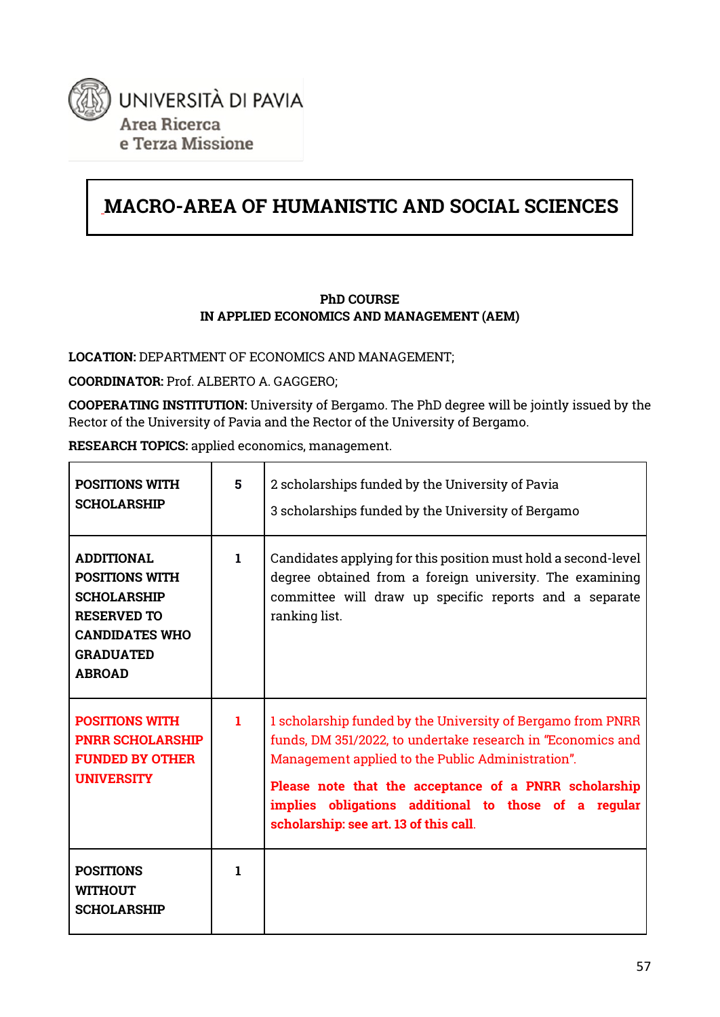

# **MACRO-AREA OF HUMANISTIC AND SOCIAL SCIENCES**

#### **PhD COURSE IN APPLIED ECONOMICS AND MANAGEMENT (AEM)**

**LOCATION:** DEPARTMENT OF ECONOMICS AND MANAGEMENT;

**COORDINATOR:** Prof. ALBERTO A. GAGGERO;

**COOPERATING INSTITUTION:** University of Bergamo. The PhD degree will be jointly issued by the Rector of the University of Pavia and the Rector of the University of Bergamo.

**RESEARCH TOPICS:** applied economics, management.

| <b>POSITIONS WITH</b><br><b>SCHOLARSHIP</b>                                                                                                          | 5  | 2 scholarships funded by the University of Pavia<br>3 scholarships funded by the University of Bergamo                                                                                                                                                                                                                                     |
|------------------------------------------------------------------------------------------------------------------------------------------------------|----|--------------------------------------------------------------------------------------------------------------------------------------------------------------------------------------------------------------------------------------------------------------------------------------------------------------------------------------------|
| <b>ADDITIONAL</b><br><b>POSITIONS WITH</b><br><b>SCHOLARSHIP</b><br><b>RESERVED TO</b><br><b>CANDIDATES WHO</b><br><b>GRADUATED</b><br><b>ABROAD</b> | 1. | Candidates applying for this position must hold a second-level<br>degree obtained from a foreign university. The examining<br>committee will draw up specific reports and a separate<br>ranking list.                                                                                                                                      |
| <b>POSITIONS WITH</b><br><b>PNRR SCHOLARSHIP</b><br><b>FUNDED BY OTHER</b><br><b>UNIVERSITY</b>                                                      | 1. | 1 scholarship funded by the University of Bergamo from PNRR<br>funds, DM 351/2022, to undertake research in "Economics and<br>Management applied to the Public Administration".<br>Please note that the acceptance of a PNRR scholarship<br>implies obligations additional to those of a regular<br>scholarship: see art. 13 of this call. |
| <b>POSITIONS</b><br><b>WITHOUT</b><br><b>SCHOLARSHIP</b>                                                                                             | 1. |                                                                                                                                                                                                                                                                                                                                            |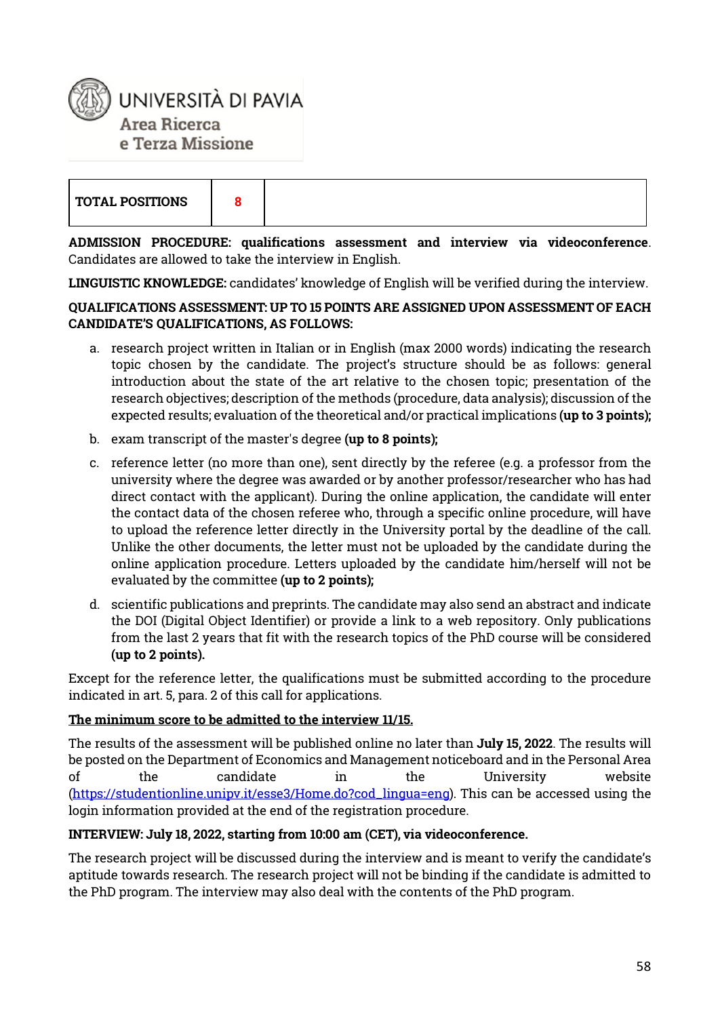

**ADMISSION PROCEDURE: qualifications assessment and interview via videoconference**. Candidates are allowed to take the interview in English.

**LINGUISTIC KNOWLEDGE:** candidates' knowledge of English will be verified during the interview.

#### **QUALIFICATIONS ASSESSMENT: UP TO 15 POINTS ARE ASSIGNED UPON ASSESSMENT OF EACH CANDIDATE'S QUALIFICATIONS, AS FOLLOWS:**

- a. research project written in Italian or in English (max 2000 words) indicating the research topic chosen by the candidate. The project's structure should be as follows: general introduction about the state of the art relative to the chosen topic; presentation of the research objectives; description of the methods (procedure, data analysis); discussion of the expected results; evaluation of the theoretical and/or practical implications **(up to 3 points);**
- b. exam transcript of the master's degree **(up to 8 points);**
- c. reference letter (no more than one), sent directly by the referee (e.g. a professor from the university where the degree was awarded or by another professor/researcher who has had direct contact with the applicant). During the online application, the candidate will enter the contact data of the chosen referee who, through a specific online procedure, will have to upload the reference letter directly in the University portal by the deadline of the call. Unlike the other documents, the letter must not be uploaded by the candidate during the online application procedure. Letters uploaded by the candidate him/herself will not be evaluated by the committee **(up to 2 points);**
- d. scientific publications and preprints. The candidate may also send an abstract and indicate the DOI (Digital Object Identifier) or provide a link to a web repository. Only publications from the last 2 years that fit with the research topics of the PhD course will be considered **(up to 2 points).**

Except for the reference letter, the qualifications must be submitted according to the procedure indicated in art. 5, para. 2 of this call for applications.

#### **The minimum score to be admitted to the interview 11/15.**

The results of the assessment will be published online no later than **July 15, 2022**. The results will be posted on the Department of Economics and Management noticeboard and in the Personal Area of the candidate in the University website [\(https://studentionline.unipv.it/esse3/Home.do?cod\\_lingua=eng\)](https://studentionline.unipv.it/esse3/Home.do?cod_lingua=eng). This can be accessed using the login information provided at the end of the registration procedure.

#### **INTERVIEW: July 18, 2022, starting from 10:00 am (CET), via videoconference.**

The research project will be discussed during the interview and is meant to verify the candidate's aptitude towards research. The research project will not be binding if the candidate is admitted to the PhD program. The interview may also deal with the contents of the PhD program.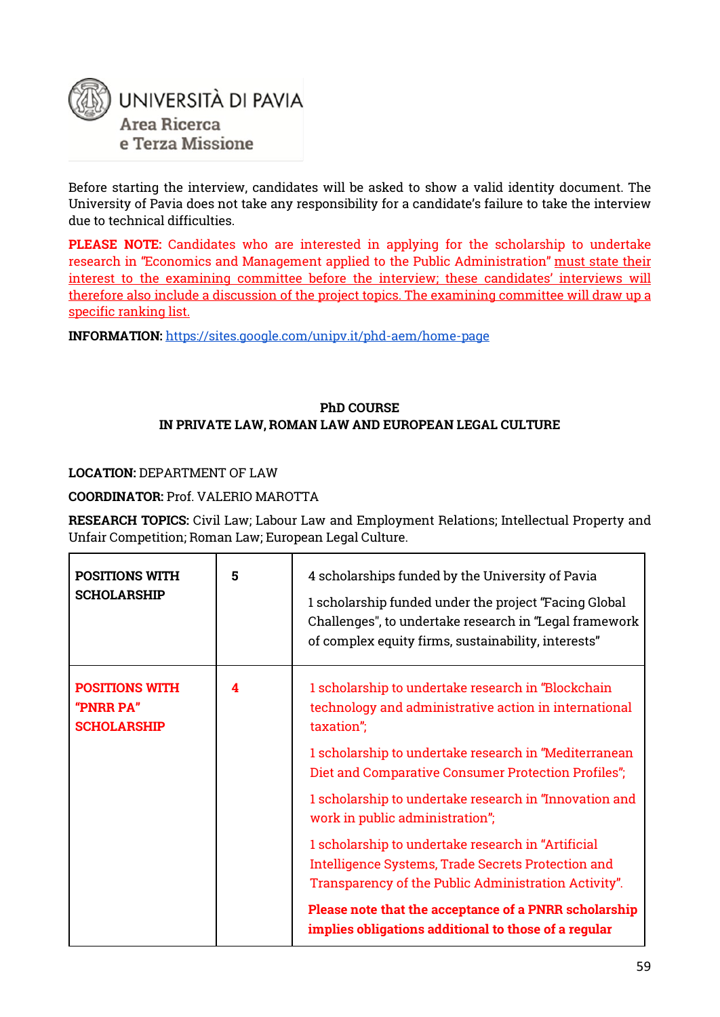

Before starting the interview, candidates will be asked to show a valid identity document. The University of Pavia does not take any responsibility for a candidate's failure to take the interview due to technical difficulties.

**PLEASE NOTE:** Candidates who are interested in applying for the scholarship to undertake research in "Economics and Management applied to the Public Administration" must state their interest to the examining committee before the interview; these candidates' interviews will therefore also include a discussion of the project topics. The examining committee will draw up a specific ranking list.

**INFORMATIO[N:](https://sites.google.com/unipv.it/phd-aem/home-page)** <https://sites.google.com/unipv.it/phd-aem/home-page>

#### **PhD COURSE IN PRIVATE LAW, ROMAN LAW AND EUROPEAN LEGAL CULTURE**

**LOCATION:** DEPARTMENT OF LAW

**COORDINATOR:** Prof. VALERIO MAROTTA

**RESEARCH TOPICS:** Civil Law; Labour Law and Employment Relations; Intellectual Property and Unfair Competition; Roman Law; European Legal Culture.

| <b>POSITIONS WITH</b><br><b>SCHOLARSHIP</b>              | 5 | 4 scholarships funded by the University of Pavia<br>1 scholarship funded under the project "Facing Global<br>Challenges", to undertake research in "Legal framework<br>of complex equity firms, sustainability, interests" |
|----------------------------------------------------------|---|----------------------------------------------------------------------------------------------------------------------------------------------------------------------------------------------------------------------------|
| <b>POSITIONS WITH</b><br>"PNRR PA"<br><b>SCHOLARSHIP</b> | 4 | 1 scholarship to undertake research in "Blockchain<br>technology and administrative action in international<br>taxation";                                                                                                  |
|                                                          |   | 1 scholarship to undertake research in "Mediterranean<br>Diet and Comparative Consumer Protection Profiles";                                                                                                               |
|                                                          |   | 1 scholarship to undertake research in "Innovation and<br>work in public administration";                                                                                                                                  |
|                                                          |   | 1 scholarship to undertake research in "Artificial<br>Intelligence Systems, Trade Secrets Protection and<br>Transparency of the Public Administration Activity".                                                           |
|                                                          |   | Please note that the acceptance of a PNRR scholarship<br>implies obligations additional to those of a regular                                                                                                              |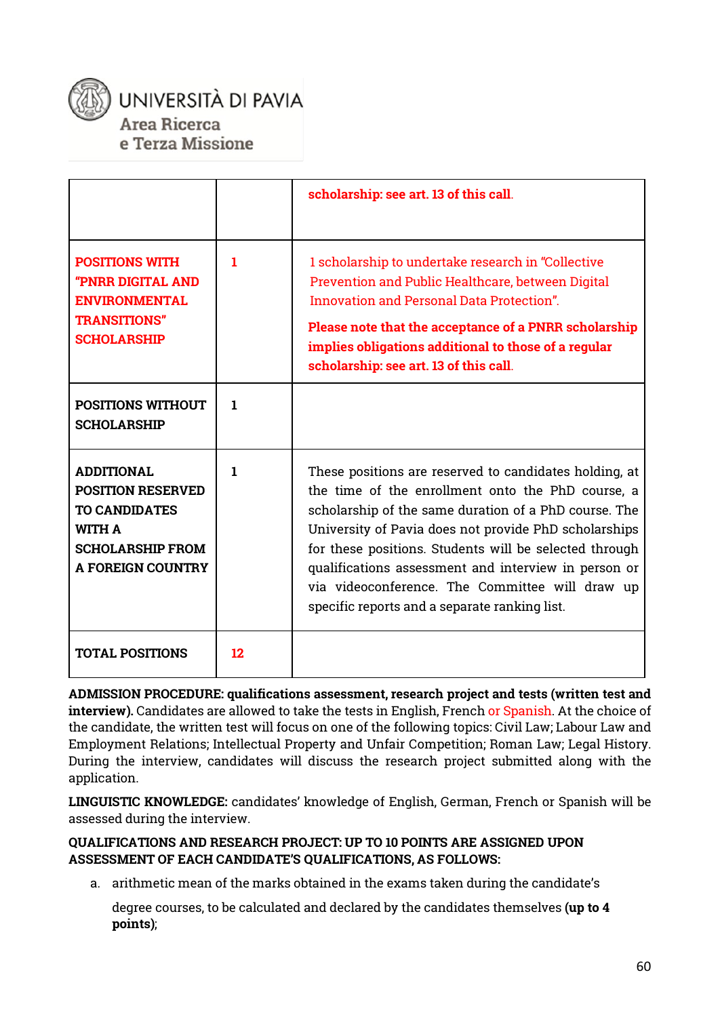

### UNIVERSITÀ DI PAVIA Area Ricerca e Terza Missione

|                                                                                                                                               |    | scholarship: see art. 13 of this call.                                                                                                                                                                                                                                                                                                                                                                                                              |
|-----------------------------------------------------------------------------------------------------------------------------------------------|----|-----------------------------------------------------------------------------------------------------------------------------------------------------------------------------------------------------------------------------------------------------------------------------------------------------------------------------------------------------------------------------------------------------------------------------------------------------|
| <b>POSITIONS WITH</b><br><b>"PNRR DIGITAL AND</b><br><b>ENVIRONMENTAL</b><br><b>TRANSITIONS"</b><br><b>SCHOLARSHIP</b>                        | 1  | 1 scholarship to undertake research in "Collective<br>Prevention and Public Healthcare, between Digital<br><b>Innovation and Personal Data Protection".</b><br>Please note that the acceptance of a PNRR scholarship<br>implies obligations additional to those of a regular<br>scholarship: see art. 13 of this call.                                                                                                                              |
| <b>POSITIONS WITHOUT</b><br><b>SCHOLARSHIP</b>                                                                                                | 1  |                                                                                                                                                                                                                                                                                                                                                                                                                                                     |
| <b>ADDITIONAL</b><br><b>POSITION RESERVED</b><br><b>TO CANDIDATES</b><br><b>WITH A</b><br><b>SCHOLARSHIP FROM</b><br><b>A FOREIGN COUNTRY</b> | 1  | These positions are reserved to candidates holding, at<br>the time of the enrollment onto the PhD course, a<br>scholarship of the same duration of a PhD course. The<br>University of Pavia does not provide PhD scholarships<br>for these positions. Students will be selected through<br>qualifications assessment and interview in person or<br>via videoconference. The Committee will draw up<br>specific reports and a separate ranking list. |
| <b>TOTAL POSITIONS</b>                                                                                                                        | 12 |                                                                                                                                                                                                                                                                                                                                                                                                                                                     |

**ADMISSION PROCEDURE: qualifications assessment, research project and tests (written test and interview).** Candidates are allowed to take the tests in English, French or Spanish. At the choice of the candidate, the written test will focus on one of the following topics: Civil Law; Labour Law and Employment Relations; Intellectual Property and Unfair Competition; Roman Law; Legal History. During the interview, candidates will discuss the research project submitted along with the application.

**LINGUISTIC KNOWLEDGE:** candidates' knowledge of English, German, French or Spanish will be assessed during the interview.

#### **QUALIFICATIONS AND RESEARCH PROJECT: UP TO 10 POINTS ARE ASSIGNED UPON ASSESSMENT OF EACH CANDIDATE'S QUALIFICATIONS, AS FOLLOWS:**

a. arithmetic mean of the marks obtained in the exams taken during the candidate's

degree courses, to be calculated and declared by the candidates themselves **(up to 4 points)**;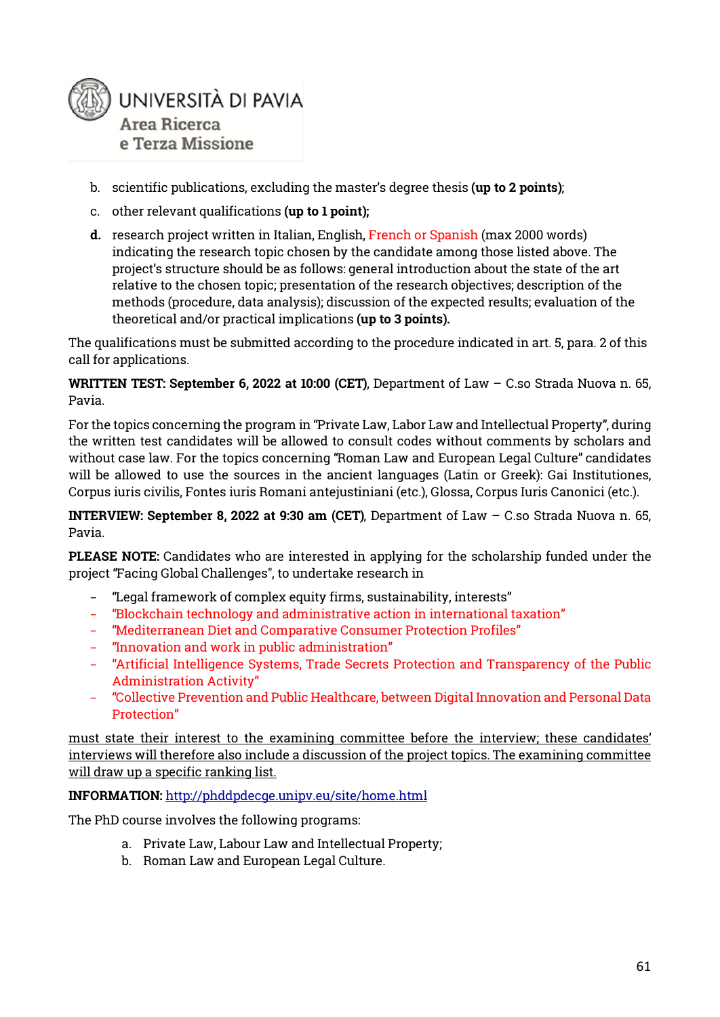

- b. scientific publications, excluding the master's degree thesis **(up to 2 points)**;
- c. other relevant qualifications **(up to 1 point);**
- **d.** research project written in Italian, English, French or Spanish (max 2000 words) indicating the research topic chosen by the candidate among those listed above. The project's structure should be as follows: general introduction about the state of the art relative to the chosen topic; presentation of the research objectives; description of the methods (procedure, data analysis); discussion of the expected results; evaluation of the theoretical and/or practical implications **(up to 3 points).**

The qualifications must be submitted according to the procedure indicated in art. 5, para. 2 of this call for applications.

**WRITTEN TEST: September 6, 2022 at 10:00 (CET)**, Department of Law – C.so Strada Nuova n. 65, Pavia.

For the topics concerning the program in "Private Law, Labor Law and Intellectual Property", during the written test candidates will be allowed to consult codes without comments by scholars and without case law. For the topics concerning "Roman Law and European Legal Culture" candidates will be allowed to use the sources in the ancient languages (Latin or Greek): Gai Institutiones, Corpus iuris civilis, Fontes iuris Romani antejustiniani (etc.), Glossa, Corpus Iuris Canonici (etc.).

**INTERVIEW: September 8, 2022 at 9:30 am (CET)**, Department of Law – C.so Strada Nuova n. 65, Pavia.

**PLEASE NOTE:** Candidates who are interested in applying for the scholarship funded under the project "Facing Global Challenges", to undertake research in

- − "Legal framework of complex equity firms, sustainability, interests"
- − "Blockchain technology and administrative action in international taxation"
- − "Mediterranean Diet and Comparative Consumer Protection Profiles"
- − "Innovation and work in public administration"
- − "Artificial Intelligence Systems, Trade Secrets Protection and Transparency of the Public Administration Activity"
- − "Collective Prevention and Public Healthcare, between Digital Innovation and Personal Data Protection"

must state their interest to the examining committee before the interview; these candidates' interviews will therefore also include a discussion of the project topics. The examining committee will draw up a specific ranking list.

**INFORMATIO[N:](http://phddpdecge.unipv.eu/site/home.html)** <http://phddpdecge.unipv.eu/site/home.html>

The PhD course involves the following programs:

- a. Private Law, Labour Law and Intellectual Property;
- b. Roman Law and European Legal Culture.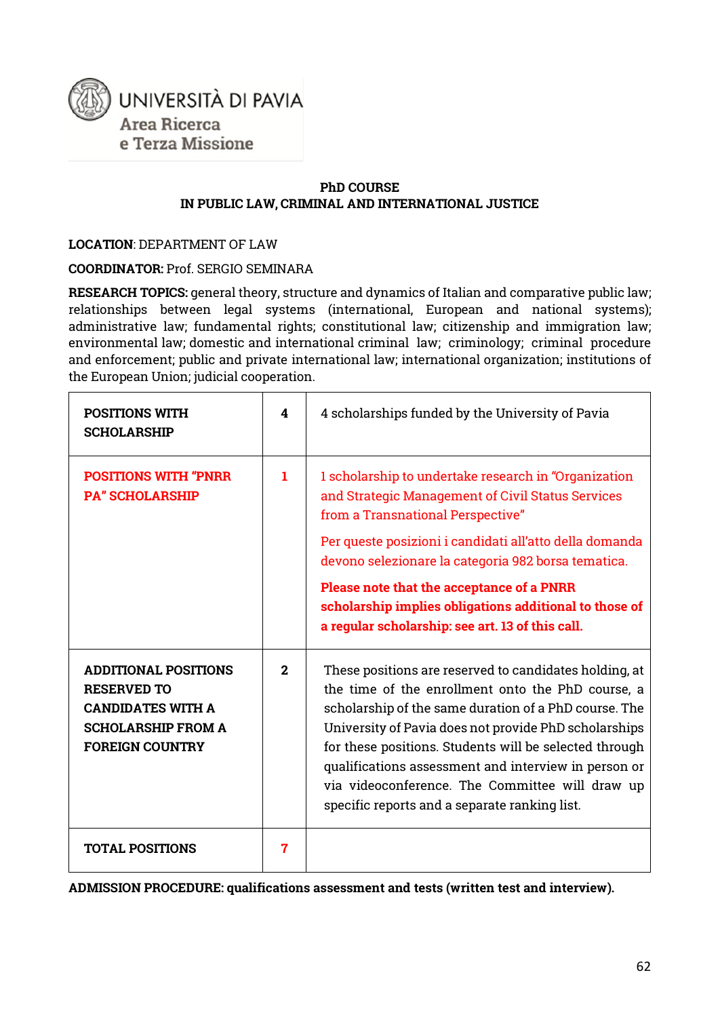

#### **PhD COURSE IN PUBLIC LAW, CRIMINAL AND INTERNATIONAL JUSTICE**

**LOCATION**: DEPARTMENT OF LAW

**COORDINATOR:** Prof. SERGIO SEMINARA

**RESEARCH TOPICS:** general theory, structure and dynamics of Italian and comparative public law; relationships between legal systems (international, European and national systems); administrative law; fundamental rights; constitutional law; citizenship and immigration law; environmental law; domestic and international criminal law; criminology; criminal procedure and enforcement; public and private international law; international organization; institutions of the European Union; judicial cooperation.

| <b>POSITIONS WITH</b><br><b>SCHOLARSHIP</b>                                                                                          | 4            | 4 scholarships funded by the University of Pavia                                                                                                                                                                                                                                                                                                                                                                                                    |
|--------------------------------------------------------------------------------------------------------------------------------------|--------------|-----------------------------------------------------------------------------------------------------------------------------------------------------------------------------------------------------------------------------------------------------------------------------------------------------------------------------------------------------------------------------------------------------------------------------------------------------|
| <b>POSITIONS WITH "PNRR</b><br><b>PA" SCHOLARSHIP</b>                                                                                | 1.           | 1 scholarship to undertake research in "Organization<br>and Strategic Management of Civil Status Services<br>from a Transnational Perspective"                                                                                                                                                                                                                                                                                                      |
|                                                                                                                                      |              | Per queste posizioni i candidati all'atto della domanda<br>devono selezionare la categoria 982 borsa tematica.                                                                                                                                                                                                                                                                                                                                      |
|                                                                                                                                      |              | Please note that the acceptance of a PNRR<br>scholarship implies obligations additional to those of<br>a regular scholarship: see art. 13 of this call.                                                                                                                                                                                                                                                                                             |
| <b>ADDITIONAL POSITIONS</b><br><b>RESERVED TO</b><br><b>CANDIDATES WITH A</b><br><b>SCHOLARSHIP FROM A</b><br><b>FOREIGN COUNTRY</b> | $\mathbf{2}$ | These positions are reserved to candidates holding, at<br>the time of the enrollment onto the PhD course, a<br>scholarship of the same duration of a PhD course. The<br>University of Pavia does not provide PhD scholarships<br>for these positions. Students will be selected through<br>qualifications assessment and interview in person or<br>via videoconference. The Committee will draw up<br>specific reports and a separate ranking list. |
| <b>TOTAL POSITIONS</b>                                                                                                               | 7            |                                                                                                                                                                                                                                                                                                                                                                                                                                                     |

**ADMISSION PROCEDURE: qualifications assessment and tests (written test and interview).**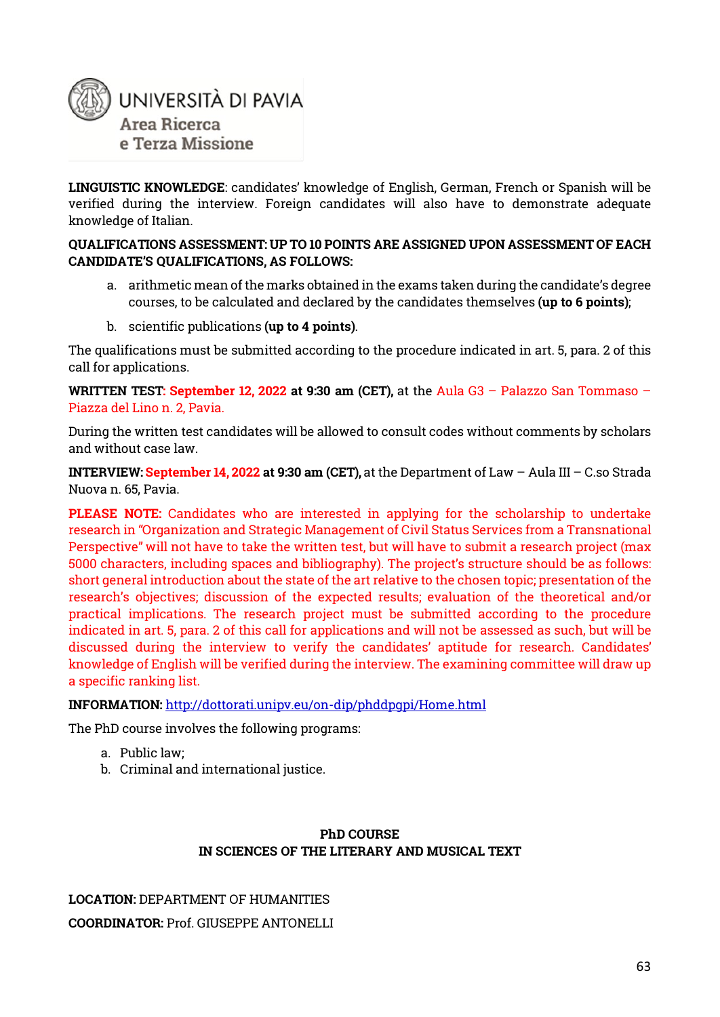

**LINGUISTIC KNOWLEDGE**: candidates' knowledge of English, German, French or Spanish will be verified during the interview. Foreign candidates will also have to demonstrate adequate knowledge of Italian.

#### **QUALIFICATIONS ASSESSMENT: UP TO 10 POINTS ARE ASSIGNED UPON ASSESSMENT OF EACH CANDIDATE'S QUALIFICATIONS, AS FOLLOWS:**

- a. arithmetic mean of the marks obtained in the exams taken during the candidate's degree courses, to be calculated and declared by the candidates themselves **(up to 6 points)**;
- b. scientific publications **(up to 4 points)**.

The qualifications must be submitted according to the procedure indicated in art. 5, para. 2 of this call for applications.

**WRITTEN TEST: September 12, 2022 at 9:30 am (CET),** at the Aula G3 – Palazzo San Tommaso – Piazza del Lino n. 2, Pavia.

During the written test candidates will be allowed to consult codes without comments by scholars and without case law.

**INTERVIEW: September 14, 2022 at 9:30 am (CET),** at the Department of Law – Aula III – C.so Strada Nuova n. 65, Pavia.

**PLEASE NOTE:** Candidates who are interested in applying for the scholarship to undertake research in "Organization and Strategic Management of Civil Status Services from a Transnational Perspective" will not have to take the written test, but will have to submit a research project (max 5000 characters, including spaces and bibliography). The project's structure should be as follows: short general introduction about the state of the art relative to the chosen topic; presentation of the research's objectives; discussion of the expected results; evaluation of the theoretical and/or practical implications. The research project must be submitted according to the procedure indicated in art. 5, para. 2 of this call for applications and will not be assessed as such, but will be discussed during the interview to verify the candidates' aptitude for research. Candidates' knowledge of English will be verified during the interview. The examining committee will draw up a specific ranking list.

#### **INFORMATION:** <http://dottorati.unipv.eu/on-dip/phddpgpi/Home.html>

The PhD course involves the following programs:

- a. Public law;
- b. Criminal and international justice.

#### **PhD COURSE IN SCIENCES OF THE LITERARY AND MUSICAL TEXT**

### **LOCATION:** DEPARTMENT OF HUMANITIES **COORDINATOR:** Prof. GIUSEPPE ANTONELLI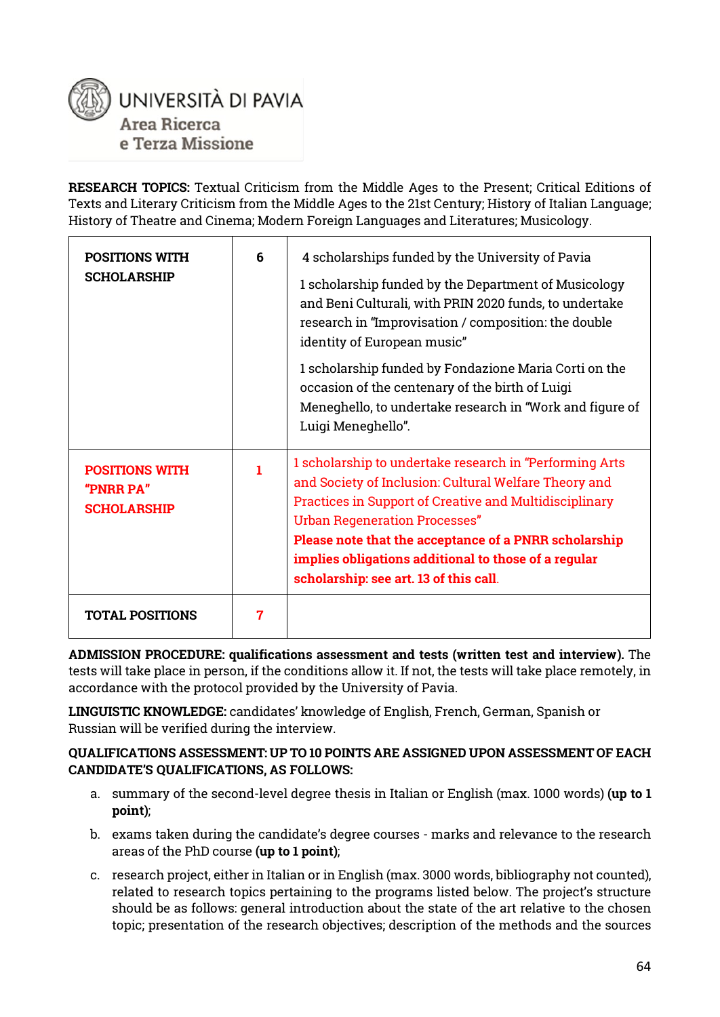

**RESEARCH TOPICS:** Textual Criticism from the Middle Ages to the Present; Critical Editions of Texts and Literary Criticism from the Middle Ages to the 21st Century; History of Italian Language; History of Theatre and Cinema; Modern Foreign Languages and Literatures; Musicology.

| <b>POSITIONS WITH</b><br><b>SCHOLARSHIP</b>              | 6 | 4 scholarships funded by the University of Pavia<br>1 scholarship funded by the Department of Musicology<br>and Beni Culturali, with PRIN 2020 funds, to undertake<br>research in "Improvisation / composition: the double<br>identity of European music"<br>1 scholarship funded by Fondazione Maria Corti on the<br>occasion of the centenary of the birth of Luigi<br>Meneghello, to undertake research in "Work and figure of<br>Luigi Meneghello". |
|----------------------------------------------------------|---|---------------------------------------------------------------------------------------------------------------------------------------------------------------------------------------------------------------------------------------------------------------------------------------------------------------------------------------------------------------------------------------------------------------------------------------------------------|
| <b>POSITIONS WITH</b><br>"PNRR PA"<br><b>SCHOLARSHIP</b> | 1 | 1 scholarship to undertake research in "Performing Arts<br>and Society of Inclusion: Cultural Welfare Theory and<br><b>Practices in Support of Creative and Multidisciplinary</b><br><b>Urban Regeneration Processes"</b><br>Please note that the acceptance of a PNRR scholarship<br>implies obligations additional to those of a regular<br>scholarship: see art. 13 of this call.                                                                    |
| <b>TOTAL POSITIONS</b>                                   | 7 |                                                                                                                                                                                                                                                                                                                                                                                                                                                         |

**ADMISSION PROCEDURE: qualifications assessment and tests (written test and interview).** The tests will take place in person, if the conditions allow it. If not, the tests will take place remotely, in accordance with the protocol provided by the University of Pavia.

**LINGUISTIC KNOWLEDGE:** candidates' knowledge of English, French, German, Spanish or Russian will be verified during the interview.

#### **QUALIFICATIONS ASSESSMENT: UP TO 10 POINTS ARE ASSIGNED UPON ASSESSMENT OF EACH CANDIDATE'S QUALIFICATIONS, AS FOLLOWS:**

- a. summary of the second-level degree thesis in Italian or English (max. 1000 words) **(up to 1 point)**;
- b. exams taken during the candidate's degree courses marks and relevance to the research areas of the PhD course **(up to 1 point)**;
- c. research project, either in Italian or in English (max. 3000 words, bibliography not counted), related to research topics pertaining to the programs listed below. The project's structure should be as follows: general introduction about the state of the art relative to the chosen topic; presentation of the research objectives; description of the methods and the sources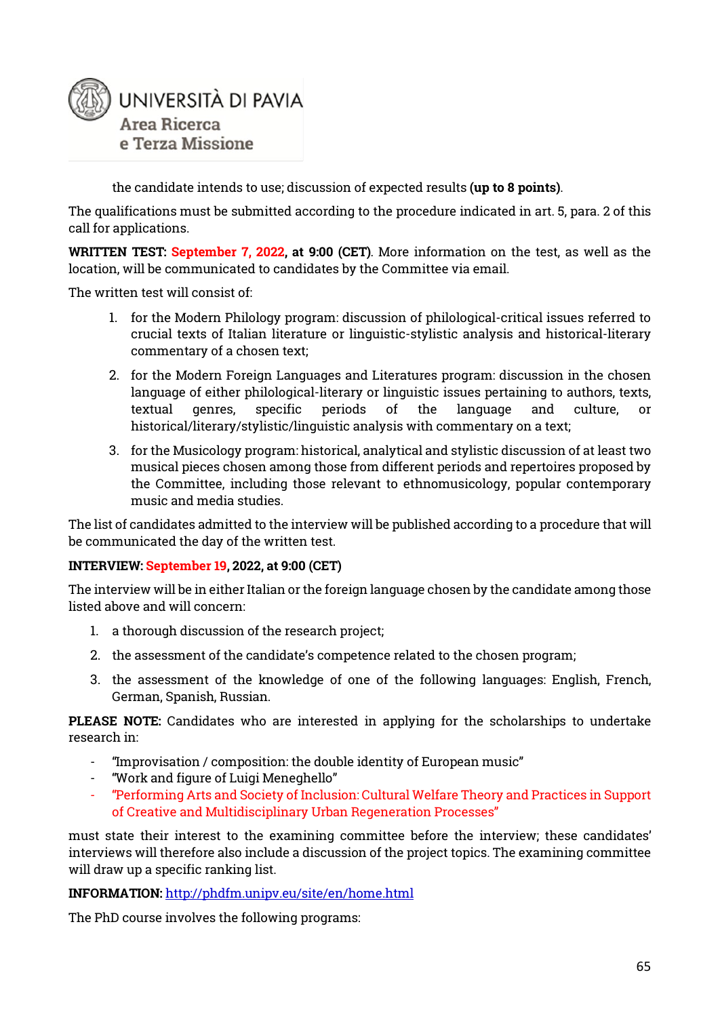

the candidate intends to use; discussion of expected results **(up to 8 points)**.

The qualifications must be submitted according to the procedure indicated in art. 5, para. 2 of this call for applications.

**WRITTEN TEST: September 7, 2022, at 9:00 (CET)**. More information on the test, as well as the location, will be communicated to candidates by the Committee via email.

The written test will consist of:

- 1. for the Modern Philology program: discussion of philological-critical issues referred to crucial texts of Italian literature or linguistic-stylistic analysis and historical-literary commentary of a chosen text;
- 2. for the Modern Foreign Languages and Literatures program: discussion in the chosen language of either philological-literary or linguistic issues pertaining to authors, texts, textual genres, specific periods of the language and culture, or historical/literary/stylistic/linguistic analysis with commentary on a text;
- 3. for the Musicology program: historical, analytical and stylistic discussion of at least two musical pieces chosen among those from different periods and repertoires proposed by the Committee, including those relevant to ethnomusicology, popular contemporary music and media studies.

The list of candidates admitted to the interview will be published according to a procedure that will be communicated the day of the written test.

#### **INTERVIEW: September 19, 2022, at 9:00 (CET)**

The interview will be in either Italian or the foreign language chosen by the candidate among those listed above and will concern:

- 1. a thorough discussion of the research project;
- 2. the assessment of the candidate's competence related to the chosen program;
- 3. the assessment of the knowledge of one of the following languages: English, French, German, Spanish, Russian.

**PLEASE NOTE:** Candidates who are interested in applying for the scholarships to undertake research in:

- "Improvisation / composition: the double identity of European music"
- "Work and figure of Luigi Meneghello"
- "Performing Arts and Society of Inclusion: Cultural Welfare Theory and Practices in Support of Creative and Multidisciplinary Urban Regeneration Processes"

must state their interest to the examining committee before the interview; these candidates' interviews will therefore also include a discussion of the project topics. The examining committee will draw up a specific ranking list.

#### **INFORMATION:** <http://phdfm.unipv.eu/site/en/home.html>

The PhD course involves the following programs: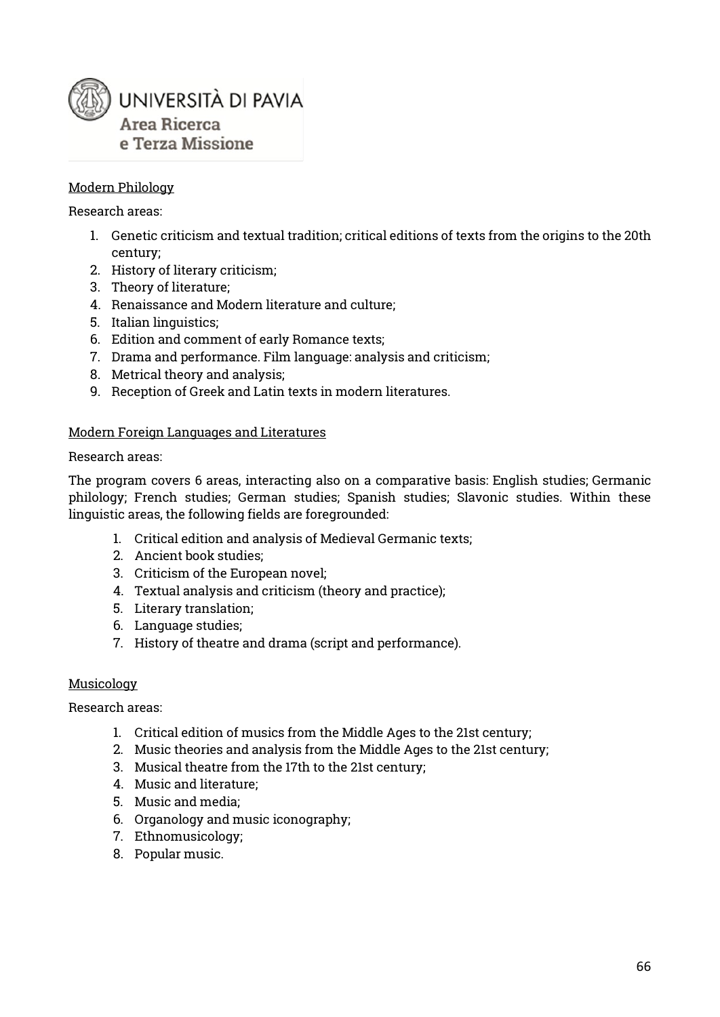

#### Modern Philology

#### Research areas:

- 1. Genetic criticism and textual tradition; critical editions of texts from the origins to the 20th century;
- 2. History of literary criticism;
- 3. Theory of literature;
- 4. Renaissance and Modern literature and culture;
- 5. Italian linguistics;
- 6. Edition and comment of early Romance texts;
- 7. Drama and performance. Film language: analysis and criticism;
- 8. Metrical theory and analysis;
- 9. Reception of Greek and Latin texts in modern literatures.

#### Modern Foreign Languages and Literatures

#### Research areas:

The program covers 6 areas, interacting also on a comparative basis: English studies; Germanic philology; French studies; German studies; Spanish studies; Slavonic studies. Within these linguistic areas, the following fields are foregrounded:

- 1. Critical edition and analysis of Medieval Germanic texts;
- 2. Ancient book studies;
- 3. Criticism of the European novel;
- 4. Textual analysis and criticism (theory and practice);
- 5. Literary translation;
- 6. Language studies;
- 7. History of theatre and drama (script and performance).

#### Musicology

#### Research areas:

- 1. Critical edition of musics from the Middle Ages to the 21st century;
- 2. Music theories and analysis from the Middle Ages to the 21st century;
- 3. Musical theatre from the 17th to the 21st century;
- 4. Music and literature;
- 5. Music and media;
- 6. Organology and music iconography;
- 7. Ethnomusicology;
- 8. Popular music.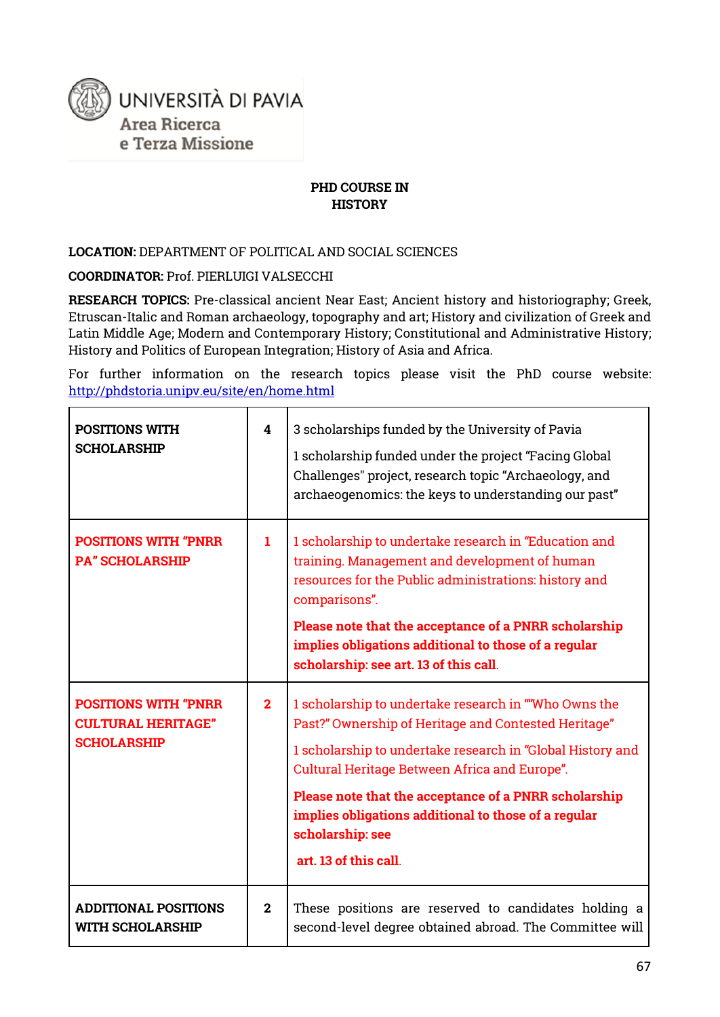

#### **PHD COURSE IN HISTORY**

#### **LOCATION:** DEPARTMENT OF POLITICAL AND SOCIAL SCIENCES

**COORDINATOR:** Prof. PIERLUIGI VALSECCHI

**RESEARCH TOPICS:** Pre-classical ancient Near East; Ancient history and historiography; Greek, Etruscan-Italic and Roman archaeology, topography and art; History and civilization of Greek and Latin Middle Age; Modern and Contemporary History; Constitutional and Administrative History; History and Politics of European Integration; History of Asia and Africa.

For further information on the research topics please visit the PhD course website: <http://phdstoria.unipv.eu/site/en/home.html>

| <b>POSITIONS WITH</b><br><b>SCHOLARSHIP</b>                                    | $\overline{\mathbf{4}}$ | 3 scholarships funded by the University of Pavia<br>1 scholarship funded under the project "Facing Global<br>Challenges" project, research topic "Archaeology, and<br>archaeogenomics: the keys to understanding our past"                                                                                                                                                                 |
|--------------------------------------------------------------------------------|-------------------------|--------------------------------------------------------------------------------------------------------------------------------------------------------------------------------------------------------------------------------------------------------------------------------------------------------------------------------------------------------------------------------------------|
| <b>POSITIONS WITH "PNRR</b><br><b>PA" SCHOLARSHIP</b>                          | $\mathbf{1}$            | 1 scholarship to undertake research in "Education and<br>training. Management and development of human<br>resources for the Public administrations: history and<br>comparisons".<br>Please note that the acceptance of a PNRR scholarship<br>implies obligations additional to those of a regular<br>scholarship: see art. 13 of this call.                                                |
| <b>POSITIONS WITH "PNRR</b><br><b>CULTURAL HERITAGE"</b><br><b>SCHOLARSHIP</b> | $\overline{2}$          | 1 scholarship to undertake research in ""Who Owns the<br>Past?" Ownership of Heritage and Contested Heritage"<br>1 scholarship to undertake research in "Global History and<br>Cultural Heritage Between Africa and Europe".<br>Please note that the acceptance of a PNRR scholarship<br>implies obligations additional to those of a regular<br>scholarship: see<br>art. 13 of this call. |
| <b>ADDITIONAL POSITIONS</b><br><b>WITH SCHOLARSHIP</b>                         | $\mathbf{2}$            | These positions are reserved to candidates holding a<br>second-level degree obtained abroad. The Committee will                                                                                                                                                                                                                                                                            |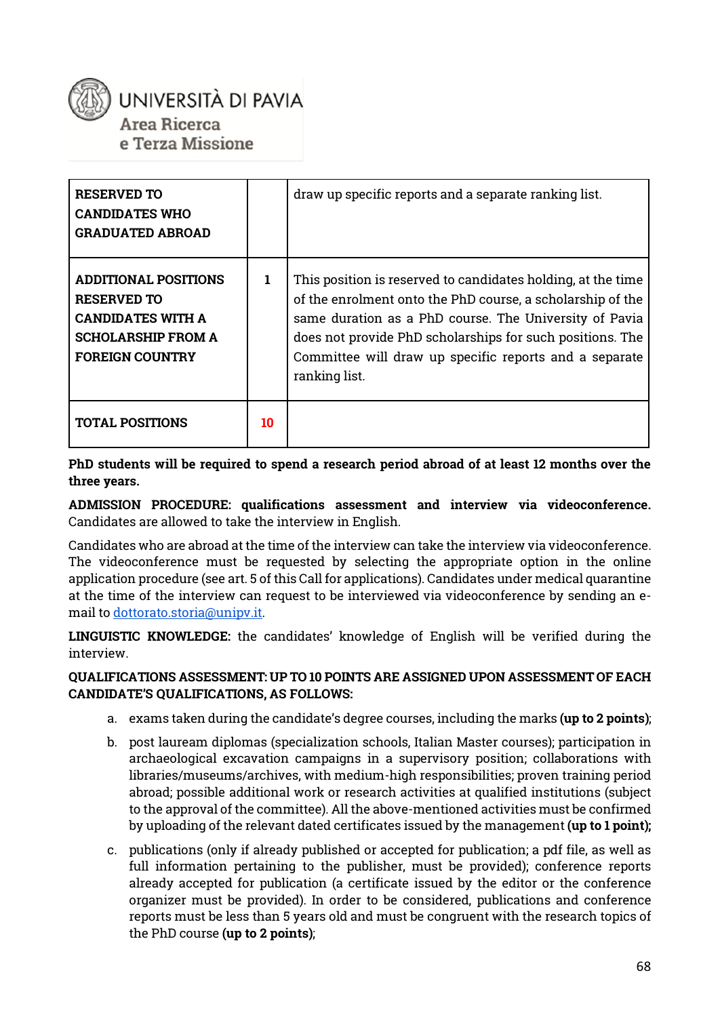

e Terza Missione

| <b>RESERVED TO</b><br><b>CANDIDATES WHO</b><br><b>GRADUATED ABROAD</b>                                                        |    | draw up specific reports and a separate ranking list.                                                                                                                                                                                                                                                                        |
|-------------------------------------------------------------------------------------------------------------------------------|----|------------------------------------------------------------------------------------------------------------------------------------------------------------------------------------------------------------------------------------------------------------------------------------------------------------------------------|
| ADDITIONAL POSITIONS<br><b>RESERVED TO</b><br><b>CANDIDATES WITH A</b><br><b>SCHOLARSHIP FROM A</b><br><b>FOREIGN COUNTRY</b> | 1  | This position is reserved to candidates holding, at the time<br>of the enrolment onto the PhD course, a scholarship of the<br>same duration as a PhD course. The University of Pavia<br>does not provide PhD scholarships for such positions. The<br>Committee will draw up specific reports and a separate<br>ranking list. |
| <b>TOTAL POSITIONS</b>                                                                                                        | 10 |                                                                                                                                                                                                                                                                                                                              |

**PhD students will be required to spend a research period abroad of at least 12 months over the three years.**

**ADMISSION PROCEDURE: qualifications assessment and interview via videoconference.**  Candidates are allowed to take the interview in English.

Candidates who are abroad at the time of the interview can take the interview via videoconference. The videoconference must be requested by selecting the appropriate option in the online application procedure (see art. 5 of this Call for applications). Candidates under medical quarantine at the time of the interview can request to be interviewed via videoconference by sending an email t[o dottorato.storia@unipv.it.](mailto:dottorato.storia@unipv.it)

**LINGUISTIC KNOWLEDGE:** the candidates' knowledge of English will be verified during the interview.

#### **QUALIFICATIONS ASSESSMENT: UP TO 10 POINTS ARE ASSIGNED UPON ASSESSMENT OF EACH CANDIDATE'S QUALIFICATIONS, AS FOLLOWS:**

- a. exams taken during the candidate's degree courses, including the marks **(up to 2 points)**;
- b. post lauream diplomas (specialization schools, Italian Master courses); participation in archaeological excavation campaigns in a supervisory position; collaborations with libraries/museums/archives, with medium-high responsibilities; proven training period abroad; possible additional work or research activities at qualified institutions (subject to the approval of the committee). All the above-mentioned activities must be confirmed by uploading of the relevant dated certificates issued by the management **(up to 1 point);**
- c. publications (only if already published or accepted for publication; a pdf file, as well as full information pertaining to the publisher, must be provided); conference reports already accepted for publication (a certificate issued by the editor or the conference organizer must be provided). In order to be considered, publications and conference reports must be less than 5 years old and must be congruent with the research topics of the PhD course **(up to 2 points)**;